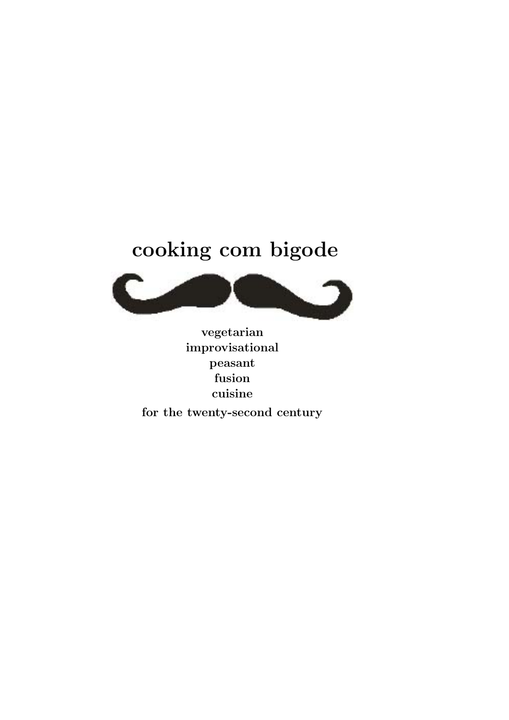# cooking com bigode



vegetarian improvisational peasant fusion cuisine for the twenty-second century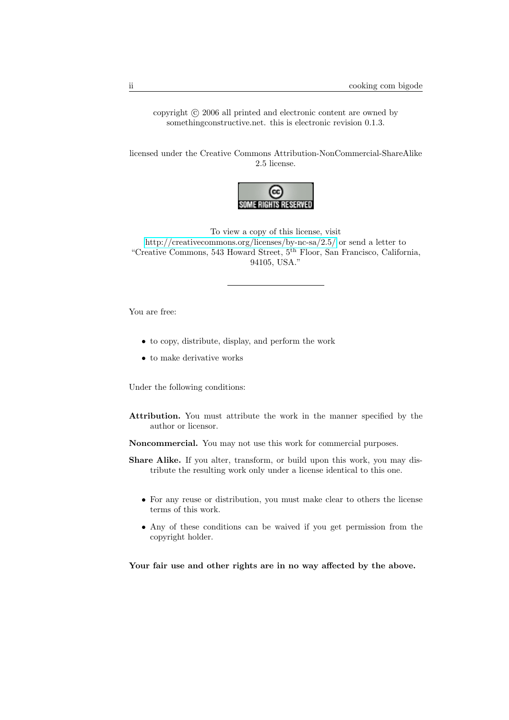copyright  $\odot$  2006 all printed and electronic content are owned by somethingconstructive.net. this is electronic revision 0.1.3.

licensed under the Creative Commons Attribution-NonCommercial-ShareAlike 2.5 license.



To view a copy of this license, visit <http://creativecommons.org/licenses/by-nc-sa/2.5/> or send a letter to "Creative Commons, 543 Howard Street, 5th Floor, San Francisco, California, 94105, USA."

You are free:

- to copy, distribute, display, and perform the work
- to make derivative works

Under the following conditions:

Attribution. You must attribute the work in the manner specified by the author or licensor.

Noncommercial. You may not use this work for commercial purposes.

- Share Alike. If you alter, transform, or build upon this work, you may distribute the resulting work only under a license identical to this one.
	- For any reuse or distribution, you must make clear to others the license terms of this work.
	- Any of these conditions can be waived if you get permission from the copyright holder.

Your fair use and other rights are in no way affected by the above.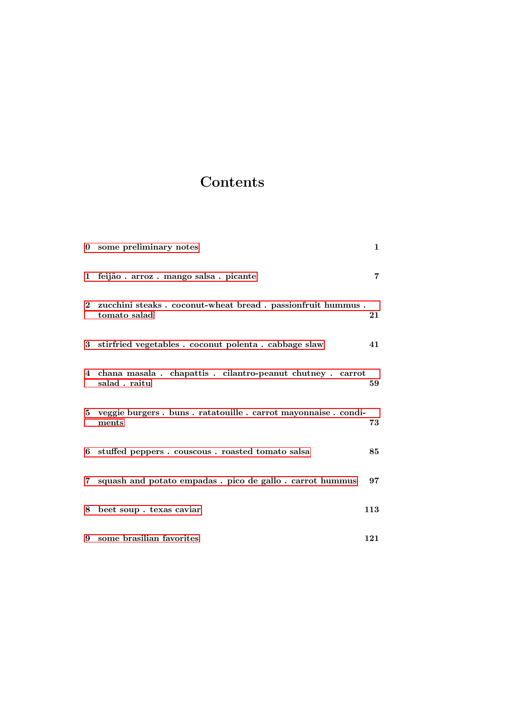# **Contents**

| $\bf{0}$     | some preliminary notes                                                     | 1   |
|--------------|----------------------------------------------------------------------------|-----|
| 1            | feijão . arroz . mango salsa . picante                                     | 7   |
| $\mathbf{2}$ | zucchini steaks. coconut-wheat bread. passionfruit hummus.<br>tomato salad | 21  |
|              | 3 stirfried vegetables. coconut polenta. cabbage slaw                      | 41  |
| 4            | chana masala. chapattis. cilantro-peanut chutney. carrot<br>salad.raitu    | 59  |
| 5            | veggie burgers . buns . ratatouille . carrot mayonnaise . condi-<br>ments  | 73  |
| 6            | stuffed peppers. couscous. roasted tomato salsa                            | 85  |
| 7            | squash and potato empadas. pico de gallo. carrot hummus                    | 97  |
| 8            | beet soup. texas caviar                                                    | 113 |
| 9            | some brasilian favorites                                                   | 121 |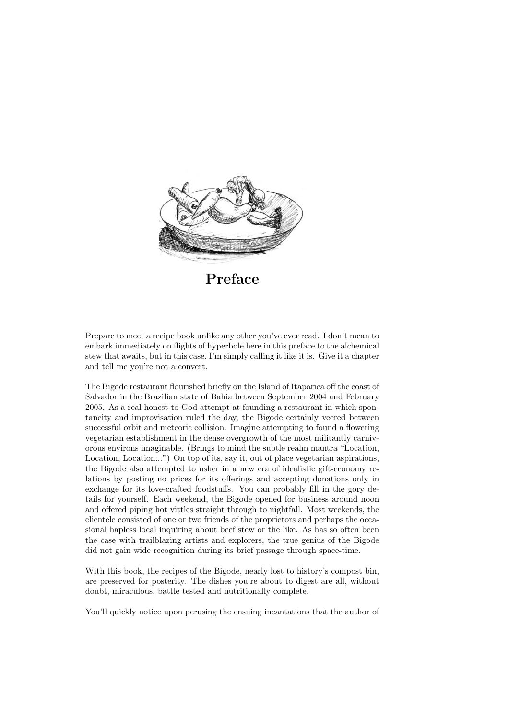

Prepare to meet a recipe book unlike any other you've ever read. I don't mean to embark immediately on flights of hyperbole here in this preface to the alchemical stew that awaits, but in this case, I'm simply calling it like it is. Give it a chapter and tell me you're not a convert.

The Bigode restaurant flourished briefly on the Island of Itaparica off the coast of Salvador in the Brazilian state of Bahia between September 2004 and February 2005. As a real honest-to-God attempt at founding a restaurant in which spontaneity and improvisation ruled the day, the Bigode certainly veered between successful orbit and meteoric collision. Imagine attempting to found a flowering vegetarian establishment in the dense overgrowth of the most militantly carnivorous environs imaginable. (Brings to mind the subtle realm mantra "Location, Location, Location...") On top of its, say it, out of place vegetarian aspirations, the Bigode also attempted to usher in a new era of idealistic gift-economy relations by posting no prices for its offerings and accepting donations only in exchange for its love-crafted foodstuffs. You can probably fill in the gory details for yourself. Each weekend, the Bigode opened for business around noon and offered piping hot vittles straight through to nightfall. Most weekends, the clientele consisted of one or two friends of the proprietors and perhaps the occasional hapless local inquiring about beef stew or the like. As has so often been the case with trailblazing artists and explorers, the true genius of the Bigode did not gain wide recognition during its brief passage through space-time.

With this book, the recipes of the Bigode, nearly lost to history's compost bin, are preserved for posterity. The dishes you're about to digest are all, without doubt, miraculous, battle tested and nutritionally complete.

You'll quickly notice upon perusing the ensuing incantations that the author of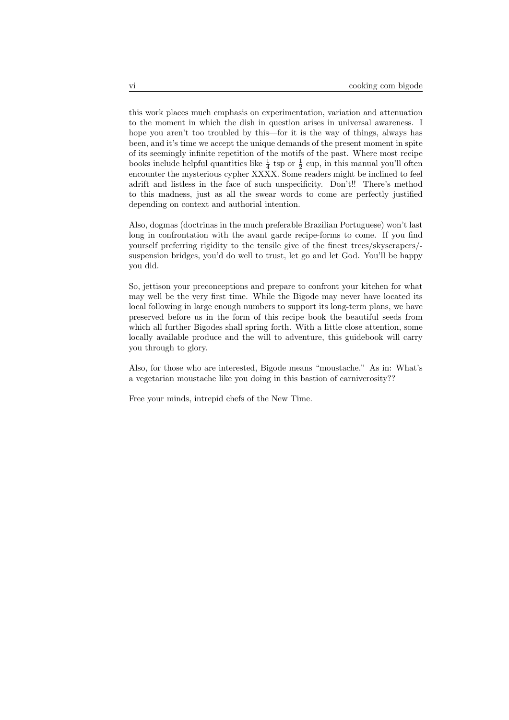this work places much emphasis on experimentation, variation and attenuation to the moment in which the dish in question arises in universal awareness. I hope you aren't too troubled by this—for it is the way of things, always has been, and it's time we accept the unique demands of the present moment in spite of its seemingly infinite repetition of the motifs of the past. Where most recipe books include helpful quantities like  $\frac{1}{4}$  tsp or  $\frac{1}{2}$  cup, in this manual you'll often encounter the mysterious cypher XXXX. Some readers might be inclined to feel adrift and listless in the face of such unspecificity. Don't!! There's method to this madness, just as all the swear words to come are perfectly justified depending on context and authorial intention.

Also, dogmas (doctrinas in the much preferable Brazilian Portuguese) won't last long in confrontation with the avant garde recipe-forms to come. If you find yourself preferring rigidity to the tensile give of the finest trees/skyscrapers/ suspension bridges, you'd do well to trust, let go and let God. You'll be happy you did.

So, jettison your preconceptions and prepare to confront your kitchen for what may well be the very first time. While the Bigode may never have located its local following in large enough numbers to support its long-term plans, we have preserved before us in the form of this recipe book the beautiful seeds from which all further Bigodes shall spring forth. With a little close attention, some locally available produce and the will to adventure, this guidebook will carry you through to glory.

Also, for those who are interested, Bigode means "moustache." As in: What's a vegetarian moustache like you doing in this bastion of carniverosity??

Free your minds, intrepid chefs of the New Time.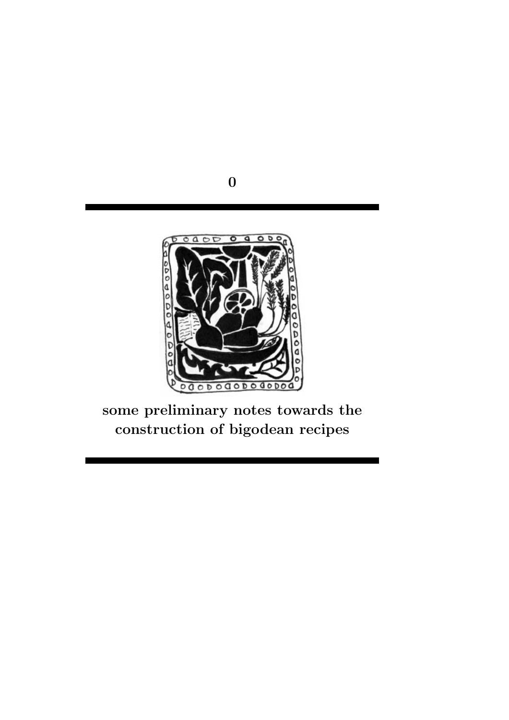<span id="page-6-0"></span>

0

some preliminary notes towards the construction of bigodean recipes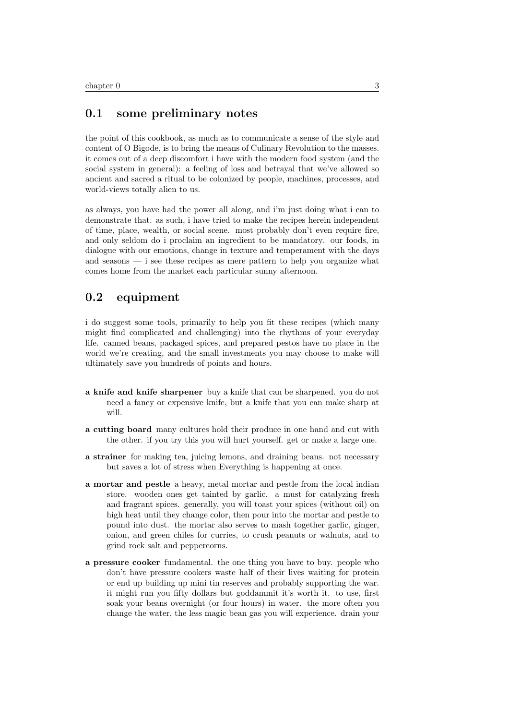### 0.1 some preliminary notes

the point of this cookbook, as much as to communicate a sense of the style and content of O Bigode, is to bring the means of Culinary Revolution to the masses. it comes out of a deep discomfort i have with the modern food system (and the social system in general): a feeling of loss and betrayal that we've allowed so ancient and sacred a ritual to be colonized by people, machines, processes, and world-views totally alien to us.

as always, you have had the power all along, and i'm just doing what i can to demonstrate that. as such, i have tried to make the recipes herein independent of time, place, wealth, or social scene. most probably don't even require fire, and only seldom do i proclaim an ingredient to be mandatory. our foods, in dialogue with our emotions, change in texture and temperament with the days and seasons — i see these recipes as mere pattern to help you organize what comes home from the market each particular sunny afternoon.

### 0.2 equipment

i do suggest some tools, primarily to help you fit these recipes (which many might find complicated and challenging) into the rhythms of your everyday life. canned beans, packaged spices, and prepared pestos have no place in the world we're creating, and the small investments you may choose to make will ultimately save you hundreds of points and hours.

- a knife and knife sharpener buy a knife that can be sharpened. you do not need a fancy or expensive knife, but a knife that you can make sharp at will.
- a cutting board many cultures hold their produce in one hand and cut with the other. if you try this you will hurt yourself. get or make a large one.
- a strainer for making tea, juicing lemons, and draining beans. not necessary but saves a lot of stress when Everything is happening at once.
- a mortar and pestle a heavy, metal mortar and pestle from the local indian store. wooden ones get tainted by garlic. a must for catalyzing fresh and fragrant spices. generally, you will toast your spices (without oil) on high heat until they change color, then pour into the mortar and pestle to pound into dust. the mortar also serves to mash together garlic, ginger, onion, and green chiles for curries, to crush peanuts or walnuts, and to grind rock salt and peppercorns.
- a pressure cooker fundamental. the one thing you have to buy. people who don't have pressure cookers waste half of their lives waiting for protein or end up building up mini tin reserves and probably supporting the war. it might run you fifty dollars but goddammit it's worth it. to use, first soak your beans overnight (or four hours) in water. the more often you change the water, the less magic bean gas you will experience. drain your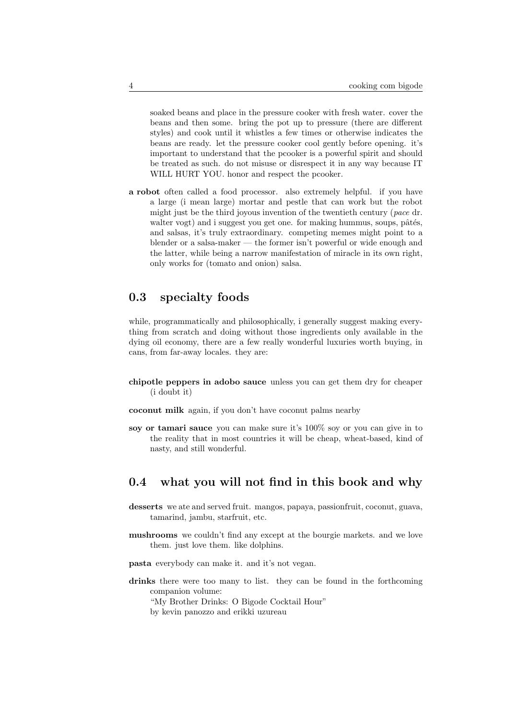soaked beans and place in the pressure cooker with fresh water. cover the beans and then some. bring the pot up to pressure (there are different styles) and cook until it whistles a few times or otherwise indicates the beans are ready. let the pressure cooker cool gently before opening. it's important to understand that the pcooker is a powerful spirit and should be treated as such. do not misuse or disrespect it in any way because IT WILL HURT YOU. honor and respect the pcooker.

a robot often called a food processor. also extremely helpful. if you have a large (i mean large) mortar and pestle that can work but the robot might just be the third joyous invention of the twentieth century (pace dr. walter vogt) and i suggest you get one. for making hummus, soups, pâtés, and salsas, it's truly extraordinary. competing memes might point to a blender or a salsa-maker — the former isn't powerful or wide enough and the latter, while being a narrow manifestation of miracle in its own right, only works for (tomato and onion) salsa.

### 0.3 specialty foods

while, programmatically and philosophically, i generally suggest making everything from scratch and doing without those ingredients only available in the dying oil economy, there are a few really wonderful luxuries worth buying, in cans, from far-away locales. they are:

- chipotle peppers in adobo sauce unless you can get them dry for cheaper (i doubt it)
- coconut milk again, if you don't have coconut palms nearby
- soy or tamari sauce you can make sure it's 100% soy or you can give in to the reality that in most countries it will be cheap, wheat-based, kind of nasty, and still wonderful.

### 0.4 what you will not find in this book and why

- desserts we ate and served fruit. mangos, papaya, passionfruit, coconut, guava, tamarind, jambu, starfruit, etc.
- mushrooms we couldn't find any except at the bourgie markets. and we love them. just love them. like dolphins.
- pasta everybody can make it. and it's not vegan.
- drinks there were too many to list. they can be found in the forthcoming companion volume: "My Brother Drinks: O Bigode Cocktail Hour" by kevin panozzo and erikki uzureau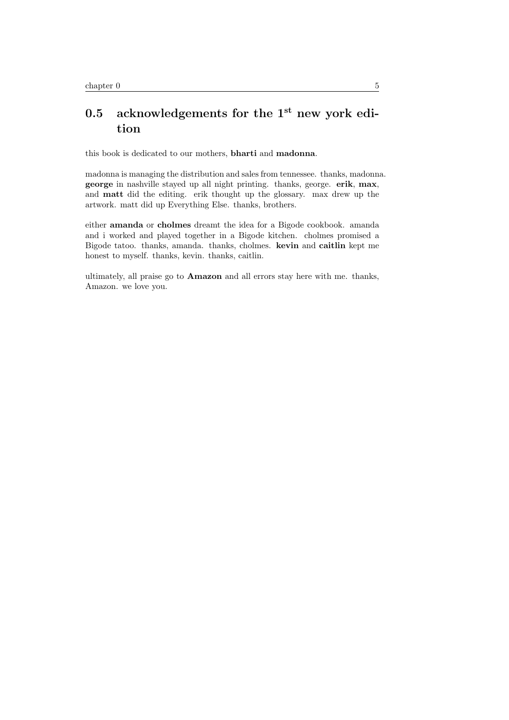## 0.5 acknowledgements for the  $1<sup>st</sup>$  new york edition

this book is dedicated to our mothers, bharti and madonna.

madonna is managing the distribution and sales from tennessee. thanks, madonna. george in nashville stayed up all night printing. thanks, george. erik, max, and matt did the editing. erik thought up the glossary. max drew up the artwork. matt did up Everything Else. thanks, brothers.

either amanda or cholmes dreamt the idea for a Bigode cookbook. amanda and i worked and played together in a Bigode kitchen. cholmes promised a Bigode tatoo. thanks, amanda. thanks, cholmes. kevin and caitlin kept me honest to myself. thanks, kevin. thanks, caitlin.

ultimately, all praise go to Amazon and all errors stay here with me. thanks, Amazon. we love you.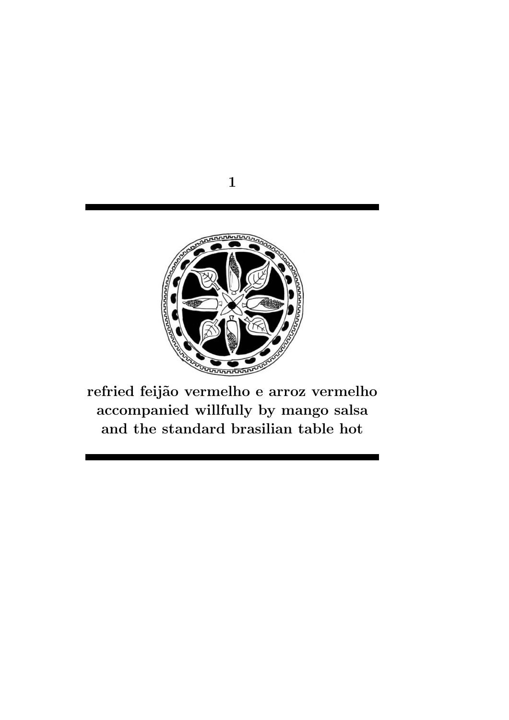<span id="page-12-0"></span>

refried feijão vermelho e arroz vermelho accompanied willfully by mango salsa and the standard brasilian table hot

1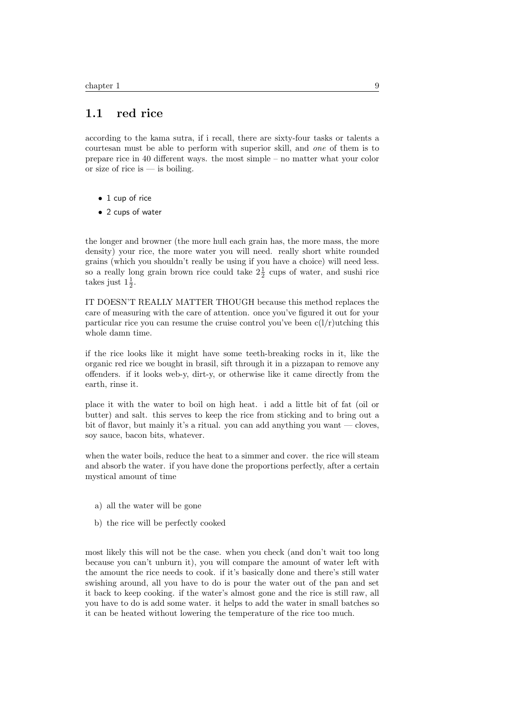### 1.1 red rice

according to the kama sutra, if i recall, there are sixty-four tasks or talents a courtesan must be able to perform with superior skill, and one of them is to prepare rice in 40 different ways. the most simple – no matter what your color or size of rice is  $-$  is boiling.

- 1 cup of rice
- 2 cups of water

the longer and browner (the more hull each grain has, the more mass, the more density) your rice, the more water you will need. really short white rounded grains (which you shouldn't really be using if you have a choice) will need less. so a really long grain brown rice could take  $2\frac{1}{2}$  cups of water, and sushi rice takes just  $1\frac{1}{2}$ .

IT DOESN'T REALLY MATTER THOUGH because this method replaces the care of measuring with the care of attention. once you've figured it out for your particular rice you can resume the cruise control you've been  $c(l/r)$ utching this whole damn time.

if the rice looks like it might have some teeth-breaking rocks in it, like the organic red rice we bought in brasil, sift through it in a pizzapan to remove any offenders. if it looks web-y, dirt-y, or otherwise like it came directly from the earth, rinse it.

place it with the water to boil on high heat. i add a little bit of fat (oil or butter) and salt. this serves to keep the rice from sticking and to bring out a bit of flavor, but mainly it's a ritual. you can add anything you want — cloves, soy sauce, bacon bits, whatever.

when the water boils, reduce the heat to a simmer and cover. the rice will steam and absorb the water. if you have done the proportions perfectly, after a certain mystical amount of time

- a) all the water will be gone
- b) the rice will be perfectly cooked

most likely this will not be the case. when you check (and don't wait too long because you can't unburn it), you will compare the amount of water left with the amount the rice needs to cook. if it's basically done and there's still water swishing around, all you have to do is pour the water out of the pan and set it back to keep cooking. if the water's almost gone and the rice is still raw, all you have to do is add some water. it helps to add the water in small batches so it can be heated without lowering the temperature of the rice too much.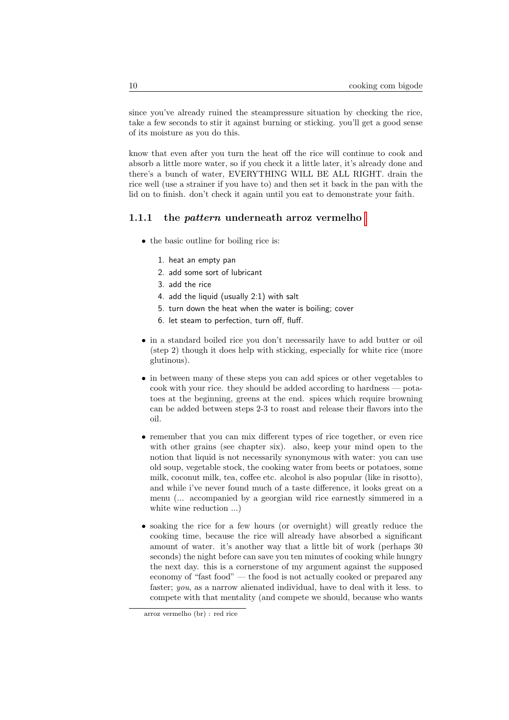since you've already ruined the steampressure situation by checking the rice, take a few seconds to stir it against burning or sticking. you'll get a good sense of its moisture as you do this.

know that even after you turn the heat off the rice will continue to cook and absorb a little more water, so if you check it a little later, it's already done and there's a bunch of water, EVERYTHING WILL BE ALL RIGHT. drain the rice well (use a strainer if you have to) and then set it back in the pan with the lid on to finish. don't check it again until you eat to demonstrate your faith.

### 1.1.1 the *pattern* underneath arroz vermelho

- the basic outline for boiling rice is:
	- 1. heat an empty pan
	- 2. add some sort of lubricant
	- 3. add the rice
	- 4. add the liquid (usually 2:1) with salt
	- 5. turn down the heat when the water is boiling; cover
	- 6. let steam to perfection, turn off, fluff.
- in a standard boiled rice you don't necessarily have to add butter or oil (step 2) though it does help with sticking, especially for white rice (more glutinous).
- in between many of these steps you can add spices or other vegetables to cook with your rice. they should be added according to hardness — potatoes at the beginning, greens at the end. spices which require browning can be added between steps 2-3 to roast and release their flavors into the oil.
- remember that you can mix different types of rice together, or even rice with other grains (see chapter six). also, keep your mind open to the notion that liquid is not necessarily synonymous with water: you can use old soup, vegetable stock, the cooking water from beets or potatoes, some milk, coconut milk, tea, coffee etc. alcohol is also popular (like in risotto), and while i've never found much of a taste difference, it looks great on a menu (... accompanied by a georgian wild rice earnestly simmered in a white wine reduction ...)
- soaking the rice for a few hours (or overnight) will greatly reduce the cooking time, because the rice will already have absorbed a significant amount of water. it's another way that a little bit of work (perhaps 30 seconds) the night before can save you ten minutes of cooking while hungry the next day. this is a cornerstone of my argument against the supposed economy of "fast food" — the food is not actually cooked or prepared any faster; you, as a narrow alienated individual, have to deal with it less, to compete with that mentality (and compete we should, because who wants

arroz vermelho (br) : red rice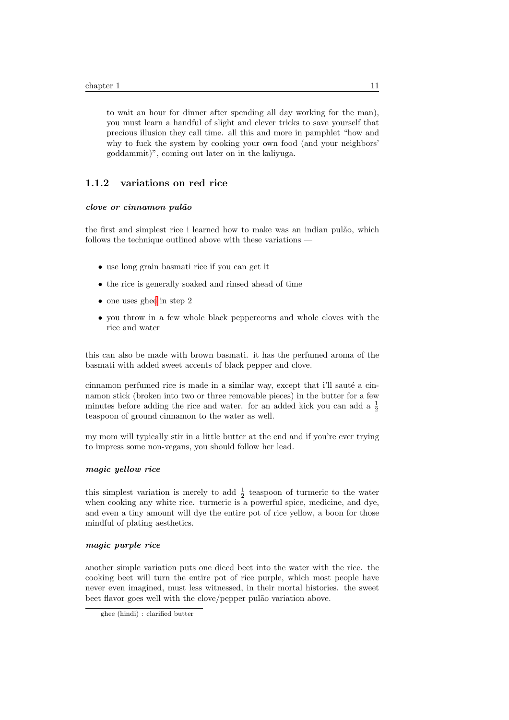to wait an hour for dinner after spending all day working for the man), you must learn a handful of slight and clever tricks to save yourself that precious illusion they call time. all this and more in pamphlet "how and why to fuck the system by cooking your own food (and your neighbors' goddammit)", coming out later on in the kaliyuga.

### 1.1.2 variations on red rice

#### clove or cinnamon pulão

the first and simplest rice i learned how to make was an indian pulão, which follows the technique outlined above with these variations —

- use long grain basmati rice if you can get it
- the rice is generally soaked and rinsed ahead of time
- on[e](#page-16-0) uses ghee in step 2
- you throw in a few whole black peppercorns and whole cloves with the rice and water

this can also be made with brown basmati. it has the perfumed aroma of the basmati with added sweet accents of black pepper and clove.

cinnamon perfumed rice is made in a similar way, except that i'll sauté a cinnamon stick (broken into two or three removable pieces) in the butter for a few minutes before adding the rice and water. for an added kick you can add a  $\frac{1}{2}$ teaspoon of ground cinnamon to the water as well.

my mom will typically stir in a little butter at the end and if you're ever trying to impress some non-vegans, you should follow her lead.

#### magic yellow rice

this simplest variation is merely to add  $\frac{1}{2}$  teaspoon of turmeric to the water when cooking any white rice. turmeric is a powerful spice, medicine, and dye, and even a tiny amount will dye the entire pot of rice yellow, a boon for those mindful of plating aesthetics.

### magic purple rice

another simple variation puts one diced beet into the water with the rice. the cooking beet will turn the entire pot of rice purple, which most people have never even imagined, must less witnessed, in their mortal histories. the sweet beet flavor goes well with the clove/pepper pulão variation above.

<span id="page-16-0"></span>ghee (hindi) : clarified butter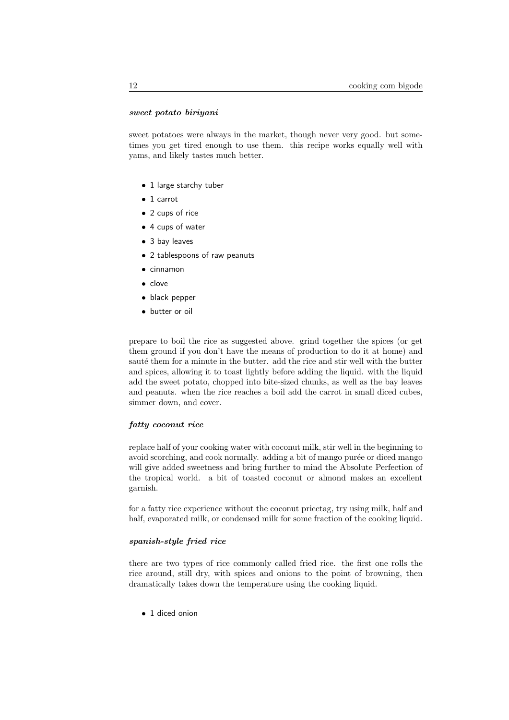### sweet potato biriyani

sweet potatoes were always in the market, though never very good. but sometimes you get tired enough to use them. this recipe works equally well with yams, and likely tastes much better.

- 1 large starchy tuber
- 1 carrot
- 2 cups of rice
- 4 cups of water
- 3 bay leaves
- 2 tablespoons of raw peanuts
- cinnamon
- clove
- black pepper
- butter or oil

prepare to boil the rice as suggested above. grind together the spices (or get them ground if you don't have the means of production to do it at home) and sauté them for a minute in the butter. add the rice and stir well with the butter and spices, allowing it to toast lightly before adding the liquid. with the liquid add the sweet potato, chopped into bite-sized chunks, as well as the bay leaves and peanuts. when the rice reaches a boil add the carrot in small diced cubes, simmer down, and cover.

#### fatty coconut rice

replace half of your cooking water with coconut milk, stir well in the beginning to avoid scorching, and cook normally. adding a bit of mango purée or diced mango will give added sweetness and bring further to mind the Absolute Perfection of the tropical world. a bit of toasted coconut or almond makes an excellent garnish.

for a fatty rice experience without the coconut pricetag, try using milk, half and half, evaporated milk, or condensed milk for some fraction of the cooking liquid.

### spanish-style fried rice

there are two types of rice commonly called fried rice. the first one rolls the rice around, still dry, with spices and onions to the point of browning, then dramatically takes down the temperature using the cooking liquid.

• 1 diced onion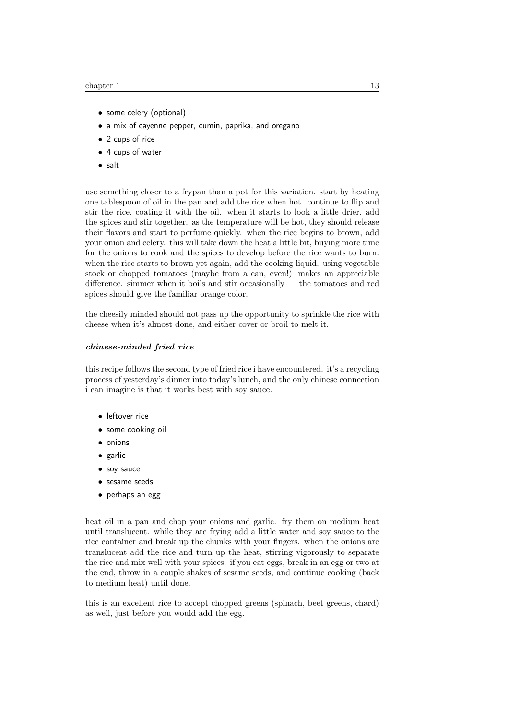- some celery (optional)
- a mix of cayenne pepper, cumin, paprika, and oregano
- 2 cups of rice
- 4 cups of water
- salt

use something closer to a frypan than a pot for this variation. start by heating one tablespoon of oil in the pan and add the rice when hot. continue to flip and stir the rice, coating it with the oil. when it starts to look a little drier, add the spices and stir together. as the temperature will be hot, they should release their flavors and start to perfume quickly. when the rice begins to brown, add your onion and celery. this will take down the heat a little bit, buying more time for the onions to cook and the spices to develop before the rice wants to burn. when the rice starts to brown yet again, add the cooking liquid. using vegetable stock or chopped tomatoes (maybe from a can, even!) makes an appreciable difference. simmer when it boils and stir occasionally — the tomatoes and red spices should give the familiar orange color.

the cheesily minded should not pass up the opportunity to sprinkle the rice with cheese when it's almost done, and either cover or broil to melt it.

#### chinese-minded fried rice

this recipe follows the second type of fried rice i have encountered. it's a recycling process of yesterday's dinner into today's lunch, and the only chinese connection i can imagine is that it works best with soy sauce.

- leftover rice
- some cooking oil
- onions
- garlic
- soy sauce
- sesame seeds
- perhaps an egg

heat oil in a pan and chop your onions and garlic. fry them on medium heat until translucent. while they are frying add a little water and soy sauce to the rice container and break up the chunks with your fingers. when the onions are translucent add the rice and turn up the heat, stirring vigorously to separate the rice and mix well with your spices. if you eat eggs, break in an egg or two at the end, throw in a couple shakes of sesame seeds, and continue cooking (back to medium heat) until done.

this is an excellent rice to accept chopped greens (spinach, beet greens, chard) as well, just before you would add the egg.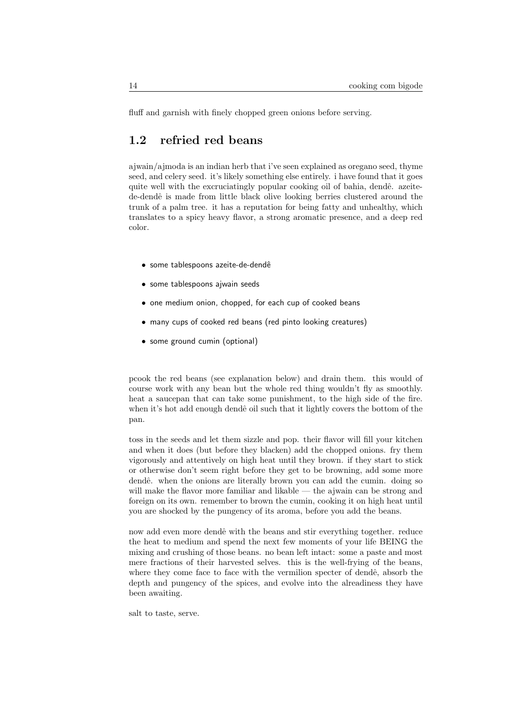fluff and garnish with finely chopped green onions before serving.

### 1.2 refried red beans

ajwain/ajmoda is an indian herb that i've seen explained as oregano seed, thyme seed, and celery seed. it's likely something else entirely. i have found that it goes quite well with the excruciatingly popular cooking oil of bahia, dendê. azeitede-dendê is made from little black olive looking berries clustered around the trunk of a palm tree. it has a reputation for being fatty and unhealthy, which translates to a spicy heavy flavor, a strong aromatic presence, and a deep red color.

- some tablespoons azeite-de-dendê
- some tablespoons ajwain seeds
- one medium onion, chopped, for each cup of cooked beans
- many cups of cooked red beans (red pinto looking creatures)
- some ground cumin (optional)

pcook the red beans (see explanation below) and drain them. this would of course work with any bean but the whole red thing wouldn't fly as smoothly. heat a saucepan that can take some punishment, to the high side of the fire. when it's hot add enough dendê oil such that it lightly covers the bottom of the pan.

toss in the seeds and let them sizzle and pop. their flavor will fill your kitchen and when it does (but before they blacken) add the chopped onions. fry them vigorously and attentively on high heat until they brown. if they start to stick or otherwise don't seem right before they get to be browning, add some more dendê. when the onions are literally brown you can add the cumin. doing so will make the flavor more familiar and likable — the ajwain can be strong and foreign on its own. remember to brown the cumin, cooking it on high heat until you are shocked by the pungency of its aroma, before you add the beans.

now add even more dendê with the beans and stir everything together. reduce the heat to medium and spend the next few moments of your life BEING the mixing and crushing of those beans. no bean left intact: some a paste and most mere fractions of their harvested selves. this is the well-frying of the beans, where they come face to face with the vermilion specter of dendê, absorb the depth and pungency of the spices, and evolve into the alreadiness they have been awaiting.

salt to taste, serve.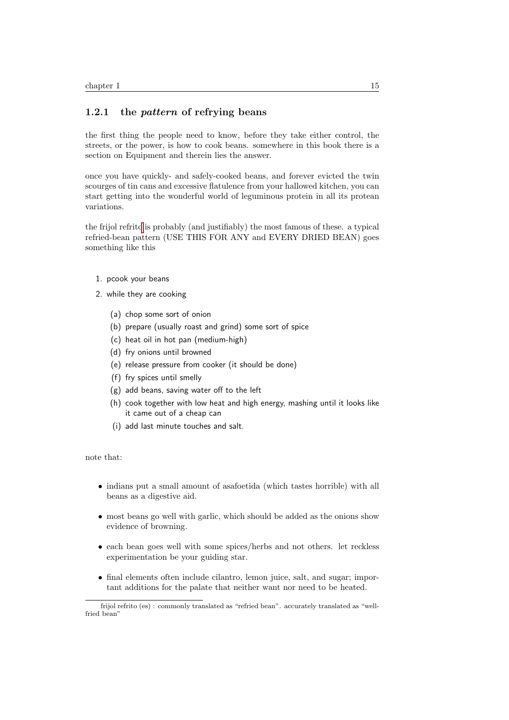### 1.2.1 the pattern of refrying beans

the first thing the people need to know, before they take either control, the streets, or the power, is how to cook beans. somewhere in this book there is a section on Equipment and therein lies the answer.

once you have quickly- and safely-cooked beans, and forever evicted the twin scourges of tin cans and excessive flatulence from your hallowed kitchen, you can start getting into the wonderful world of leguminous protein in all its protean variations.

the frijol refrit[o](#page-20-0) is probably (and justifiably) the most famous of these. a typical refried-bean pattern (USE THIS FOR ANY and EVERY DRIED BEAN) goes something like this

- 1. pcook your beans
- 2. while they are cooking
	- (a) chop some sort of onion
	- (b) prepare (usually roast and grind) some sort of spice
	- (c) heat oil in hot pan (medium-high)
	- (d) fry onions until browned
	- (e) release pressure from cooker (it should be done)
	- (f) fry spices until smelly
	- (g) add beans, saving water off to the left
	- (h) cook together with low heat and high energy, mashing until it looks like it came out of a cheap can
	- (i) add last minute touches and salt.

note that:

- indians put a small amount of asafoetida (which tastes horrible) with all beans as a digestive aid.
- most beans go well with garlic, which should be added as the onions show evidence of browning.
- each bean goes well with some spices/herbs and not others. let reckless experimentation be your guiding star.
- final elements often include cilantro, lemon juice, salt, and sugar; important additions for the palate that neither want nor need to be heated.

<span id="page-20-0"></span>frijol refrito (es) : commonly translated as "refried bean". accurately translated as "wellfried bean'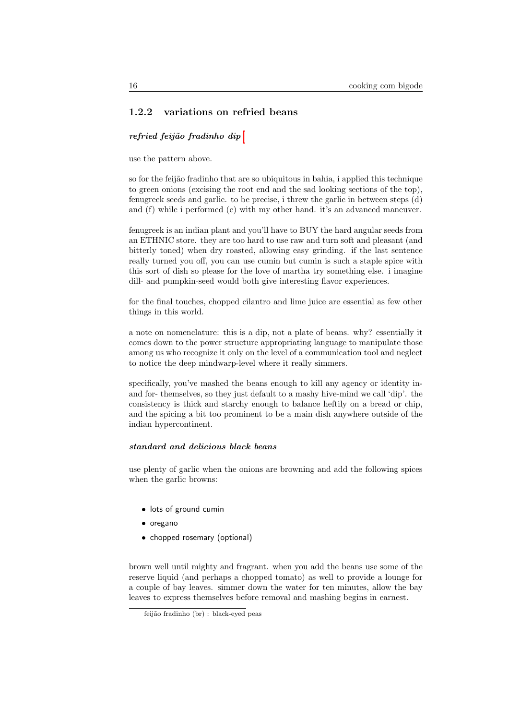### 1.2.2 variations on refried beans

#### refried feijão fradinho dip

use the pattern above.

so for the feijão fradinho that are so ubiquitous in bahia, i applied this technique to green onions (excising the root end and the sad looking sections of the top), fenugreek seeds and garlic. to be precise, i threw the garlic in between steps (d) and (f) while i performed (e) with my other hand. it's an advanced maneuver.

fenugreek is an indian plant and you'll have to BUY the hard angular seeds from an ETHNIC store. they are too hard to use raw and turn soft and pleasant (and bitterly toned) when dry roasted, allowing easy grinding. if the last sentence really turned you off, you can use cumin but cumin is such a staple spice with this sort of dish so please for the love of martha try something else. i imagine dill- and pumpkin-seed would both give interesting flavor experiences.

for the final touches, chopped cilantro and lime juice are essential as few other things in this world.

a note on nomenclature: this is a dip, not a plate of beans. why? essentially it comes down to the power structure appropriating language to manipulate those among us who recognize it only on the level of a communication tool and neglect to notice the deep mindwarp-level where it really simmers.

specifically, you've mashed the beans enough to kill any agency or identity inand for- themselves, so they just default to a mashy hive-mind we call 'dip'. the consistency is thick and starchy enough to balance heftily on a bread or chip, and the spicing a bit too prominent to be a main dish anywhere outside of the indian hypercontinent.

### standard and delicious black beans

use plenty of garlic when the onions are browning and add the following spices when the garlic browns:

- lots of ground cumin
- oregano
- chopped rosemary (optional)

brown well until mighty and fragrant. when you add the beans use some of the reserve liquid (and perhaps a chopped tomato) as well to provide a lounge for a couple of bay leaves. simmer down the water for ten minutes, allow the bay leaves to express themselves before removal and mashing begins in earnest.

feijão fradinho (br) : black-eyed peas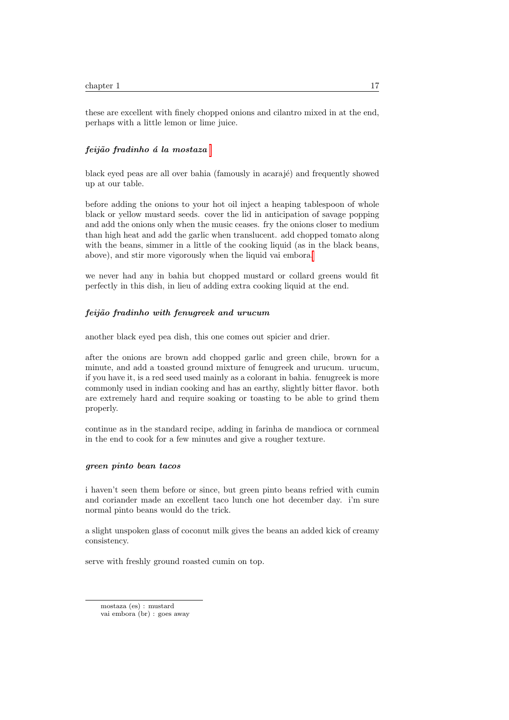these are excellent with finely chopped onions and cilantro mixed in at the end, perhaps with a little lemon or lime juice.

### feijão fradinho á la mostaza

black eyed peas are all over bahia (famously in acarajé) and frequently showed up at our table.

before adding the onions to your hot oil inject a heaping tablespoon of whole black or yellow mustard seeds. cover the lid in anticipation of savage popping and add the onions only when the music ceases. fry the onions closer to medium than high heat and add the garlic when translucent. add chopped tomato along with the beans, simmer in a little of the cooking liquid (as in the black beans, above), and stir more vigorously when the liquid vai embora[.](#page-22-0)

we never had any in bahia but chopped mustard or collard greens would fit perfectly in this dish, in lieu of adding extra cooking liquid at the end.

#### feijão fradinho with fenugreek and urucum

another black eyed pea dish, this one comes out spicier and drier.

after the onions are brown add chopped garlic and green chile, brown for a minute, and add a toasted ground mixture of fenugreek and urucum. urucum, if you have it, is a red seed used mainly as a colorant in bahia. fenugreek is more commonly used in indian cooking and has an earthy, slightly bitter flavor. both are extremely hard and require soaking or toasting to be able to grind them properly.

continue as in the standard recipe, adding in farinha de mandioca or cornmeal in the end to cook for a few minutes and give a rougher texture.

#### green pinto bean tacos

i haven't seen them before or since, but green pinto beans refried with cumin and coriander made an excellent taco lunch one hot december day. i'm sure normal pinto beans would do the trick.

a slight unspoken glass of coconut milk gives the beans an added kick of creamy consistency.

serve with freshly ground roasted cumin on top.

<span id="page-22-0"></span>mostaza (es) : mustard vai embora (br) : goes away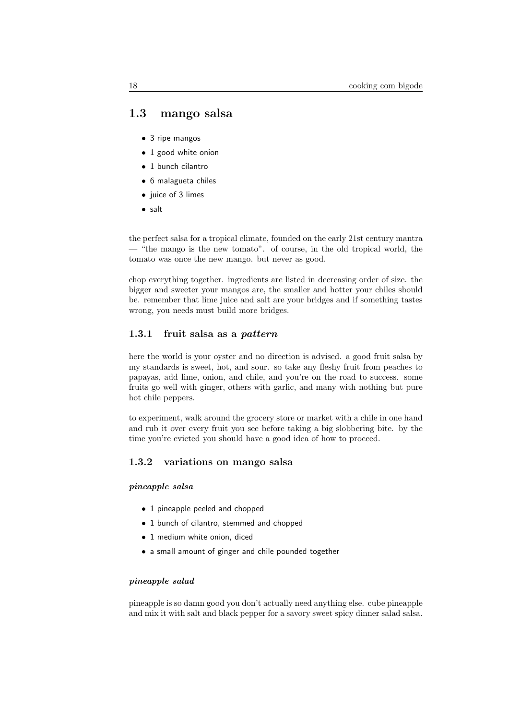### 1.3 mango salsa

- 3 ripe mangos
- 1 good white onion
- 1 bunch cilantro
- 6 malagueta chiles
- juice of 3 limes
- salt

the perfect salsa for a tropical climate, founded on the early 21st century mantra — "the mango is the new tomato". of course, in the old tropical world, the tomato was once the new mango. but never as good.

chop everything together. ingredients are listed in decreasing order of size. the bigger and sweeter your mangos are, the smaller and hotter your chiles should be. remember that lime juice and salt are your bridges and if something tastes wrong, you needs must build more bridges.

### 1.3.1 fruit salsa as a pattern

here the world is your oyster and no direction is advised. a good fruit salsa by my standards is sweet, hot, and sour. so take any fleshy fruit from peaches to papayas, add lime, onion, and chile, and you're on the road to success. some fruits go well with ginger, others with garlic, and many with nothing but pure hot chile peppers.

to experiment, walk around the grocery store or market with a chile in one hand and rub it over every fruit you see before taking a big slobbering bite. by the time you're evicted you should have a good idea of how to proceed.

### 1.3.2 variations on mango salsa

### pineapple salsa

- 1 pineapple peeled and chopped
- 1 bunch of cilantro, stemmed and chopped
- 1 medium white onion, diced
- a small amount of ginger and chile pounded together

### pineapple salad

pineapple is so damn good you don't actually need anything else. cube pineapple and mix it with salt and black pepper for a savory sweet spicy dinner salad salsa.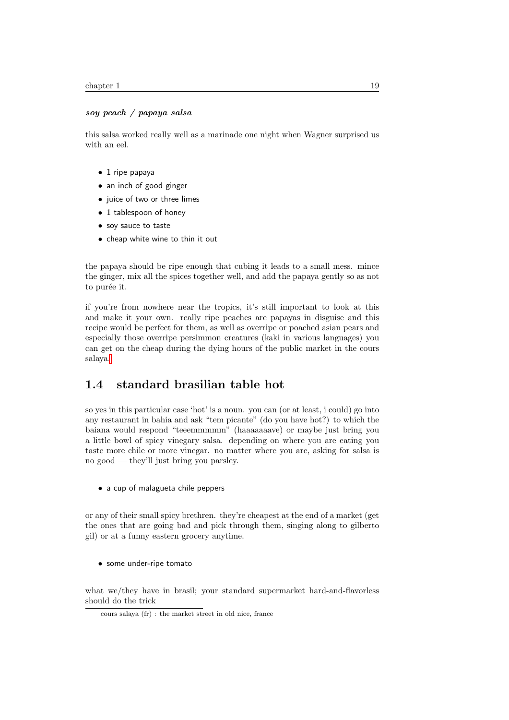### soy peach / papaya salsa

this salsa worked really well as a marinade one night when Wagner surprised us with an eel.

- 1 ripe papaya
- an inch of good ginger
- juice of two or three limes
- 1 tablespoon of honey
- soy sauce to taste
- cheap white wine to thin it out

the papaya should be ripe enough that cubing it leads to a small mess. mince the ginger, mix all the spices together well, and add the papaya gently so as not to purée it.

if you're from nowhere near the tropics, it's still important to look at this and make it your own. really ripe peaches are papayas in disguise and this recipe would be perfect for them, as well as overripe or poached asian pears and especially those overripe persimmon creatures (kaki in various languages) you can get on the cheap during the dying hours of the public market in the cours salaya[.](#page-24-0)

### 1.4 standard brasilian table hot

so yes in this particular case 'hot' is a noun. you can (or at least, i could) go into any restaurant in bahia and ask "tem picante" (do you have hot?) to which the baiana would respond "teeemmmmm" (haaaaaaave) or maybe just bring you a little bowl of spicy vinegary salsa. depending on where you are eating you taste more chile or more vinegar. no matter where you are, asking for salsa is no good — they'll just bring you parsley.

### • a cup of malagueta chile peppers

or any of their small spicy brethren. they're cheapest at the end of a market (get the ones that are going bad and pick through them, singing along to gilberto gil) or at a funny eastern grocery anytime.

#### • some under-ripe tomato

what we/they have in brasil; your standard supermarket hard-and-flavorless should do the trick

<span id="page-24-0"></span>cours salaya (fr) : the market street in old nice, france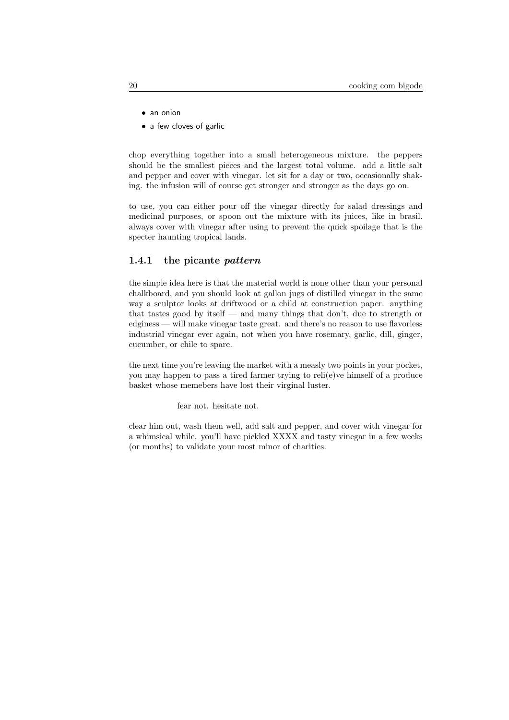- an onion
- a few cloves of garlic

chop everything together into a small heterogeneous mixture. the peppers should be the smallest pieces and the largest total volume. add a little salt and pepper and cover with vinegar. let sit for a day or two, occasionally shaking. the infusion will of course get stronger and stronger as the days go on.

to use, you can either pour off the vinegar directly for salad dressings and medicinal purposes, or spoon out the mixture with its juices, like in brasil. always cover with vinegar after using to prevent the quick spoilage that is the specter haunting tropical lands.

### 1.4.1 the picante pattern

the simple idea here is that the material world is none other than your personal chalkboard, and you should look at gallon jugs of distilled vinegar in the same way a sculptor looks at driftwood or a child at construction paper. anything that tastes good by itself — and many things that don't, due to strength or edginess — will make vinegar taste great. and there's no reason to use flavorless industrial vinegar ever again, not when you have rosemary, garlic, dill, ginger, cucumber, or chile to spare.

the next time you're leaving the market with a measly two points in your pocket, you may happen to pass a tired farmer trying to reli(e)ve himself of a produce basket whose memebers have lost their virginal luster.

fear not. hesitate not.

clear him out, wash them well, add salt and pepper, and cover with vinegar for a whimsical while. you'll have pickled XXXX and tasty vinegar in a few weeks (or months) to validate your most minor of charities.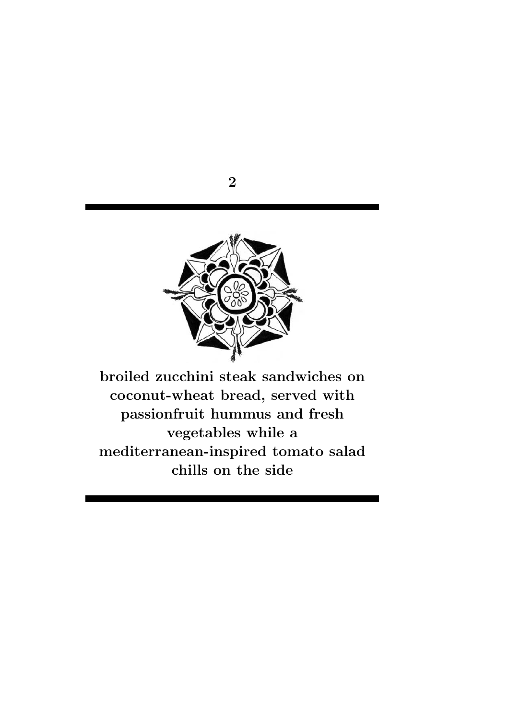<span id="page-26-0"></span>

broiled zucchini steak sandwiches on coconut-wheat bread, served with passionfruit hummus and fresh vegetables while a mediterranean-inspired tomato salad chills on the side

2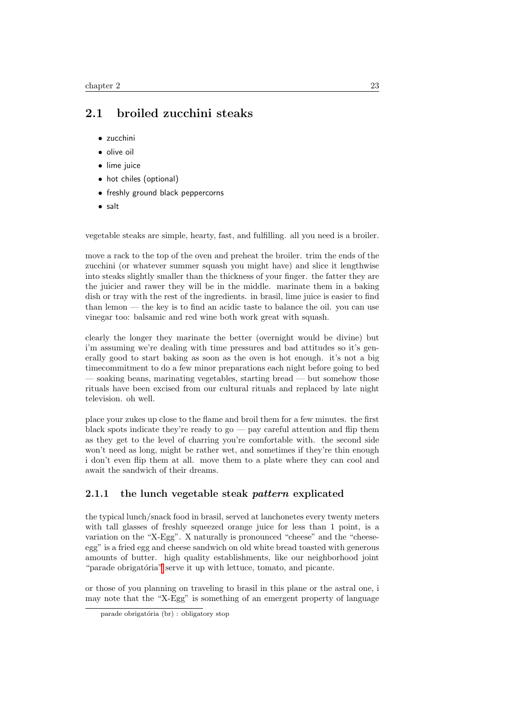### 2.1 broiled zucchini steaks

- zucchini
- olive oil
- lime juice
- hot chiles (optional)
- freshly ground black peppercorns
- salt

vegetable steaks are simple, hearty, fast, and fulfilling. all you need is a broiler.

move a rack to the top of the oven and preheat the broiler. trim the ends of the zucchini (or whatever summer squash you might have) and slice it lengthwise into steaks slightly smaller than the thickness of your finger. the fatter they are the juicier and rawer they will be in the middle. marinate them in a baking dish or tray with the rest of the ingredients. in brasil, lime juice is easier to find than lemon — the key is to find an acidic taste to balance the oil. you can use vinegar too: balsamic and red wine both work great with squash.

clearly the longer they marinate the better (overnight would be divine) but i'm assuming we're dealing with time pressures and bad attitudes so it's generally good to start baking as soon as the oven is hot enough. it's not a big timecommitment to do a few minor preparations each night before going to bed — soaking beans, marinating vegetables, starting bread — but somehow those rituals have been excised from our cultural rituals and replaced by late night television. oh well.

place your zukes up close to the flame and broil them for a few minutes. the first black spots indicate they're ready to  $\infty$  — pay careful attention and flip them as they get to the level of charring you're comfortable with. the second side won't need as long, might be rather wet, and sometimes if they're thin enough i don't even flip them at all. move them to a plate where they can cool and await the sandwich of their dreams.

### 2.1.1 the lunch vegetable steak *pattern* explicated

the typical lunch/snack food in brasil, served at lanchonetes every twenty meters with tall glasses of freshly squeezed orange juice for less than 1 point, is a variation on the "X-Egg". X naturally is pronounced "cheese" and the "cheeseegg" is a fried egg and cheese sandwich on old white bread toasted with generous amounts of butter. high quality establishments, like our neighborhood joint ["](#page-28-0)parade obrigatória" serve it up with lettuce, tomato, and picante.

or those of you planning on traveling to brasil in this plane or the astral one, i may note that the "X-Egg" is something of an emergent property of language

<span id="page-28-0"></span>parade obrigatória (br) : obligatory stop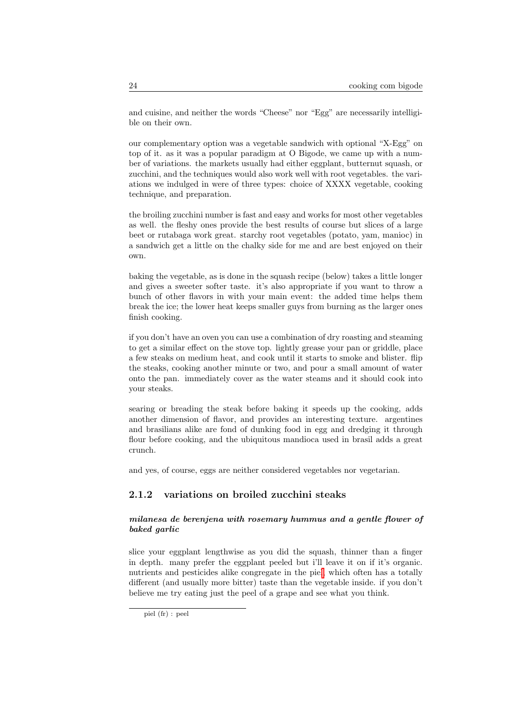and cuisine, and neither the words "Cheese" nor "Egg" are necessarily intelligible on their own.

our complementary option was a vegetable sandwich with optional "X-Egg" on top of it. as it was a popular paradigm at O Bigode, we came up with a number of variations. the markets usually had either eggplant, butternut squash, or zucchini, and the techniques would also work well with root vegetables. the variations we indulged in were of three types: choice of XXXX vegetable, cooking technique, and preparation.

the broiling zucchini number is fast and easy and works for most other vegetables as well. the fleshy ones provide the best results of course but slices of a large beet or rutabaga work great. starchy root vegetables (potato, yam, manioc) in a sandwich get a little on the chalky side for me and are best enjoyed on their own.

baking the vegetable, as is done in the squash recipe (below) takes a little longer and gives a sweeter softer taste. it's also appropriate if you want to throw a bunch of other flavors in with your main event: the added time helps them break the ice; the lower heat keeps smaller guys from burning as the larger ones finish cooking.

if you don't have an oven you can use a combination of dry roasting and steaming to get a similar effect on the stove top. lightly grease your pan or griddle, place a few steaks on medium heat, and cook until it starts to smoke and blister. flip the steaks, cooking another minute or two, and pour a small amount of water onto the pan. immediately cover as the water steams and it should cook into your steaks.

searing or breading the steak before baking it speeds up the cooking, adds another dimension of flavor, and provides an interesting texture. argentines and brasilians alike are fond of dunking food in egg and dredging it through flour before cooking, and the ubiquitous mandioca used in brasil adds a great crunch.

and yes, of course, eggs are neither considered vegetables nor vegetarian.

### 2.1.2 variations on broiled zucchini steaks

### milanesa de berenjena with rosemary hummus and a gentle flower of baked garlic

slice your eggplant lengthwise as you did the squash, thinner than a finger in depth. many prefer the eggplant peeled but i'll leave it on if it's organic. nutrients and pesticides alike congregate in the pie[l,](#page-29-0) which often has a totally different (and usually more bitter) taste than the vegetable inside. if you don't believe me try eating just the peel of a grape and see what you think.

<span id="page-29-0"></span>piel (fr) : peel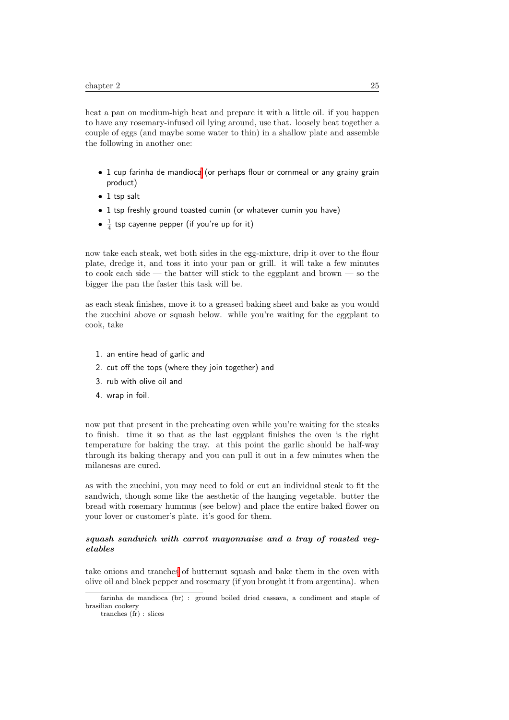heat a pan on medium-high heat and prepare it with a little oil. if you happen to have any rosemary-infused oil lying around, use that. loosely beat together a couple of eggs (and maybe some water to thin) in a shallow plate and assemble the following in another one:

- 1 cup f[a](#page-30-0)rinha de mandioca (or perhaps flour or cornmeal or any grainy grain product)
- 1 tsp salt
- 1 tsp freshly ground toasted cumin (or whatever cumin you have)
- $\frac{1}{4}$  tsp cayenne pepper (if you're up for it)

now take each steak, wet both sides in the egg-mixture, drip it over to the flour plate, dredge it, and toss it into your pan or grill. it will take a few minutes to cook each side — the batter will stick to the eggplant and brown — so the bigger the pan the faster this task will be.

as each steak finishes, move it to a greased baking sheet and bake as you would the zucchini above or squash below. while you're waiting for the eggplant to cook, take

- 1. an entire head of garlic and
- 2. cut off the tops (where they join together) and
- 3. rub with olive oil and
- 4. wrap in foil.

now put that present in the preheating oven while you're waiting for the steaks to finish. time it so that as the last eggplant finishes the oven is the right temperature for baking the tray. at this point the garlic should be half-way through its baking therapy and you can pull it out in a few minutes when the milanesas are cured.

as with the zucchini, you may need to fold or cut an individual steak to fit the sandwich, though some like the aesthetic of the hanging vegetable. butter the bread with rosemary hummus (see below) and place the entire baked flower on your lover or customer's plate. it's good for them.

### squash sandwich with carrot mayonnaise and a tray of roasted vegetables

take onions and tranche[s](#page-30-1) of butternut squash and bake them in the oven with olive oil and black pepper and rosemary (if you brought it from argentina). when

<span id="page-30-0"></span>farinha de mandioca (br) : ground boiled dried cassava, a condiment and staple of brasilian cookery

<span id="page-30-1"></span>tranches (fr) : slices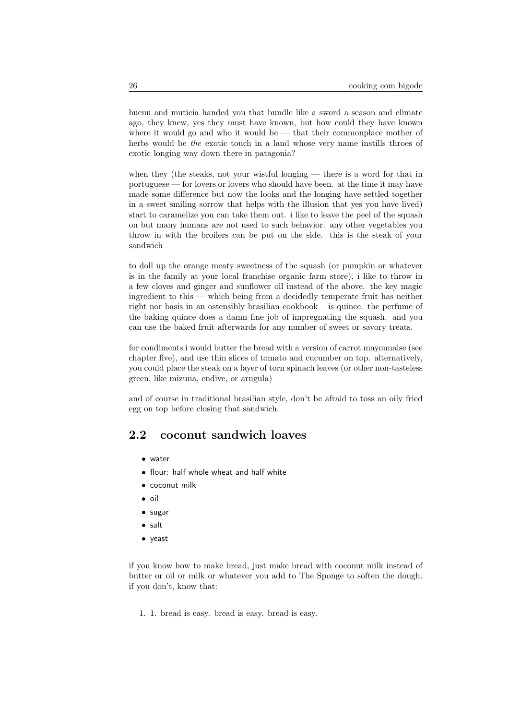huenu and muticia handed you that bundle like a sword a season and climate ago, they knew, yes they must have known, but how could they have known where it would go and who it would be  $-$  that their commonplace mother of herbs would be the exotic touch in a land whose very name instills throes of exotic longing way down there in patagonia?

when they (the steaks, not your wistful longing — there is a word for that in portuguese — for lovers or lovers who should have been. at the time it may have made some difference but now the looks and the longing have settled together in a sweet smiling sorrow that helps with the illusion that yes you have lived) start to caramelize you can take them out. i like to leave the peel of the squash on but many humans are not used to such behavior. any other vegetables you throw in with the broilers can be put on the side. this is the steak of your sandwich

to doll up the orange meaty sweetness of the squash (or pumpkin or whatever is in the family at your local franchise organic farm store), i like to throw in a few cloves and ginger and sunflower oil instead of the above. the key magic ingredient to this — which being from a decidedly temperate fruit has neither right nor basis in an ostensibly brasilian cookbook – is quince. the perfume of the baking quince does a damn fine job of impregnating the squash. and you can use the baked fruit afterwards for any number of sweet or savory treats.

for condiments i would butter the bread with a version of carrot mayonnaise (see chapter five), and use thin slices of tomato and cucumber on top. alternatively, you could place the steak on a layer of torn spinach leaves (or other non-tasteless green, like mizuna, endive, or arugula)

and of course in traditional brasilian style, don't be afraid to toss an oily fried egg on top before closing that sandwich.

### 2.2 coconut sandwich loaves

- water
- flour: half whole wheat and half white
- coconut milk
- oil
- sugar
- salt
- yeast

if you know how to make bread, just make bread with coconut milk instead of butter or oil or milk or whatever you add to The Sponge to soften the dough. if you don't, know that:

1. 1. bread is easy. bread is easy. bread is easy.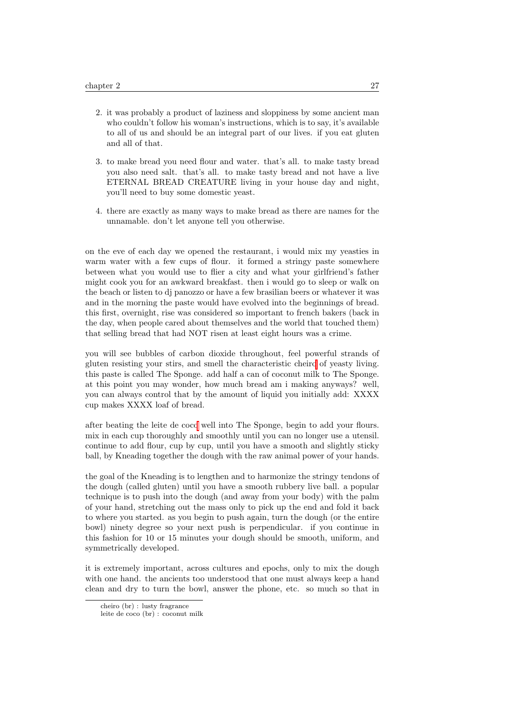- 2. it was probably a product of laziness and sloppiness by some ancient man who couldn't follow his woman's instructions, which is to say, it's available to all of us and should be an integral part of our lives. if you eat gluten and all of that.
- 3. to make bread you need flour and water. that's all. to make tasty bread you also need salt. that's all. to make tasty bread and not have a live ETERNAL BREAD CREATURE living in your house day and night, you'll need to buy some domestic yeast.
- 4. there are exactly as many ways to make bread as there are names for the unnamable. don't let anyone tell you otherwise.

on the eve of each day we opened the restaurant, i would mix my yeasties in warm water with a few cups of flour. it formed a stringy paste somewhere between what you would use to flier a city and what your girlfriend's father might cook you for an awkward breakfast. then i would go to sleep or walk on the beach or listen to dj panozzo or have a few brasilian beers or whatever it was and in the morning the paste would have evolved into the beginnings of bread. this first, overnight, rise was considered so important to french bakers (back in the day, when people cared about themselves and the world that touched them) that selling bread that had NOT risen at least eight hours was a crime.

you will see bubbles of carbon dioxide throughout, feel powerful strands of gluten resisting your stirs, and smell the characteristic cheir[o](#page-32-0) of yeasty living. this paste is called The Sponge. add half a can of coconut milk to The Sponge. at this point you may wonder, how much bread am i making anyways? well, you can always control that by the amount of liquid you initially add: XXXX cup makes XXXX loaf of bread.

after beating the leite de coc[o](#page-32-1) well into The Sponge, begin to add your flours. mix in each cup thoroughly and smoothly until you can no longer use a utensil. continue to add flour, cup by cup, until you have a smooth and slightly sticky ball, by Kneading together the dough with the raw animal power of your hands.

the goal of the Kneading is to lengthen and to harmonize the stringy tendons of the dough (called gluten) until you have a smooth rubbery live ball. a popular technique is to push into the dough (and away from your body) with the palm of your hand, stretching out the mass only to pick up the end and fold it back to where you started. as you begin to push again, turn the dough (or the entire bowl) ninety degree so your next push is perpendicular. if you continue in this fashion for 10 or 15 minutes your dough should be smooth, uniform, and symmetrically developed.

it is extremely important, across cultures and epochs, only to mix the dough with one hand. the ancients too understood that one must always keep a hand clean and dry to turn the bowl, answer the phone, etc. so much so that in

<span id="page-32-0"></span>cheiro (br) : lusty fragrance

<span id="page-32-1"></span>leite de coco (br) : coconut milk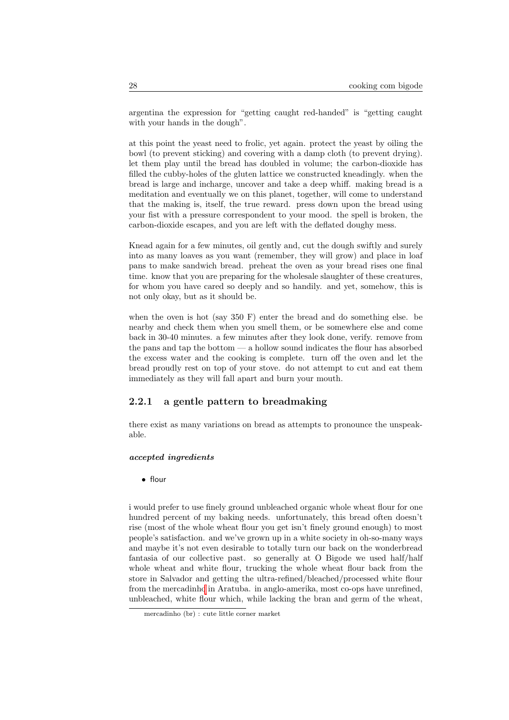argentina the expression for "getting caught red-handed" is "getting caught with your hands in the dough".

at this point the yeast need to frolic, yet again. protect the yeast by oiling the bowl (to prevent sticking) and covering with a damp cloth (to prevent drying). let them play until the bread has doubled in volume; the carbon-dioxide has filled the cubby-holes of the gluten lattice we constructed kneadingly. when the bread is large and incharge, uncover and take a deep whiff. making bread is a meditation and eventually we on this planet, together, will come to understand that the making is, itself, the true reward. press down upon the bread using your fist with a pressure correspondent to your mood. the spell is broken, the carbon-dioxide escapes, and you are left with the deflated doughy mess.

Knead again for a few minutes, oil gently and, cut the dough swiftly and surely into as many loaves as you want (remember, they will grow) and place in loaf pans to make sandwich bread. preheat the oven as your bread rises one final time. know that you are preparing for the wholesale slaughter of these creatures, for whom you have cared so deeply and so handily. and yet, somehow, this is not only okay, but as it should be.

when the oven is hot (say 350 F) enter the bread and do something else. be nearby and check them when you smell them, or be somewhere else and come back in 30-40 minutes. a few minutes after they look done, verify. remove from the pans and tap the bottom — a hollow sound indicates the flour has absorbed the excess water and the cooking is complete. turn off the oven and let the bread proudly rest on top of your stove. do not attempt to cut and eat them immediately as they will fall apart and burn your mouth.

### 2.2.1 a gentle pattern to breadmaking

there exist as many variations on bread as attempts to pronounce the unspeakable.

#### accepted ingredients

• flour

i would prefer to use finely ground unbleached organic whole wheat flour for one hundred percent of my baking needs. unfortunately, this bread often doesn't rise (most of the whole wheat flour you get isn't finely ground enough) to most people's satisfaction. and we've grown up in a white society in oh-so-many ways and maybe it's not even desirable to totally turn our back on the wonderbread fantasia of our collective past. so generally at O Bigode we used half/half whole wheat and white flour, trucking the whole wheat flour back from the store in Salvador and getting the ultra-refined/bleached/processed white flour from the mercadinh[o](#page-33-0) in Aratuba. in anglo-amerika, most co-ops have unrefined, unbleached, white flour which, while lacking the bran and germ of the wheat,

<span id="page-33-0"></span>mercadinho (br) : cute little corner market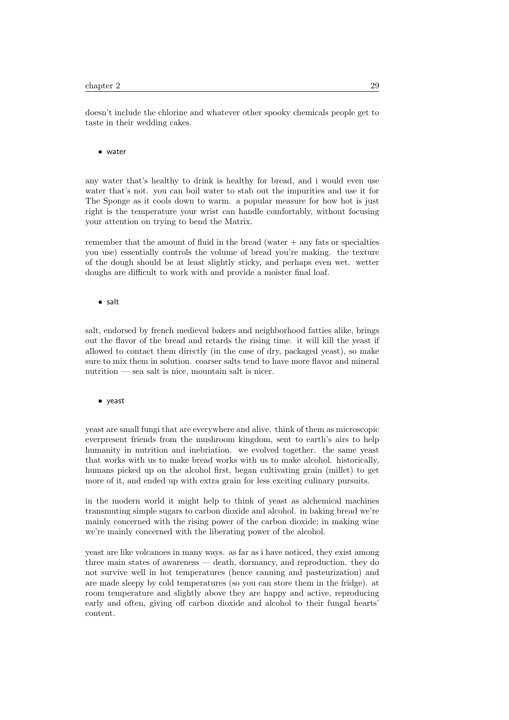doesn't include the chlorine and whatever other spooky chemicals people get to taste in their wedding cakes.

• water

any water that's healthy to drink is healthy for bread, and i would even use water that's not. you can boil water to stab out the impurities and use it for The Sponge as it cools down to warm. a popular measure for how hot is just right is the temperature your wrist can handle comfortably, without focusing your attention on trying to bend the Matrix.

remember that the amount of fluid in the bread (water + any fats or specialties you use) essentially controls the volume of bread you're making. the texture of the dough should be at least slightly sticky, and perhaps even wet. wetter doughs are difficult to work with and provide a moister final loaf.

• salt

salt, endorsed by french medieval bakers and neighborhood fatties alike, brings out the flavor of the bread and retards the rising time. it will kill the yeast if allowed to contact them directly (in the case of dry, packaged yeast), so make sure to mix them in solution. coarser salts tend to have more flavor and mineral nutrition — sea salt is nice, mountain salt is nicer.

• yeast

yeast are small fungi that are everywhere and alive. think of them as microscopic everpresent friends from the mushroom kingdom, sent to earth's airs to help humanity in nutrition and inebriation. we evolved together. the same yeast that works with us to make bread works with us to make alcohol. historically, humans picked up on the alcohol first, began cultivating grain (millet) to get more of it, and ended up with extra grain for less exciting culinary pursuits.

in the modern world it might help to think of yeast as alchemical machines transmuting simple sugars to carbon dioxide and alcohol. in baking bread we're mainly concerned with the rising power of the carbon dioxide; in making wine we're mainly concerned with the liberating power of the alcohol.

yeast are like volcanoes in many ways. as far as i have noticed, they exist among three main states of awareness — death, dormancy, and reproduction. they do not survive well in hot temperatures (hence canning and pasteurization) and are made sleepy by cold temperatures (so you can store them in the fridge). at room temperature and slightly above they are happy and active, reproducing early and often, giving off carbon dioxide and alcohol to their fungal hearts' content.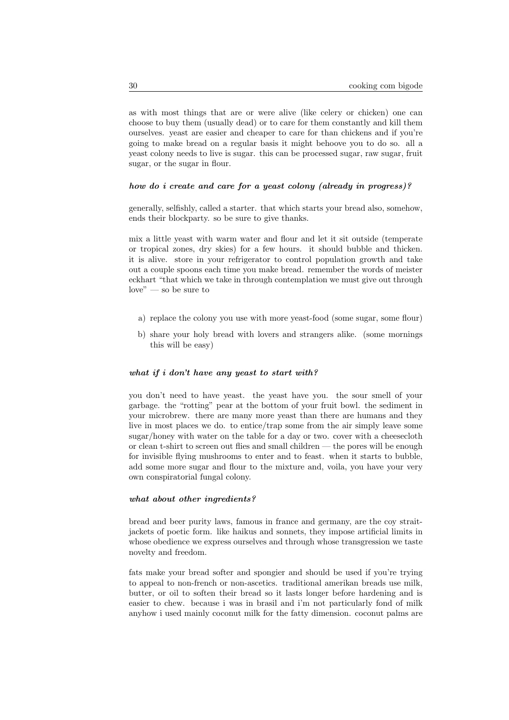as with most things that are or were alive (like celery or chicken) one can choose to buy them (usually dead) or to care for them constantly and kill them ourselves. yeast are easier and cheaper to care for than chickens and if you're going to make bread on a regular basis it might behoove you to do so. all a yeast colony needs to live is sugar. this can be processed sugar, raw sugar, fruit sugar, or the sugar in flour.

### how do *i* create and care for a yeast colony (already in progress)?

generally, selfishly, called a starter. that which starts your bread also, somehow, ends their blockparty. so be sure to give thanks.

mix a little yeast with warm water and flour and let it sit outside (temperate or tropical zones, dry skies) for a few hours. it should bubble and thicken. it is alive. store in your refrigerator to control population growth and take out a couple spoons each time you make bread. remember the words of meister eckhart "that which we take in through contemplation we must give out through love" — so be sure to

- a) replace the colony you use with more yeast-food (some sugar, some flour)
- b) share your holy bread with lovers and strangers alike. (some mornings this will be easy)

#### what if i don't have any yeast to start with?

you don't need to have yeast. the yeast have you. the sour smell of your garbage. the "rotting" pear at the bottom of your fruit bowl. the sediment in your microbrew. there are many more yeast than there are humans and they live in most places we do. to entice/trap some from the air simply leave some sugar/honey with water on the table for a day or two. cover with a cheesecloth or clean t-shirt to screen out flies and small children — the pores will be enough for invisible flying mushrooms to enter and to feast. when it starts to bubble, add some more sugar and flour to the mixture and, voila, you have your very own conspiratorial fungal colony.

### what about other ingredients?

bread and beer purity laws, famous in france and germany, are the coy straitjackets of poetic form. like haikus and sonnets, they impose artificial limits in whose obedience we express ourselves and through whose transgression we taste novelty and freedom.

fats make your bread softer and spongier and should be used if you're trying to appeal to non-french or non-ascetics. traditional amerikan breads use milk, butter, or oil to soften their bread so it lasts longer before hardening and is easier to chew. because i was in brasil and i'm not particularly fond of milk anyhow i used mainly coconut milk for the fatty dimension. coconut palms are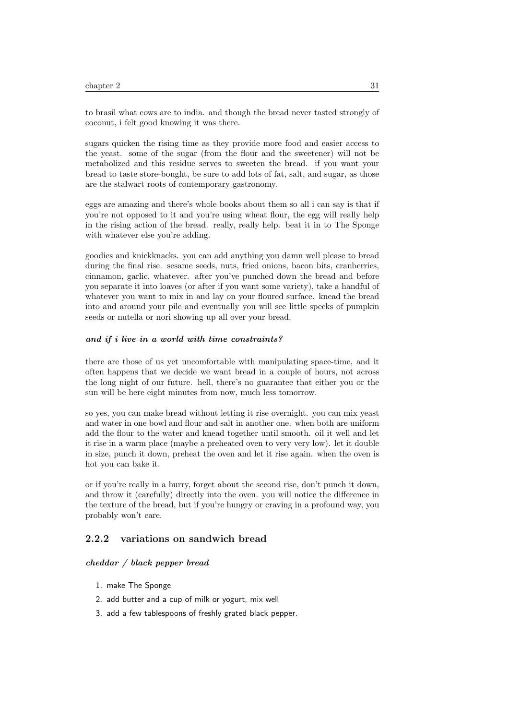to brasil what cows are to india. and though the bread never tasted strongly of coconut, i felt good knowing it was there.

sugars quicken the rising time as they provide more food and easier access to the yeast. some of the sugar (from the flour and the sweetener) will not be metabolized and this residue serves to sweeten the bread. if you want your bread to taste store-bought, be sure to add lots of fat, salt, and sugar, as those are the stalwart roots of contemporary gastronomy.

eggs are amazing and there's whole books about them so all i can say is that if you're not opposed to it and you're using wheat flour, the egg will really help in the rising action of the bread. really, really help. beat it in to The Sponge with whatever else you're adding.

goodies and knickknacks. you can add anything you damn well please to bread during the final rise. sesame seeds, nuts, fried onions, bacon bits, cranberries, cinnamon, garlic, whatever. after you've punched down the bread and before you separate it into loaves (or after if you want some variety), take a handful of whatever you want to mix in and lay on your floured surface. knead the bread into and around your pile and eventually you will see little specks of pumpkin seeds or nutella or nori showing up all over your bread.

#### and if i live in a world with time constraints?

there are those of us yet uncomfortable with manipulating space-time, and it often happens that we decide we want bread in a couple of hours, not across the long night of our future. hell, there's no guarantee that either you or the sun will be here eight minutes from now, much less tomorrow.

so yes, you can make bread without letting it rise overnight. you can mix yeast and water in one bowl and flour and salt in another one. when both are uniform add the flour to the water and knead together until smooth. oil it well and let it rise in a warm place (maybe a preheated oven to very very low). let it double in size, punch it down, preheat the oven and let it rise again. when the oven is hot you can bake it.

or if you're really in a hurry, forget about the second rise, don't punch it down, and throw it (carefully) directly into the oven. you will notice the difference in the texture of the bread, but if you're hungry or craving in a profound way, you probably won't care.

## 2.2.2 variations on sandwich bread

### cheddar / black pepper bread

- 1. make The Sponge
- 2. add butter and a cup of milk or yogurt, mix well
- 3. add a few tablespoons of freshly grated black pepper.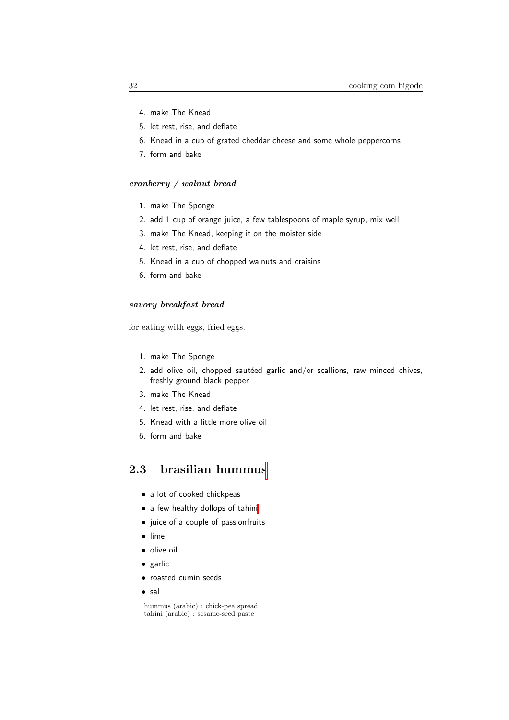- 4. make The Knead
- 5. let rest, rise, and deflate
- 6. Knead in a cup of grated cheddar cheese and some whole peppercorns
- 7. form and bake

## cranberry / walnut bread

- 1. make The Sponge
- 2. add 1 cup of orange juice, a few tablespoons of maple syrup, mix well
- 3. make The Knead, keeping it on the moister side
- 4. let rest, rise, and deflate
- 5. Knead in a cup of chopped walnuts and craisins
- 6. form and bake

## savory breakfast bread

for eating with eggs, fried eggs.

- 1. make The Sponge
- 2. add olive oil, chopped sautéed garlic and/or scallions, raw minced chives, freshly ground black pepper
- 3. make The Knead
- 4. let rest, rise, and deflate
- 5. Knead with a little more olive oil
- 6. form and bake

# 2.3 brasilian hummu[s](#page-37-0)

- a lot of cooked chickpeas
- a few healthy dollops of tahin[i](#page-37-1)
- juice of a couple of passionfruits
- lime
- olive oil
- garlic
- roasted cumin seeds
- sal

<span id="page-37-1"></span><span id="page-37-0"></span>hummus (arabic) : chick-pea spread tahini (arabic) : sesame-seed paste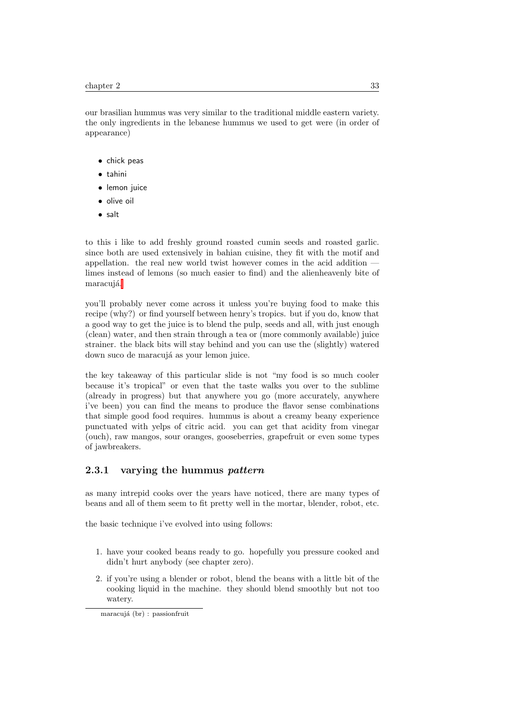our brasilian hummus was very similar to the traditional middle eastern variety. the only ingredients in the lebanese hummus we used to get were (in order of appearance)

- chick peas
- tahini
- lemon juice
- olive oil
- salt

to this i like to add freshly ground roasted cumin seeds and roasted garlic. since both are used extensively in bahian cuisine, they fit with the motif and appellation. the real new world twist however comes in the acid addition limes instead of lemons (so much easier to find) and the alienheavenly bite of maracujá[.](#page-38-0)

you'll probably never come across it unless you're buying food to make this recipe (why?) or find yourself between henry's tropics. but if you do, know that a good way to get the juice is to blend the pulp, seeds and all, with just enough (clean) water, and then strain through a tea or (more commonly available) juice strainer. the black bits will stay behind and you can use the (slightly) watered down suco de maracujá as your lemon juice.

the key takeaway of this particular slide is not "my food is so much cooler because it's tropical" or even that the taste walks you over to the sublime (already in progress) but that anywhere you go (more accurately, anywhere i've been) you can find the means to produce the flavor sense combinations that simple good food requires. hummus is about a creamy beany experience punctuated with yelps of citric acid. you can get that acidity from vinegar (ouch), raw mangos, sour oranges, gooseberries, grapefruit or even some types of jawbreakers.

## 2.3.1 varying the hummus pattern

as many intrepid cooks over the years have noticed, there are many types of beans and all of them seem to fit pretty well in the mortar, blender, robot, etc.

the basic technique i've evolved into using follows:

- 1. have your cooked beans ready to go. hopefully you pressure cooked and didn't hurt anybody (see chapter zero).
- 2. if you're using a blender or robot, blend the beans with a little bit of the cooking liquid in the machine. they should blend smoothly but not too watery.

<span id="page-38-0"></span>maracujá (br) : passionfruit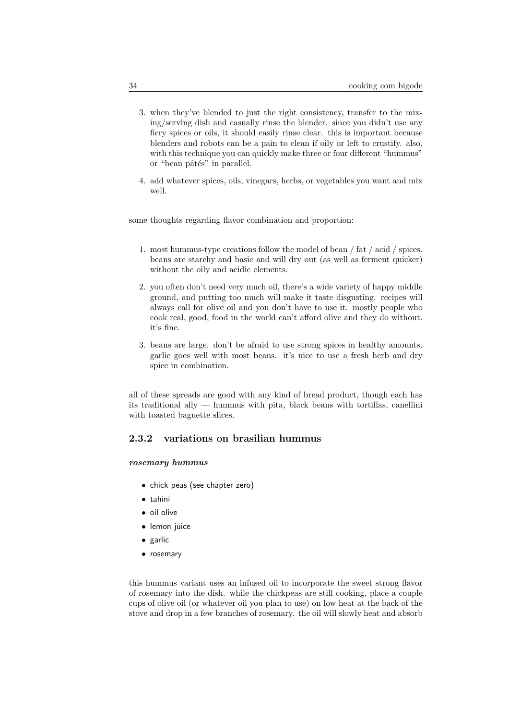- 3. when they've blended to just the right consistency, transfer to the mixing/serving dish and casually rinse the blender. since you didn't use any fiery spices or oils, it should easily rinse clear. this is important because blenders and robots can be a pain to clean if oily or left to crustify. also, with this technique you can quickly make three or four different "hummus" or "bean pâtés" in parallel.
- 4. add whatever spices, oils, vinegars, herbs, or vegetables you want and mix well.

some thoughts regarding flavor combination and proportion:

- 1. most hummus-type creations follow the model of bean / fat / acid / spices. beans are starchy and basic and will dry out (as well as ferment quicker) without the oily and acidic elements.
- 2. you often don't need very much oil, there's a wide variety of happy middle ground, and putting too much will make it taste disgusting. recipes will always call for olive oil and you don't have to use it. mostly people who cook real, good, food in the world can't afford olive and they do without. it's fine.
- 3. beans are large. don't be afraid to use strong spices in healthy amounts. garlic goes well with most beans. it's nice to use a fresh herb and dry spice in combination.

all of these spreads are good with any kind of bread product, though each has its traditional ally — hummus with pita, black beans with tortillas, canellini with toasted baguette slices.

## 2.3.2 variations on brasilian hummus

#### rosemary hummus

- chick peas (see chapter zero)
- tahini
- oil olive
- lemon juice
- garlic
- rosemary

this hummus variant uses an infused oil to incorporate the sweet strong flavor of rosemary into the dish. while the chickpeas are still cooking, place a couple cups of olive oil (or whatever oil you plan to use) on low heat at the back of the stove and drop in a few branches of rosemary. the oil will slowly heat and absorb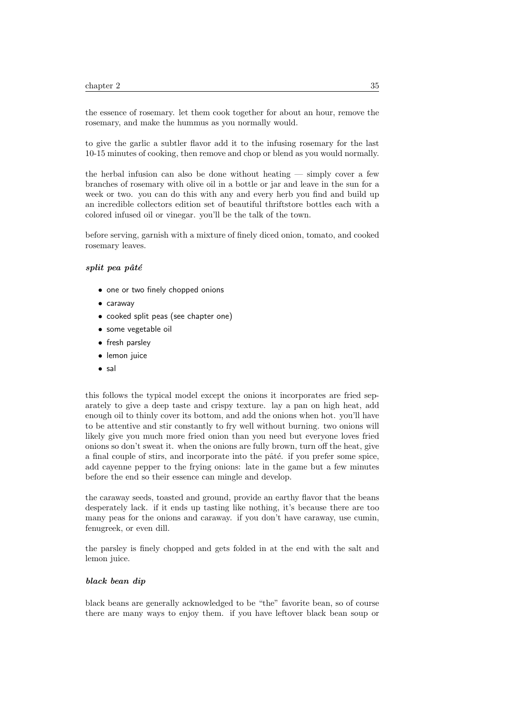the essence of rosemary. let them cook together for about an hour, remove the rosemary, and make the hummus as you normally would.

to give the garlic a subtler flavor add it to the infusing rosemary for the last 10-15 minutes of cooking, then remove and chop or blend as you would normally.

the herbal infusion can also be done without heating — simply cover a few branches of rosemary with olive oil in a bottle or jar and leave in the sun for a week or two. you can do this with any and every herb you find and build up an incredible collectors edition set of beautiful thriftstore bottles each with a colored infused oil or vinegar. you'll be the talk of the town.

before serving, garnish with a mixture of finely diced onion, tomato, and cooked rosemary leaves.

## split pea pâté

- one or two finely chopped onions
- caraway
- cooked split peas (see chapter one)
- some vegetable oil
- fresh parsley
- lemon juice
- $•$  sal

this follows the typical model except the onions it incorporates are fried separately to give a deep taste and crispy texture. lay a pan on high heat, add enough oil to thinly cover its bottom, and add the onions when hot. you'll have to be attentive and stir constantly to fry well without burning. two onions will likely give you much more fried onion than you need but everyone loves fried onions so don't sweat it. when the onions are fully brown, turn off the heat, give a final couple of stirs, and incorporate into the pâté. if you prefer some spice, add cayenne pepper to the frying onions: late in the game but a few minutes before the end so their essence can mingle and develop.

the caraway seeds, toasted and ground, provide an earthy flavor that the beans desperately lack. if it ends up tasting like nothing, it's because there are too many peas for the onions and caraway. if you don't have caraway, use cumin, fenugreek, or even dill.

the parsley is finely chopped and gets folded in at the end with the salt and lemon juice.

### black bean dip

black beans are generally acknowledged to be "the" favorite bean, so of course there are many ways to enjoy them. if you have leftover black bean soup or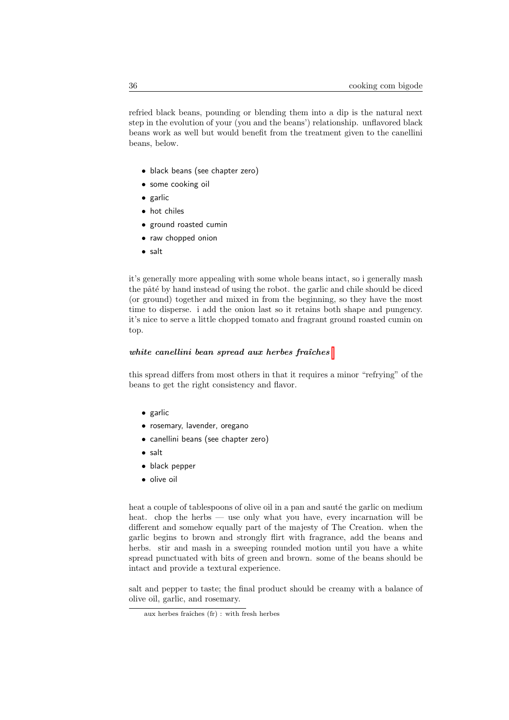refried black beans, pounding or blending them into a dip is the natural next step in the evolution of your (you and the beans') relationship. unflavored black beans work as well but would benefit from the treatment given to the canellini beans, below.

- black beans (see chapter zero)
- some cooking oil
- garlic
- hot chiles
- ground roasted cumin
- raw chopped onion
- salt

it's generally more appealing with some whole beans intact, so i generally mash the pâté by hand instead of using the robot. the garlic and chile should be diced (or ground) together and mixed in from the beginning, so they have the most time to disperse. i add the onion last so it retains both shape and pungency. it's nice to serve a little chopped tomato and fragrant ground roasted cumin on top.

#### white canellini bean spread aux herbes fraîches

this spread differs from most others in that it requires a minor "refrying" of the beans to get the right consistency and flavor.

- garlic
- rosemary, lavender, oregano
- canellini beans (see chapter zero)
- salt
- black pepper
- olive oil

heat a couple of tablespoons of olive oil in a pan and sauté the garlic on medium heat. chop the herbs — use only what you have, every incarnation will be different and somehow equally part of the majesty of The Creation. when the garlic begins to brown and strongly flirt with fragrance, add the beans and herbs. stir and mash in a sweeping rounded motion until you have a white spread punctuated with bits of green and brown. some of the beans should be intact and provide a textural experience.

salt and pepper to taste; the final product should be creamy with a balance of olive oil, garlic, and rosemary.

aux herbes fraˆıches (fr) : with fresh herbes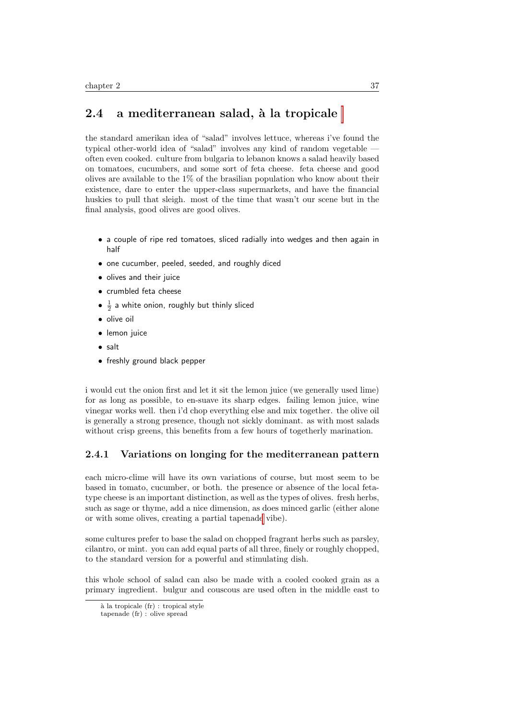# 2.4 a mediterranean salad, à la tropicale

the standard amerikan idea of "salad" involves lettuce, whereas i've found the typical other-world idea of "salad" involves any kind of random vegetable often even cooked. culture from bulgaria to lebanon knows a salad heavily based on tomatoes, cucumbers, and some sort of feta cheese. feta cheese and good olives are available to the 1% of the brasilian population who know about their existence, dare to enter the upper-class supermarkets, and have the financial huskies to pull that sleigh. most of the time that wasn't our scene but in the final analysis, good olives are good olives.

- a couple of ripe red tomatoes, sliced radially into wedges and then again in half
- one cucumber, peeled, seeded, and roughly diced
- olives and their juice
- crumbled feta cheese
- $\bullet$   $\frac{1}{2}$  a white onion, roughly but thinly sliced
- olive oil
- lemon juice
- salt
- freshly ground black pepper

i would cut the onion first and let it sit the lemon juice (we generally used lime) for as long as possible, to en-suave its sharp edges. failing lemon juice, wine vinegar works well. then i'd chop everything else and mix together. the olive oil is generally a strong presence, though not sickly dominant. as with most salads without crisp greens, this benefits from a few hours of togetherly marination.

## 2.4.1 Variations on longing for the mediterranean pattern

each micro-clime will have its own variations of course, but most seem to be based in tomato, cucumber, or both. the presence or absence of the local fetatype cheese is an important distinction, as well as the types of olives. fresh herbs, such as sage or thyme, add a nice dimension, as does minced garlic (either alone or with some olives, creating a partial tapenad[e](#page-42-0) vibe).

some cultures prefer to base the salad on chopped fragrant herbs such as parsley, cilantro, or mint. you can add equal parts of all three, finely or roughly chopped, to the standard version for a powerful and stimulating dish.

this whole school of salad can also be made with a cooled cooked grain as a primary ingredient. bulgur and couscous are used often in the middle east to

à la tropicale (fr) : tropical style

<span id="page-42-0"></span>tapenade (fr) : olive spread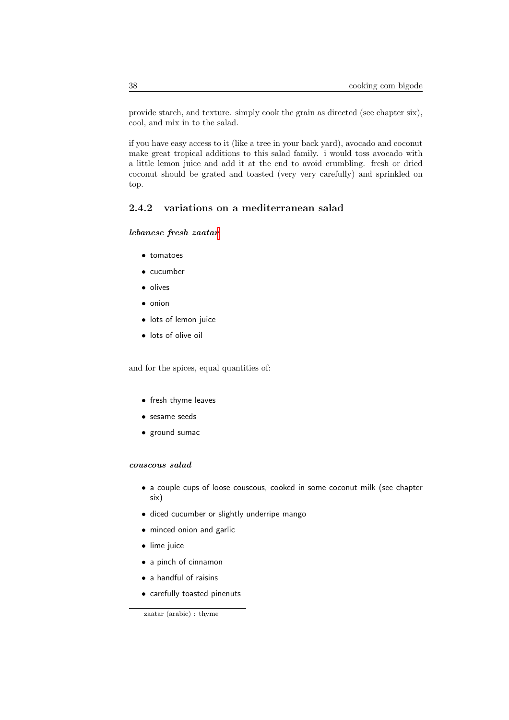provide starch, and texture. simply cook the grain as directed (see chapter six), cool, and mix in to the salad.

if you have easy access to it (like a tree in your back yard), avocado and coconut make great tropical additions to this salad family. i would toss avocado with a little lemon juice and add it at the end to avoid crumbling. fresh or dried coconut should be grated and toasted (very very carefully) and sprinkled on top.

## 2.4.2 variations on a mediterranean salad

#### lebanese fresh zaata[r](#page-43-0)

- tomatoes
- cucumber
- olives
- onion
- lots of lemon juice
- lots of olive oil

and for the spices, equal quantities of:

- fresh thyme leaves
- sesame seeds
- ground sumac

### couscous salad

- a couple cups of loose couscous, cooked in some coconut milk (see chapter six)
- diced cucumber or slightly underripe mango
- minced onion and garlic
- lime juice
- a pinch of cinnamon
- a handful of raisins
- carefully toasted pinenuts

<span id="page-43-0"></span>zaatar (arabic) : thyme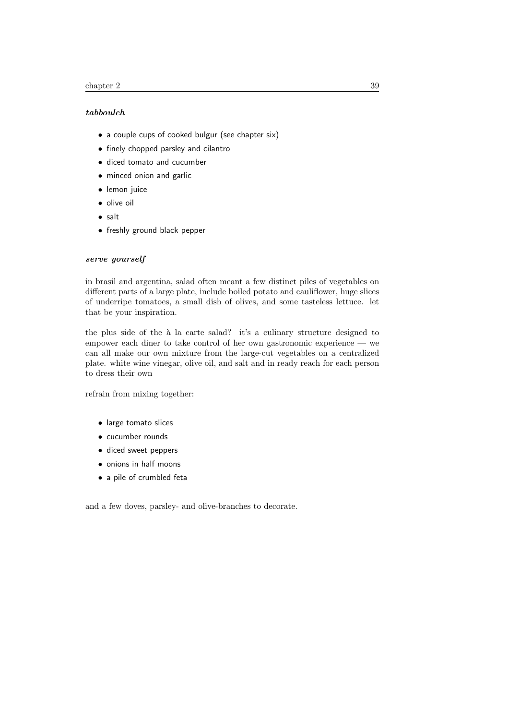#### tabbouleh

- a couple cups of cooked bulgur (see chapter six)
- finely chopped parsley and cilantro
- diced tomato and cucumber
- minced onion and garlic
- lemon juice
- olive oil
- salt
- freshly ground black pepper

## serve yourself

in brasil and argentina, salad often meant a few distinct piles of vegetables on different parts of a large plate, include boiled potato and cauliflower, huge slices of underripe tomatoes, a small dish of olives, and some tasteless lettuce. let that be your inspiration.

the plus side of the  $\alpha$  la carte salad? it's a culinary structure designed to empower each diner to take control of her own gastronomic experience — we can all make our own mixture from the large-cut vegetables on a centralized plate. white wine vinegar, olive oil, and salt and in ready reach for each person to dress their own

refrain from mixing together:

- large tomato slices
- cucumber rounds
- diced sweet peppers
- onions in half moons
- a pile of crumbled feta

and a few doves, parsley- and olive-branches to decorate.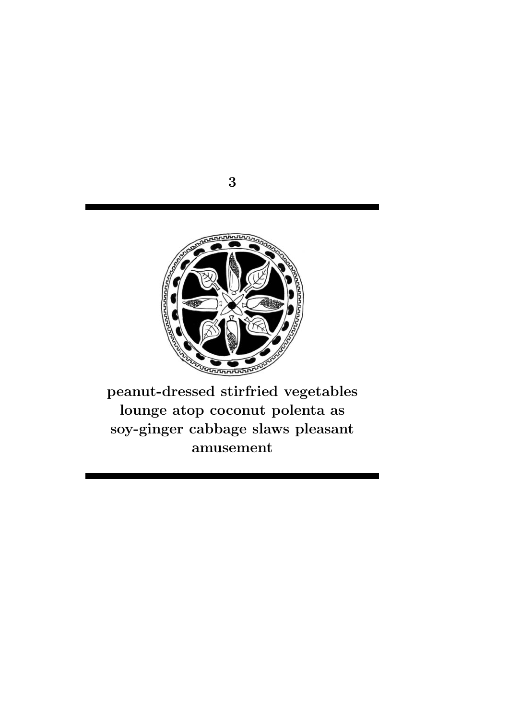

peanut-dressed stirfried vegetables lounge atop coconut polenta as soy-ginger cabbage slaws pleasant amusement

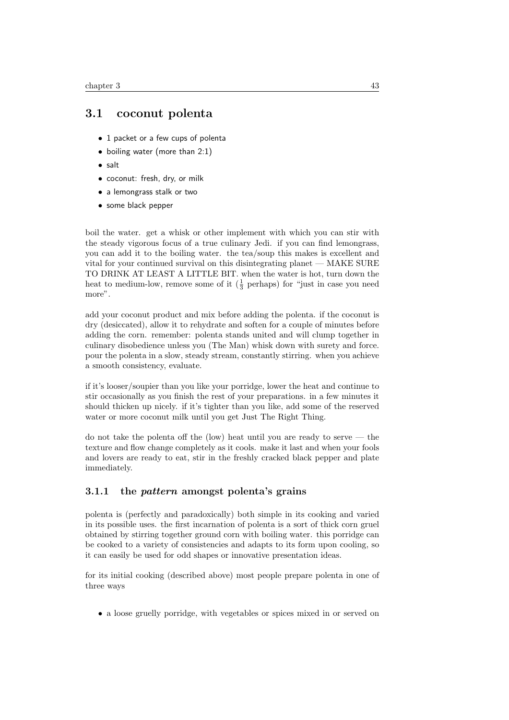# 3.1 coconut polenta

- 1 packet or a few cups of polenta
- boiling water (more than 2:1)
- salt
- coconut: fresh, dry, or milk
- a lemongrass stalk or two
- some black pepper

boil the water. get a whisk or other implement with which you can stir with the steady vigorous focus of a true culinary Jedi. if you can find lemongrass, you can add it to the boiling water. the tea/soup this makes is excellent and vital for your continued survival on this disintegrating planet — MAKE SURE TO DRINK AT LEAST A LITTLE BIT. when the water is hot, turn down the heat to medium-low, remove some of it  $(\frac{1}{3}$  perhaps) for "just in case you need more".

add your coconut product and mix before adding the polenta. if the coconut is dry (desiccated), allow it to rehydrate and soften for a couple of minutes before adding the corn. remember: polenta stands united and will clump together in culinary disobedience unless you (The Man) whisk down with surety and force. pour the polenta in a slow, steady stream, constantly stirring. when you achieve a smooth consistency, evaluate.

if it's looser/soupier than you like your porridge, lower the heat and continue to stir occasionally as you finish the rest of your preparations. in a few minutes it should thicken up nicely. if it's tighter than you like, add some of the reserved water or more coconut milk until you get Just The Right Thing.

do not take the polenta off the (low) heat until you are ready to serve — the texture and flow change completely as it cools. make it last and when your fools and lovers are ready to eat, stir in the freshly cracked black pepper and plate immediately.

## 3.1.1 the pattern amongst polenta's grains

polenta is (perfectly and paradoxically) both simple in its cooking and varied in its possible uses. the first incarnation of polenta is a sort of thick corn gruel obtained by stirring together ground corn with boiling water. this porridge can be cooked to a variety of consistencies and adapts to its form upon cooling, so it can easily be used for odd shapes or innovative presentation ideas.

for its initial cooking (described above) most people prepare polenta in one of three ways

• a loose gruelly porridge, with vegetables or spices mixed in or served on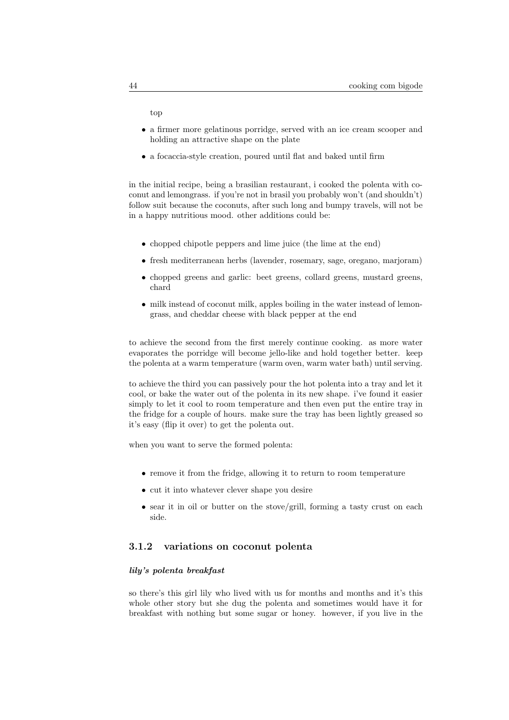top

- a firmer more gelatinous porridge, served with an ice cream scooper and holding an attractive shape on the plate
- a focaccia-style creation, poured until flat and baked until firm

in the initial recipe, being a brasilian restaurant, i cooked the polenta with coconut and lemongrass. if you're not in brasil you probably won't (and shouldn't) follow suit because the coconuts, after such long and bumpy travels, will not be in a happy nutritious mood. other additions could be:

- chopped chipotle peppers and lime juice (the lime at the end)
- fresh mediterranean herbs (lavender, rosemary, sage, oregano, marjoram)
- chopped greens and garlic: beet greens, collard greens, mustard greens, chard
- milk instead of coconut milk, apples boiling in the water instead of lemongrass, and cheddar cheese with black pepper at the end

to achieve the second from the first merely continue cooking. as more water evaporates the porridge will become jello-like and hold together better. keep the polenta at a warm temperature (warm oven, warm water bath) until serving.

to achieve the third you can passively pour the hot polenta into a tray and let it cool, or bake the water out of the polenta in its new shape. i've found it easier simply to let it cool to room temperature and then even put the entire tray in the fridge for a couple of hours. make sure the tray has been lightly greased so it's easy (flip it over) to get the polenta out.

when you want to serve the formed polenta:

- remove it from the fridge, allowing it to return to room temperature
- cut it into whatever clever shape you desire
- sear it in oil or butter on the stove/grill, forming a tasty crust on each side.

## 3.1.2 variations on coconut polenta

## lily's polenta breakfast

so there's this girl lily who lived with us for months and months and it's this whole other story but she dug the polenta and sometimes would have it for breakfast with nothing but some sugar or honey. however, if you live in the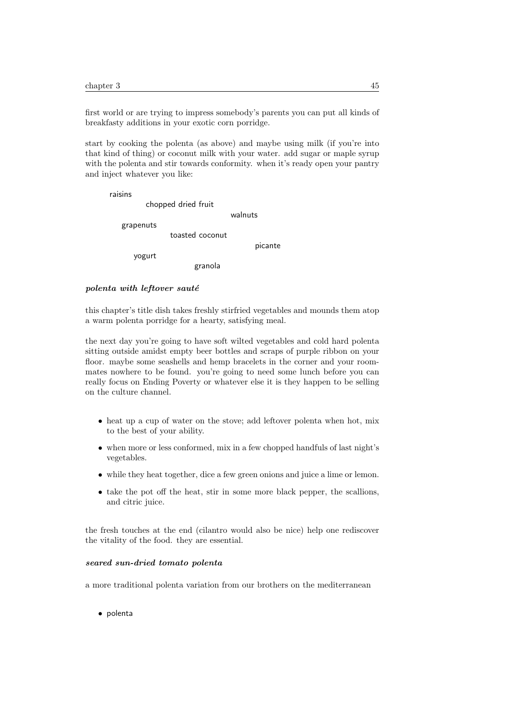first world or are trying to impress somebody's parents you can put all kinds of breakfasty additions in your exotic corn porridge.

start by cooking the polenta (as above) and maybe using milk (if you're into that kind of thing) or coconut milk with your water. add sugar or maple syrup with the polenta and stir towards conformity. when it's ready open your pantry and inject whatever you like:

raisins chopped dried fruit walnuts grapenuts toasted coconut picante yogurt granola

### $polenta$  with leftover sauté

this chapter's title dish takes freshly stirfried vegetables and mounds them atop a warm polenta porridge for a hearty, satisfying meal.

the next day you're going to have soft wilted vegetables and cold hard polenta sitting outside amidst empty beer bottles and scraps of purple ribbon on your floor. maybe some seashells and hemp bracelets in the corner and your roommates nowhere to be found. you're going to need some lunch before you can really focus on Ending Poverty or whatever else it is they happen to be selling on the culture channel.

- heat up a cup of water on the stove; add leftover polenta when hot, mix to the best of your ability.
- when more or less conformed, mix in a few chopped handfuls of last night's vegetables.
- while they heat together, dice a few green onions and juice a lime or lemon.
- take the pot off the heat, stir in some more black pepper, the scallions, and citric juice.

the fresh touches at the end (cilantro would also be nice) help one rediscover the vitality of the food. they are essential.

### seared sun-dried tomato polenta

a more traditional polenta variation from our brothers on the mediterranean

• polenta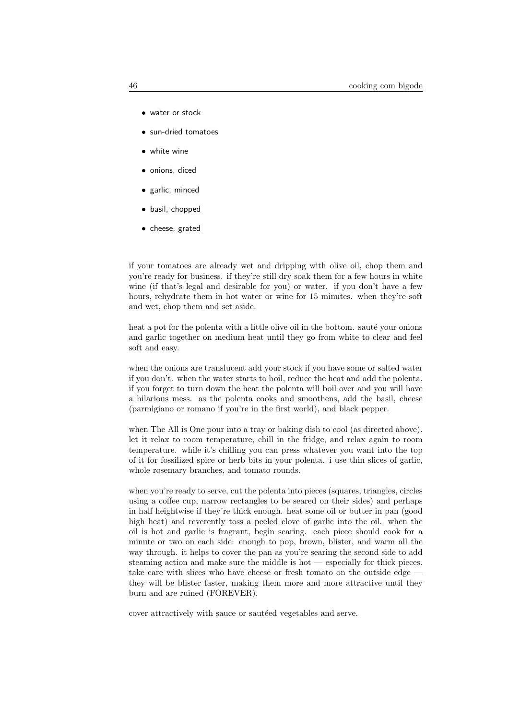- water or stock
- sun-dried tomatoes
- white wine
- onions, diced
- garlic, minced
- basil, chopped
- cheese, grated

if your tomatoes are already wet and dripping with olive oil, chop them and you're ready for business. if they're still dry soak them for a few hours in white wine (if that's legal and desirable for you) or water. if you don't have a few hours, rehydrate them in hot water or wine for 15 minutes. when they're soft and wet, chop them and set aside.

heat a pot for the polenta with a little olive oil in the bottom. sauté your onions and garlic together on medium heat until they go from white to clear and feel soft and easy.

when the onions are translucent add your stock if you have some or salted water if you don't. when the water starts to boil, reduce the heat and add the polenta. if you forget to turn down the heat the polenta will boil over and you will have a hilarious mess. as the polenta cooks and smoothens, add the basil, cheese (parmigiano or romano if you're in the first world), and black pepper.

when The All is One pour into a tray or baking dish to cool (as directed above). let it relax to room temperature, chill in the fridge, and relax again to room temperature. while it's chilling you can press whatever you want into the top of it for fossilized spice or herb bits in your polenta. i use thin slices of garlic, whole rosemary branches, and tomato rounds.

when you're ready to serve, cut the polenta into pieces (squares, triangles, circles using a coffee cup, narrow rectangles to be seared on their sides) and perhaps in half heightwise if they're thick enough. heat some oil or butter in pan (good high heat) and reverently toss a peeled clove of garlic into the oil. when the oil is hot and garlic is fragrant, begin searing. each piece should cook for a minute or two on each side: enough to pop, brown, blister, and warm all the way through. it helps to cover the pan as you're searing the second side to add steaming action and make sure the middle is hot — especially for thick pieces. take care with slices who have cheese or fresh tomato on the outside edge they will be blister faster, making them more and more attractive until they burn and are ruined (FOREVER).

cover attractively with sauce or saute ed vegetables and serve.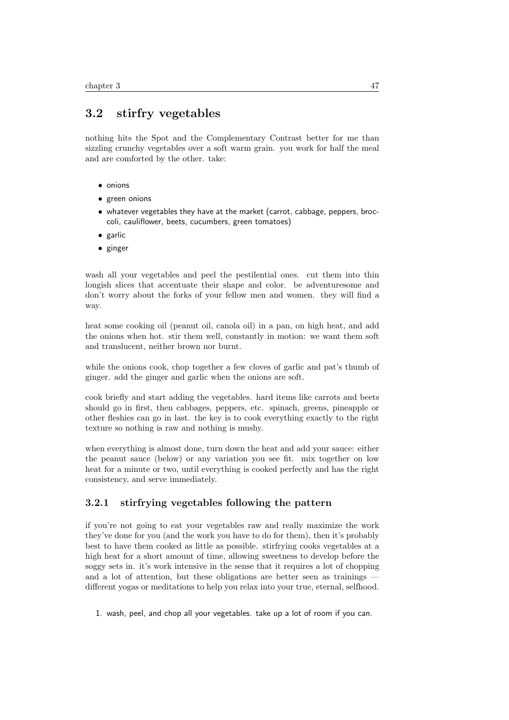# 3.2 stirfry vegetables

nothing hits the Spot and the Complementary Contrast better for me than sizzling crunchy vegetables over a soft warm grain. you work for half the meal and are comforted by the other. take:

- onions
- green onions
- whatever vegetables they have at the market (carrot, cabbage, peppers, broccoli, cauliflower, beets, cucumbers, green tomatoes)
- garlic
- ginger

wash all your vegetables and peel the pestilential ones. cut them into thin longish slices that accentuate their shape and color. be adventuresome and don't worry about the forks of your fellow men and women. they will find a way.

heat some cooking oil (peanut oil, canola oil) in a pan, on high heat, and add the onions when hot. stir them well, constantly in motion: we want them soft and translucent, neither brown nor burnt.

while the onions cook, chop together a few cloves of garlic and pat's thumb of ginger. add the ginger and garlic when the onions are soft.

cook briefly and start adding the vegetables. hard items like carrots and beets should go in first, then cabbages, peppers, etc. spinach, greens, pineapple or other fleshies can go in last. the key is to cook everything exactly to the right texture so nothing is raw and nothing is mushy.

when everything is almost done, turn down the heat and add your sauce: either the peanut sauce (below) or any variation you see fit. mix together on low heat for a minute or two, until everything is cooked perfectly and has the right consistency, and serve immediately.

# 3.2.1 stirfrying vegetables following the pattern

if you're not going to eat your vegetables raw and really maximize the work they've done for you (and the work you have to do for them), then it's probably best to have them cooked as little as possible. stirfrying cooks vegetables at a high heat for a short amount of time, allowing sweetness to develop before the soggy sets in. it's work intensive in the sense that it requires a lot of chopping and a lot of attention, but these obligations are better seen as trainings different yogas or meditations to help you relax into your true, eternal, selfhood.

1. wash, peel, and chop all your vegetables. take up a lot of room if you can.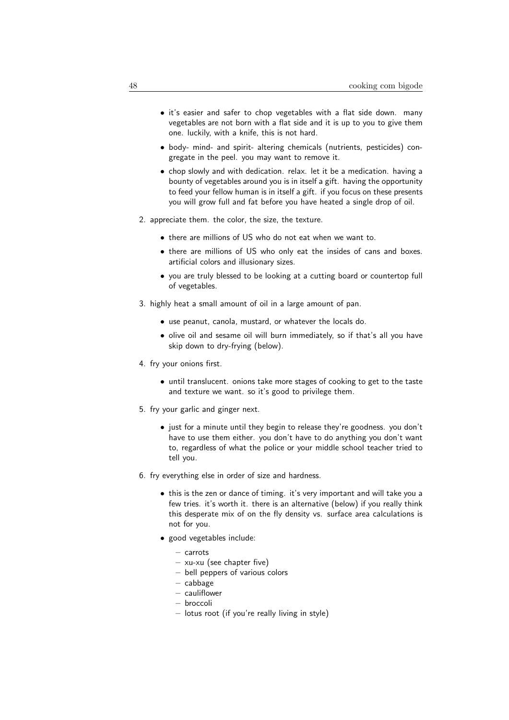- it's easier and safer to chop vegetables with a flat side down. many vegetables are not born with a flat side and it is up to you to give them one. luckily, with a knife, this is not hard.
- body- mind- and spirit- altering chemicals (nutrients, pesticides) congregate in the peel. you may want to remove it.
- chop slowly and with dedication. relax. let it be a medication. having a bounty of vegetables around you is in itself a gift. having the opportunity to feed your fellow human is in itself a gift. if you focus on these presents you will grow full and fat before you have heated a single drop of oil.
- 2. appreciate them. the color, the size, the texture.
	- there are millions of US who do not eat when we want to.
	- there are millions of US who only eat the insides of cans and boxes. artificial colors and illusionary sizes.
	- you are truly blessed to be looking at a cutting board or countertop full of vegetables.
- 3. highly heat a small amount of oil in a large amount of pan.
	- use peanut, canola, mustard, or whatever the locals do.
	- olive oil and sesame oil will burn immediately, so if that's all you have skip down to dry-frying (below).
- 4. fry your onions first.
	- until translucent. onions take more stages of cooking to get to the taste and texture we want. so it's good to privilege them.
- 5. fry your garlic and ginger next.
	- just for a minute until they begin to release they're goodness. you don't have to use them either. you don't have to do anything you don't want to, regardless of what the police or your middle school teacher tried to tell you.
- 6. fry everything else in order of size and hardness.
	- this is the zen or dance of timing. it's very important and will take you a few tries. it's worth it. there is an alternative (below) if you really think this desperate mix of on the fly density vs. surface area calculations is not for you.
	- good vegetables include:
		- carrots
		- xu-xu (see chapter five)
		- bell peppers of various colors
		- cabbage
		- cauliflower
		- broccoli
		- lotus root (if you're really living in style)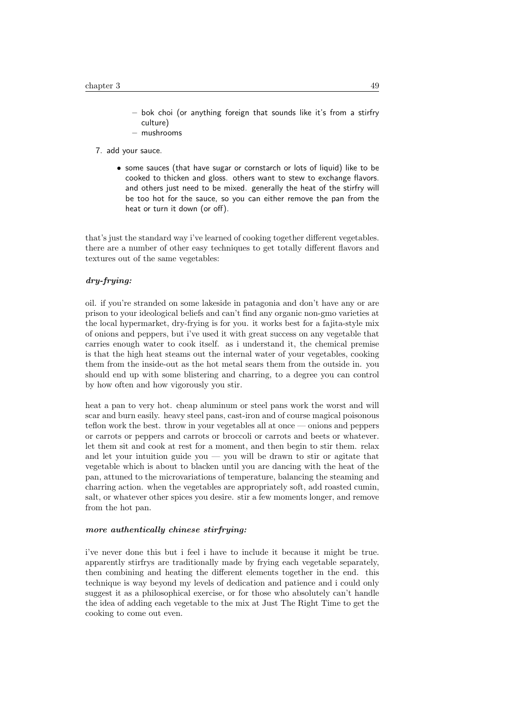- bok choi (or anything foreign that sounds like it's from a stirfry culture)
- mushrooms
- 7. add your sauce.
	- some sauces (that have sugar or cornstarch or lots of liquid) like to be cooked to thicken and gloss. others want to stew to exchange flavors. and others just need to be mixed. generally the heat of the stirfry will be too hot for the sauce, so you can either remove the pan from the heat or turn it down (or off).

that's just the standard way i've learned of cooking together different vegetables. there are a number of other easy techniques to get totally different flavors and textures out of the same vegetables:

## dry-frying:

oil. if you're stranded on some lakeside in patagonia and don't have any or are prison to your ideological beliefs and can't find any organic non-gmo varieties at the local hypermarket, dry-frying is for you. it works best for a fajita-style mix of onions and peppers, but i've used it with great success on any vegetable that carries enough water to cook itself. as i understand it, the chemical premise is that the high heat steams out the internal water of your vegetables, cooking them from the inside-out as the hot metal sears them from the outside in. you should end up with some blistering and charring, to a degree you can control by how often and how vigorously you stir.

heat a pan to very hot. cheap aluminum or steel pans work the worst and will scar and burn easily. heavy steel pans, cast-iron and of course magical poisonous teflon work the best. throw in your vegetables all at once — onions and peppers or carrots or peppers and carrots or broccoli or carrots and beets or whatever. let them sit and cook at rest for a moment, and then begin to stir them. relax and let your intuition guide you — you will be drawn to stir or agitate that vegetable which is about to blacken until you are dancing with the heat of the pan, attuned to the microvariations of temperature, balancing the steaming and charring action. when the vegetables are appropriately soft, add roasted cumin, salt, or whatever other spices you desire. stir a few moments longer, and remove from the hot pan.

#### more authentically chinese stirfrying:

i've never done this but i feel i have to include it because it might be true. apparently stirfrys are traditionally made by frying each vegetable separately, then combining and heating the different elements together in the end. this technique is way beyond my levels of dedication and patience and i could only suggest it as a philosophical exercise, or for those who absolutely can't handle the idea of adding each vegetable to the mix at Just The Right Time to get the cooking to come out even.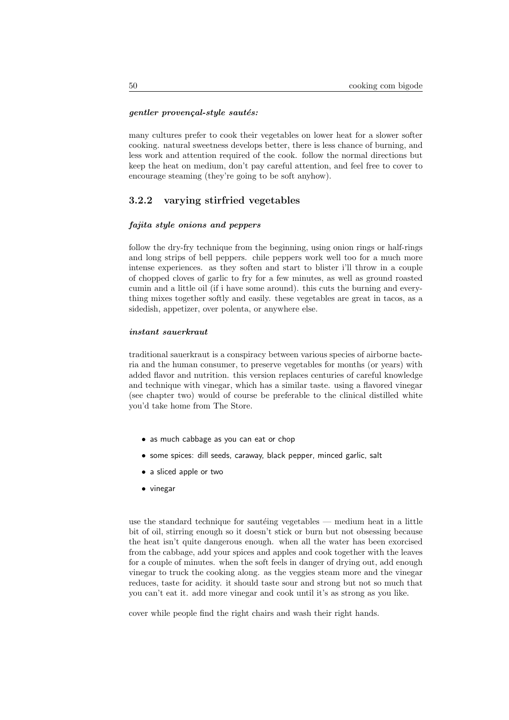## $gentler$  provençal-style sautés:

many cultures prefer to cook their vegetables on lower heat for a slower softer cooking. natural sweetness develops better, there is less chance of burning, and less work and attention required of the cook. follow the normal directions but keep the heat on medium, don't pay careful attention, and feel free to cover to encourage steaming (they're going to be soft anyhow).

## 3.2.2 varying stirfried vegetables

#### fajita style onions and peppers

follow the dry-fry technique from the beginning, using onion rings or half-rings and long strips of bell peppers. chile peppers work well too for a much more intense experiences. as they soften and start to blister i'll throw in a couple of chopped cloves of garlic to fry for a few minutes, as well as ground roasted cumin and a little oil (if i have some around). this cuts the burning and everything mixes together softly and easily. these vegetables are great in tacos, as a sidedish, appetizer, over polenta, or anywhere else.

## instant sauerkraut

traditional sauerkraut is a conspiracy between various species of airborne bacteria and the human consumer, to preserve vegetables for months (or years) with added flavor and nutrition. this version replaces centuries of careful knowledge and technique with vinegar, which has a similar taste. using a flavored vinegar (see chapter two) would of course be preferable to the clinical distilled white you'd take home from The Store.

- as much cabbage as you can eat or chop
- some spices: dill seeds, caraway, black pepper, minced garlic, salt
- a sliced apple or two
- vinegar

use the standard technique for sautéing vegetables — medium heat in a little bit of oil, stirring enough so it doesn't stick or burn but not obsessing because the heat isn't quite dangerous enough. when all the water has been exorcised from the cabbage, add your spices and apples and cook together with the leaves for a couple of minutes. when the soft feels in danger of drying out, add enough vinegar to truck the cooking along. as the veggies steam more and the vinegar reduces, taste for acidity. it should taste sour and strong but not so much that you can't eat it. add more vinegar and cook until it's as strong as you like.

cover while people find the right chairs and wash their right hands.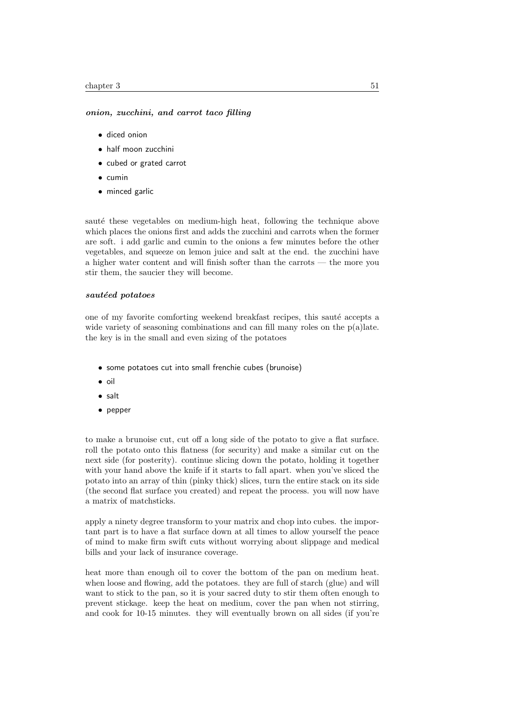#### onion, zucchini, and carrot taco filling

- diced onion
- half moon zucchini
- cubed or grated carrot
- cumin
- minced garlic

sauté these vegetables on medium-high heat, following the technique above which places the onions first and adds the zucchini and carrots when the former are soft. i add garlic and cumin to the onions a few minutes before the other vegetables, and squeeze on lemon juice and salt at the end. the zucchini have a higher water content and will finish softer than the carrots — the more you stir them, the saucier they will become.

### sautéed potatoes

one of my favorite comforting weekend breakfast recipes, this sauté accepts a wide variety of seasoning combinations and can fill many roles on the p(a) late. the key is in the small and even sizing of the potatoes

- some potatoes cut into small frenchie cubes (brunoise)
- oil
- salt
- pepper

to make a brunoise cut, cut off a long side of the potato to give a flat surface. roll the potato onto this flatness (for security) and make a similar cut on the next side (for posterity). continue slicing down the potato, holding it together with your hand above the knife if it starts to fall apart. when you've sliced the potato into an array of thin (pinky thick) slices, turn the entire stack on its side (the second flat surface you created) and repeat the process. you will now have a matrix of matchsticks.

apply a ninety degree transform to your matrix and chop into cubes. the important part is to have a flat surface down at all times to allow yourself the peace of mind to make firm swift cuts without worrying about slippage and medical bills and your lack of insurance coverage.

heat more than enough oil to cover the bottom of the pan on medium heat. when loose and flowing, add the potatoes. they are full of starch (glue) and will want to stick to the pan, so it is your sacred duty to stir them often enough to prevent stickage. keep the heat on medium, cover the pan when not stirring, and cook for 10-15 minutes. they will eventually brown on all sides (if you're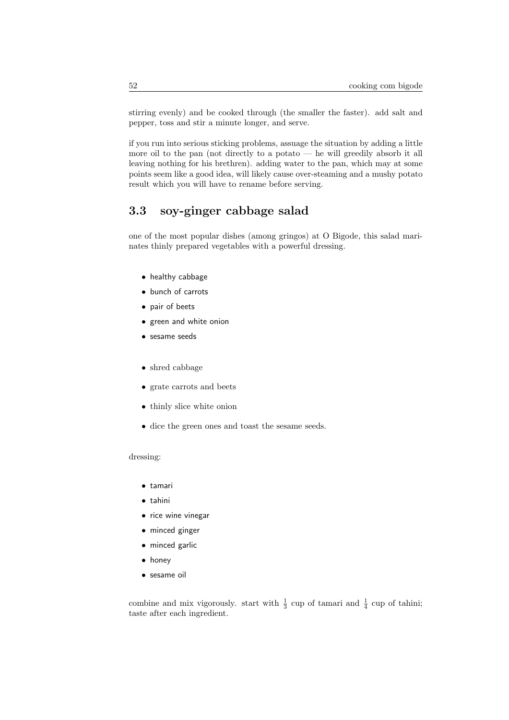stirring evenly) and be cooked through (the smaller the faster). add salt and pepper, toss and stir a minute longer, and serve.

if you run into serious sticking problems, assuage the situation by adding a little more oil to the pan (not directly to a potato — he will greedily absorb it all leaving nothing for his brethren). adding water to the pan, which may at some points seem like a good idea, will likely cause over-steaming and a mushy potato result which you will have to rename before serving.

# 3.3 soy-ginger cabbage salad

one of the most popular dishes (among gringos) at O Bigode, this salad marinates thinly prepared vegetables with a powerful dressing.

- healthy cabbage
- bunch of carrots
- pair of beets
- green and white onion
- sesame seeds
- shred cabbage
- grate carrots and beets
- thinly slice white onion
- dice the green ones and toast the sesame seeds.

dressing:

- tamari
- tahini
- rice wine vinegar
- minced ginger
- minced garlic
- honey
- sesame oil

combine and mix vigorously. start with  $\frac{1}{3}$  cup of tamari and  $\frac{1}{4}$  cup of tahini; taste after each ingredient.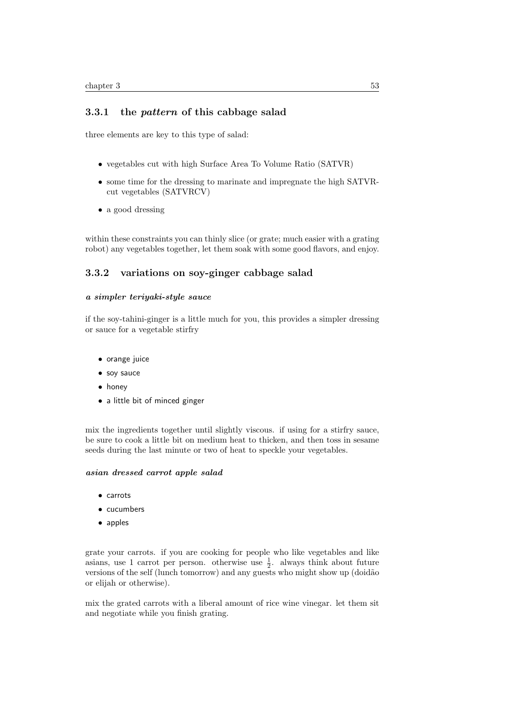## 3.3.1 the pattern of this cabbage salad

three elements are key to this type of salad:

- vegetables cut with high Surface Area To Volume Ratio (SATVR)
- some time for the dressing to marinate and impregnate the high SATVRcut vegetables (SATVRCV)
- a good dressing

within these constraints you can thinly slice (or grate; much easier with a grating robot) any vegetables together, let them soak with some good flavors, and enjoy.

## 3.3.2 variations on soy-ginger cabbage salad

### a simpler teriyaki-style sauce

if the soy-tahini-ginger is a little much for you, this provides a simpler dressing or sauce for a vegetable stirfry

- orange juice
- soy sauce
- honey
- a little bit of minced ginger

mix the ingredients together until slightly viscous. if using for a stirfry sauce, be sure to cook a little bit on medium heat to thicken, and then toss in sesame seeds during the last minute or two of heat to speckle your vegetables.

## asian dressed carrot apple salad

- carrots
- cucumbers
- apples

grate your carrots. if you are cooking for people who like vegetables and like asians, use 1 carrot per person. otherwise use  $\frac{1}{2}$ . always think about future versions of the self (lunch tomorrow) and any guests who might show up (doidão or elijah or otherwise).

mix the grated carrots with a liberal amount of rice wine vinegar. let them sit and negotiate while you finish grating.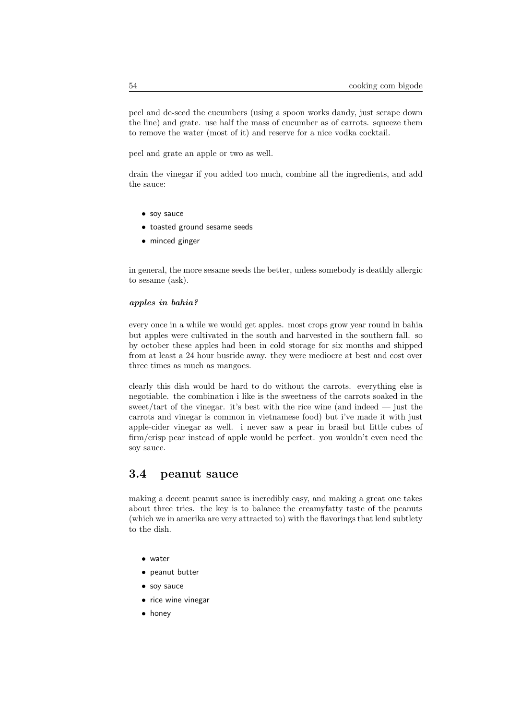peel and de-seed the cucumbers (using a spoon works dandy, just scrape down the line) and grate. use half the mass of cucumber as of carrots. squeeze them to remove the water (most of it) and reserve for a nice vodka cocktail.

peel and grate an apple or two as well.

drain the vinegar if you added too much, combine all the ingredients, and add the sauce:

- soy sauce
- toasted ground sesame seeds
- minced ginger

in general, the more sesame seeds the better, unless somebody is deathly allergic to sesame (ask).

#### apples in bahia?

every once in a while we would get apples. most crops grow year round in bahia but apples were cultivated in the south and harvested in the southern fall. so by october these apples had been in cold storage for six months and shipped from at least a 24 hour busride away. they were mediocre at best and cost over three times as much as mangoes.

clearly this dish would be hard to do without the carrots. everything else is negotiable. the combination i like is the sweetness of the carrots soaked in the sweet/tart of the vinegar. it's best with the rice wine (and indeed — just the carrots and vinegar is common in vietnamese food) but i've made it with just apple-cider vinegar as well. i never saw a pear in brasil but little cubes of firm/crisp pear instead of apple would be perfect. you wouldn't even need the soy sauce.

# 3.4 peanut sauce

making a decent peanut sauce is incredibly easy, and making a great one takes about three tries. the key is to balance the creamyfatty taste of the peanuts (which we in amerika are very attracted to) with the flavorings that lend subtlety to the dish.

- water
- peanut butter
- sov sauce
- rice wine vinegar
- honey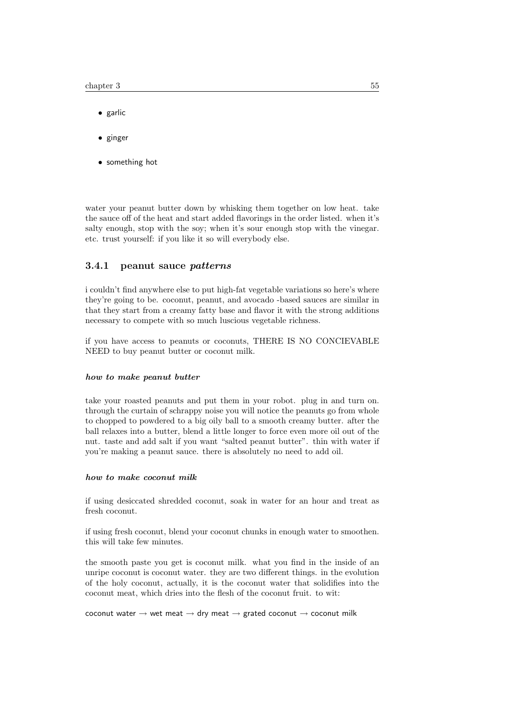- garlic
- ginger
- something hot

water your peanut butter down by whisking them together on low heat. take the sauce off of the heat and start added flavorings in the order listed. when it's salty enough, stop with the soy; when it's sour enough stop with the vinegar. etc. trust yourself: if you like it so will everybody else.

## 3.4.1 peanut sauce patterns

i couldn't find anywhere else to put high-fat vegetable variations so here's where they're going to be. coconut, peanut, and avocado -based sauces are similar in that they start from a creamy fatty base and flavor it with the strong additions necessary to compete with so much luscious vegetable richness.

if you have access to peanuts or coconuts, THERE IS NO CONCIEVABLE NEED to buy peanut butter or coconut milk.

### how to make peanut butter

take your roasted peanuts and put them in your robot. plug in and turn on. through the curtain of schrappy noise you will notice the peanuts go from whole to chopped to powdered to a big oily ball to a smooth creamy butter. after the ball relaxes into a butter, blend a little longer to force even more oil out of the nut. taste and add salt if you want "salted peanut butter". thin with water if you're making a peanut sauce. there is absolutely no need to add oil.

### how to make coconut milk

if using desiccated shredded coconut, soak in water for an hour and treat as fresh coconut.

if using fresh coconut, blend your coconut chunks in enough water to smoothen. this will take few minutes.

the smooth paste you get is coconut milk. what you find in the inside of an unripe coconut is coconut water. they are two different things. in the evolution of the holy coconut, actually, it is the coconut water that solidifies into the coconut meat, which dries into the flesh of the coconut fruit. to wit:

coconut water  $\rightarrow$  wet meat  $\rightarrow$  dry meat  $\rightarrow$  grated coconut  $\rightarrow$  coconut milk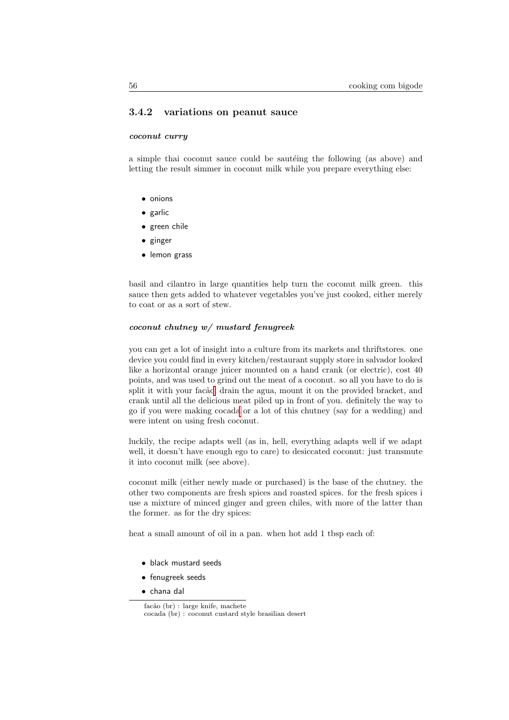# 3.4.2 variations on peanut sauce

### coconut curry

a simple thai coconut sauce could be sauteing the following (as above) and letting the result simmer in coconut milk while you prepare everything else:

- onions
- garlic
- green chile
- ginger
- lemon grass

basil and cilantro in large quantities help turn the coconut milk green. this sauce then gets added to whatever vegetables you've just cooked, either merely to coat or as a sort of stew.

#### coconut chutney w/ mustard fenugreek

you can get a lot of insight into a culture from its markets and thriftstores. one device you could find in every kitchen/restaurant supply store in salvador looked like a horizontal orange juicer mounted on a hand crank (or electric), cost 40 points, and was used to grind out the meat of a coconut. so all you have to do is split it with your facã[o,](#page-61-0) drain the agua, mount it on the provided bracket, and crank until all the delicious meat piled up in front of you. definitely the way to go if you were making cocad[a](#page-61-1) or a lot of this chutney (say for a wedding) and were intent on using fresh coconut.

luckily, the recipe adapts well (as in, hell, everything adapts well if we adapt well, it doesn't have enough ego to care) to desiccated coconut: just transmute it into coconut milk (see above).

coconut milk (either newly made or purchased) is the base of the chutney. the other two components are fresh spices and roasted spices. for the fresh spices i use a mixture of minced ginger and green chiles, with more of the latter than the former. as for the dry spices:

heat a small amount of oil in a pan. when hot add 1 tbsp each of:

- black mustard seeds
- fenugreek seeds
- chana dal

<span id="page-61-0"></span>facão (br) : large knife, machete

<span id="page-61-1"></span>cocada (br) : coconut custard style brasilian desert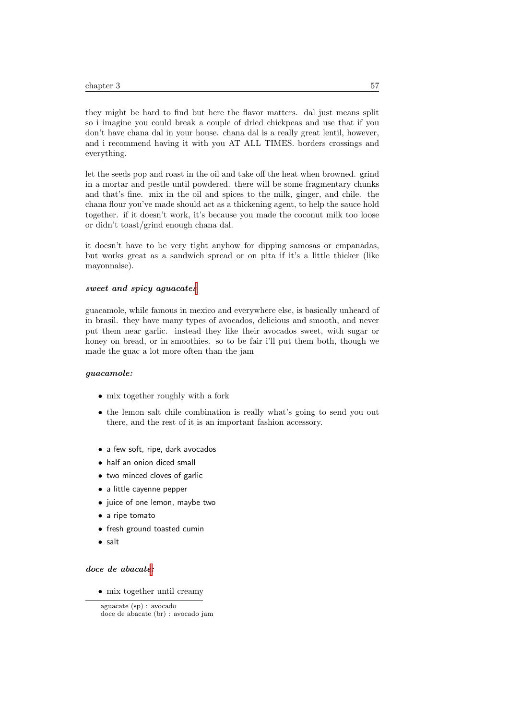they might be hard to find but here the flavor matters. dal just means split so i imagine you could break a couple of dried chickpeas and use that if you don't have chana dal in your house. chana dal is a really great lentil, however, and i recommend having it with you AT ALL TIMES. borders crossings and everything.

let the seeds pop and roast in the oil and take off the heat when browned. grind in a mortar and pestle until powdered. there will be some fragmentary chunks and that's fine. mix in the oil and spices to the milk, ginger, and chile. the chana flour you've made should act as a thickening agent, to help the sauce hold together. if it doesn't work, it's because you made the coconut milk too loose or didn't toast/grind enough chana dal.

it doesn't have to be very tight anyhow for dipping samosas or empanadas, but works great as a sandwich spread or on pita if it's a little thicker (like mayonnaise).

#### sweet and spicy aguacate[s](#page-62-0)

guacamole, while famous in mexico and everywhere else, is basically unheard of in brasil. they have many types of avocados, delicious and smooth, and never put them near garlic. instead they like their avocados sweet, with sugar or honey on bread, or in smoothies. so to be fair i'll put them both, though we made the guac a lot more often than the jam

#### guacamole:

- mix together roughly with a fork
- the lemon salt chile combination is really what's going to send you out there, and the rest of it is an important fashion accessory.
- a few soft, ripe, dark avocados
- half an onion diced small
- two minced cloves of garlic
- a little cayenne pepper
- juice of one lemon, maybe two
- a ripe tomato
- fresh ground toasted cumin
- salt

## doce de abacat[e:](#page-62-1)

• mix together until creamy

<span id="page-62-1"></span><span id="page-62-0"></span>aguacate (sp) : avocado doce de abacate (br) : avocado jam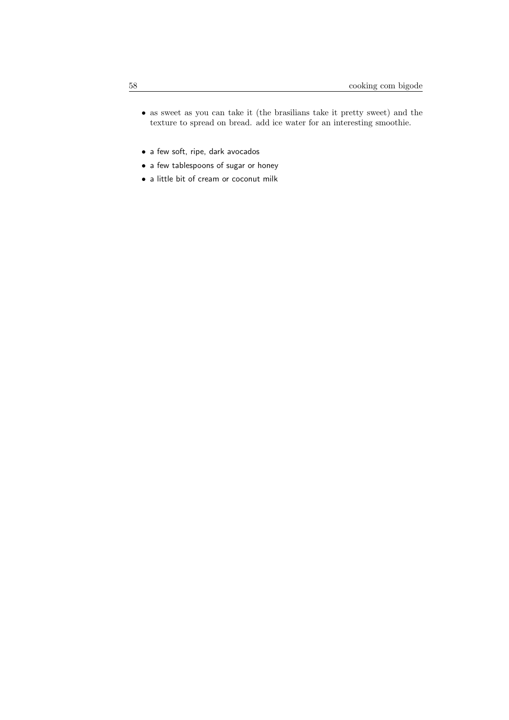- as sweet as you can take it (the brasilians take it pretty sweet) and the texture to spread on bread. add ice water for an interesting smoothie.
- a few soft, ripe, dark avocados
- a few tablespoons of sugar or honey
- a little bit of cream or coconut milk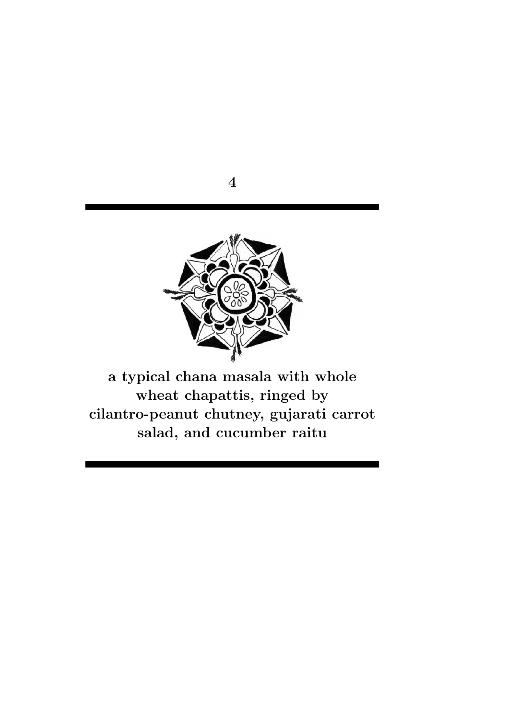

a typical chana masala with whole wheat chapattis, ringed by cilantro-peanut chutney, gujarati carrot salad, and cucumber raitu

4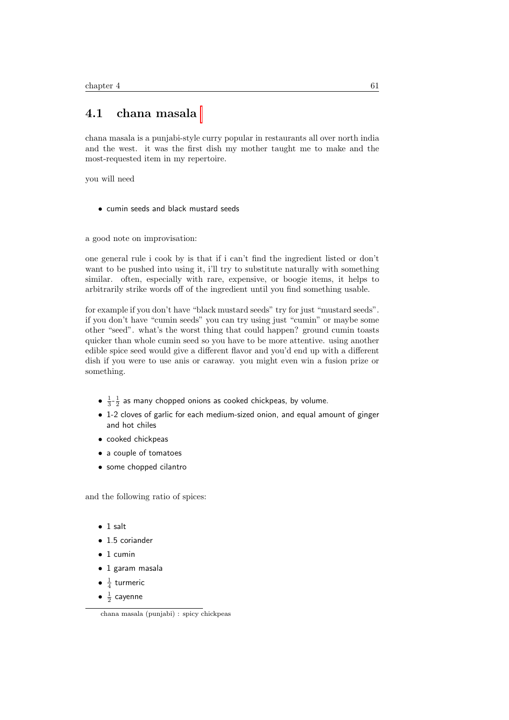# 4.1 chana masala

chana masala is a punjabi-style curry popular in restaurants all over north india and the west. it was the first dish my mother taught me to make and the most-requested item in my repertoire.

you will need

• cumin seeds and black mustard seeds

a good note on improvisation:

one general rule i cook by is that if i can't find the ingredient listed or don't want to be pushed into using it, i'll try to substitute naturally with something similar. often, especially with rare, expensive, or boogie items, it helps to arbitrarily strike words off of the ingredient until you find something usable.

for example if you don't have "black mustard seeds" try for just "mustard seeds". if you don't have "cumin seeds" you can try using just "cumin" or maybe some other "seed". what's the worst thing that could happen? ground cumin toasts quicker than whole cumin seed so you have to be more attentive. using another edible spice seed would give a different flavor and you'd end up with a different dish if you were to use anis or caraway. you might even win a fusion prize or something.

- $\bullet$   $\frac{1}{3}$  - $\frac{1}{2}$  as many chopped onions as cooked chickpeas, by volume.
- 1-2 cloves of garlic for each medium-sized onion, and equal amount of ginger and hot chiles
- cooked chickpeas
- a couple of tomatoes
- some chopped cilantro

and the following ratio of spices:

- 1 salt
- 1.5 coriander
- $\bullet$  1 cumin
- 1 garam masala
- $\bullet$   $\frac{1}{4}$  turmeric
- $\bullet$   $\frac{1}{2}$  cayenne

chana masala (punjabi) : spicy chickpeas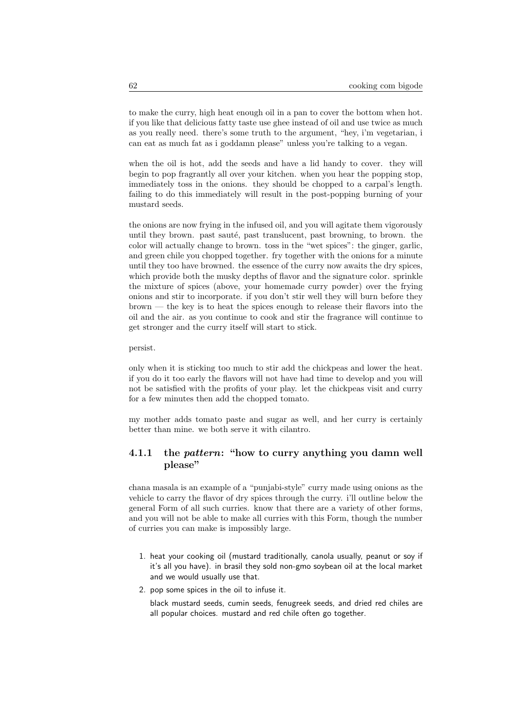to make the curry, high heat enough oil in a pan to cover the bottom when hot. if you like that delicious fatty taste use ghee instead of oil and use twice as much as you really need. there's some truth to the argument, "hey, i'm vegetarian, i can eat as much fat as i goddamn please" unless you're talking to a vegan.

when the oil is hot, add the seeds and have a lid handy to cover. they will begin to pop fragrantly all over your kitchen. when you hear the popping stop, immediately toss in the onions. they should be chopped to a carpal's length. failing to do this immediately will result in the post-popping burning of your mustard seeds.

the onions are now frying in the infused oil, and you will agitate them vigorously until they brown. past sauté, past translucent, past browning, to brown. the color will actually change to brown. toss in the "wet spices": the ginger, garlic, and green chile you chopped together. fry together with the onions for a minute until they too have browned. the essence of the curry now awaits the dry spices, which provide both the musky depths of flavor and the signature color. sprinkle the mixture of spices (above, your homemade curry powder) over the frying onions and stir to incorporate. if you don't stir well they will burn before they brown — the key is to heat the spices enough to release their flavors into the oil and the air. as you continue to cook and stir the fragrance will continue to get stronger and the curry itself will start to stick.

persist.

only when it is sticking too much to stir add the chickpeas and lower the heat. if you do it too early the flavors will not have had time to develop and you will not be satisfied with the profits of your play. let the chickpeas visit and curry for a few minutes then add the chopped tomato.

my mother adds tomato paste and sugar as well, and her curry is certainly better than mine. we both serve it with cilantro.

# 4.1.1 the pattern: "how to curry anything you damn well please"

chana masala is an example of a "punjabi-style" curry made using onions as the vehicle to carry the flavor of dry spices through the curry. i'll outline below the general Form of all such curries. know that there are a variety of other forms, and you will not be able to make all curries with this Form, though the number of curries you can make is impossibly large.

- 1. heat your cooking oil (mustard traditionally, canola usually, peanut or soy if it's all you have). in brasil they sold non-gmo soybean oil at the local market and we would usually use that.
- 2. pop some spices in the oil to infuse it.

black mustard seeds, cumin seeds, fenugreek seeds, and dried red chiles are all popular choices. mustard and red chile often go together.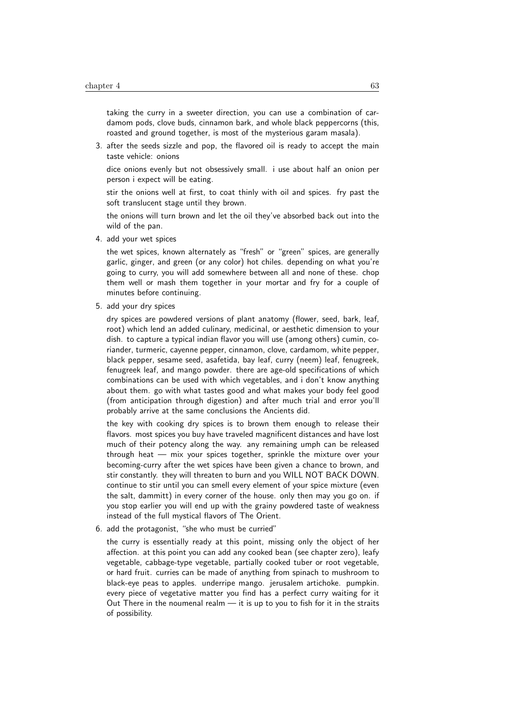taking the curry in a sweeter direction, you can use a combination of cardamom pods, clove buds, cinnamon bark, and whole black peppercorns (this, roasted and ground together, is most of the mysterious garam masala).

3. after the seeds sizzle and pop, the flavored oil is ready to accept the main taste vehicle: onions

dice onions evenly but not obsessively small. i use about half an onion per person i expect will be eating.

stir the onions well at first, to coat thinly with oil and spices. fry past the soft translucent stage until they brown.

the onions will turn brown and let the oil they've absorbed back out into the wild of the pan.

4. add your wet spices

the wet spices, known alternately as "fresh" or "green" spices, are generally garlic, ginger, and green (or any color) hot chiles. depending on what you're going to curry, you will add somewhere between all and none of these. chop them well or mash them together in your mortar and fry for a couple of minutes before continuing.

5. add your dry spices

dry spices are powdered versions of plant anatomy (flower, seed, bark, leaf, root) which lend an added culinary, medicinal, or aesthetic dimension to your dish. to capture a typical indian flavor you will use (among others) cumin, coriander, turmeric, cayenne pepper, cinnamon, clove, cardamom, white pepper, black pepper, sesame seed, asafetida, bay leaf, curry (neem) leaf, fenugreek, fenugreek leaf, and mango powder. there are age-old specifications of which combinations can be used with which vegetables, and i don't know anything about them. go with what tastes good and what makes your body feel good (from anticipation through digestion) and after much trial and error you'll probably arrive at the same conclusions the Ancients did.

the key with cooking dry spices is to brown them enough to release their flavors. most spices you buy have traveled magnificent distances and have lost much of their potency along the way. any remaining umph can be released through heat — mix your spices together, sprinkle the mixture over your becoming-curry after the wet spices have been given a chance to brown, and stir constantly. they will threaten to burn and you WILL NOT BACK DOWN. continue to stir until you can smell every element of your spice mixture (even the salt, dammitt) in every corner of the house. only then may you go on. if you stop earlier you will end up with the grainy powdered taste of weakness instead of the full mystical flavors of The Orient.

6. add the protagonist, "she who must be curried"

the curry is essentially ready at this point, missing only the object of her affection. at this point you can add any cooked bean (see chapter zero), leafy vegetable, cabbage-type vegetable, partially cooked tuber or root vegetable, or hard fruit. curries can be made of anything from spinach to mushroom to black-eye peas to apples. underripe mango. jerusalem artichoke. pumpkin. every piece of vegetative matter you find has a perfect curry waiting for it Out There in the noumenal realm  $-$  it is up to you to fish for it in the straits of possibility.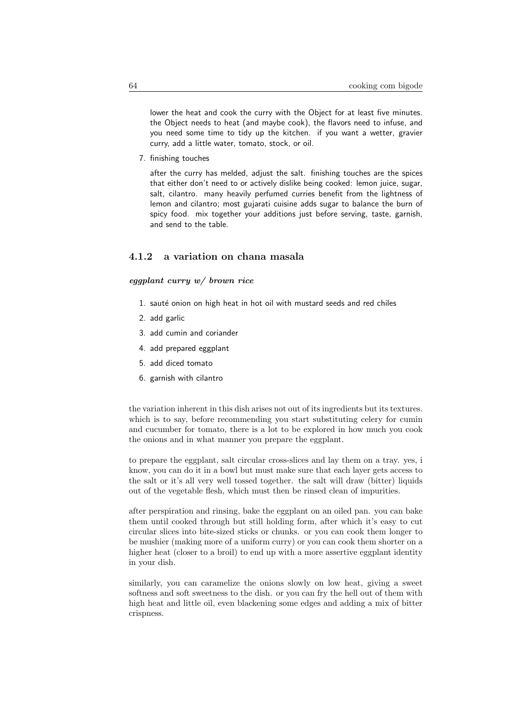lower the heat and cook the curry with the Object for at least five minutes. the Object needs to heat (and maybe cook), the flavors need to infuse, and you need some time to tidy up the kitchen. if you want a wetter, gravier curry, add a little water, tomato, stock, or oil.

7. finishing touches

after the curry has melded, adjust the salt. finishing touches are the spices that either don't need to or actively dislike being cooked: lemon juice, sugar, salt, cilantro. many heavily perfumed curries benefit from the lightness of lemon and cilantro; most gujarati cuisine adds sugar to balance the burn of spicy food. mix together your additions just before serving, taste, garnish, and send to the table.

## 4.1.2 a variation on chana masala

### eggplant curry w/ brown rice

- 1. sauté onion on high heat in hot oil with mustard seeds and red chiles
- 2. add garlic
- 3. add cumin and coriander
- 4. add prepared eggplant
- 5. add diced tomato
- 6. garnish with cilantro

the variation inherent in this dish arises not out of its ingredients but its textures. which is to say, before recommending you start substituting celery for cumin and cucumber for tomato, there is a lot to be explored in how much you cook the onions and in what manner you prepare the eggplant.

to prepare the eggplant, salt circular cross-slices and lay them on a tray. yes, i know, you can do it in a bowl but must make sure that each layer gets access to the salt or it's all very well tossed together. the salt will draw (bitter) liquids out of the vegetable flesh, which must then be rinsed clean of impurities.

after perspiration and rinsing, bake the eggplant on an oiled pan. you can bake them until cooked through but still holding form, after which it's easy to cut circular slices into bite-sized sticks or chunks. or you can cook them longer to be mushier (making more of a uniform curry) or you can cook them shorter on a higher heat (closer to a broil) to end up with a more assertive eggplant identity in your dish.

similarly, you can caramelize the onions slowly on low heat, giving a sweet softness and soft sweetness to the dish. or you can fry the hell out of them with high heat and little oil, even blackening some edges and adding a mix of bitter crispness.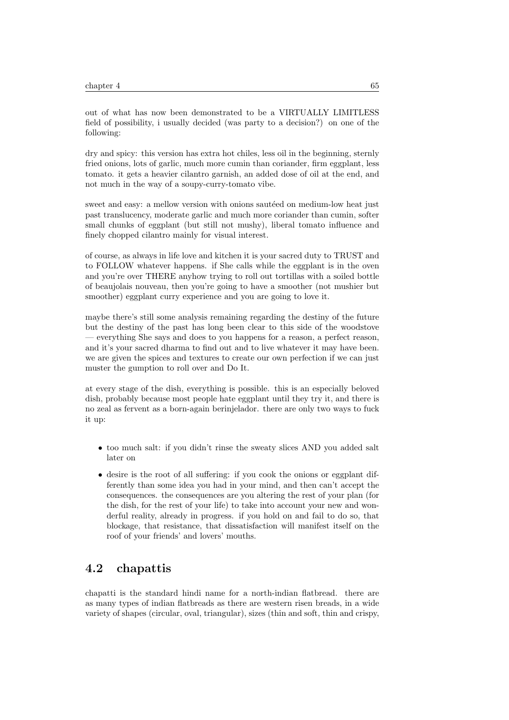out of what has now been demonstrated to be a VIRTUALLY LIMITLESS field of possibility, i usually decided (was party to a decision?) on one of the following:

dry and spicy: this version has extra hot chiles, less oil in the beginning, sternly fried onions, lots of garlic, much more cumin than coriander, firm eggplant, less tomato. it gets a heavier cilantro garnish, an added dose of oil at the end, and not much in the way of a soupy-curry-tomato vibe.

sweet and easy: a mellow version with onions sautéed on medium-low heat just past translucency, moderate garlic and much more coriander than cumin, softer small chunks of eggplant (but still not mushy), liberal tomato influence and finely chopped cilantro mainly for visual interest.

of course, as always in life love and kitchen it is your sacred duty to TRUST and to FOLLOW whatever happens. if She calls while the eggplant is in the oven and you're over THERE anyhow trying to roll out tortillas with a soiled bottle of beaujolais nouveau, then you're going to have a smoother (not mushier but smoother) eggplant curry experience and you are going to love it.

maybe there's still some analysis remaining regarding the destiny of the future but the destiny of the past has long been clear to this side of the woodstove — everything She says and does to you happens for a reason, a perfect reason, and it's your sacred dharma to find out and to live whatever it may have been. we are given the spices and textures to create our own perfection if we can just muster the gumption to roll over and Do It.

at every stage of the dish, everything is possible. this is an especially beloved dish, probably because most people hate eggplant until they try it, and there is no zeal as fervent as a born-again berinjelador. there are only two ways to fuck it up:

- too much salt: if you didn't rinse the sweaty slices AND you added salt later on
- desire is the root of all suffering: if you cook the onions or eggplant differently than some idea you had in your mind, and then can't accept the consequences. the consequences are you altering the rest of your plan (for the dish, for the rest of your life) to take into account your new and wonderful reality, already in progress. if you hold on and fail to do so, that blockage, that resistance, that dissatisfaction will manifest itself on the roof of your friends' and lovers' mouths.

# 4.2 chapattis

chapatti is the standard hindi name for a north-indian flatbread. there are as many types of indian flatbreads as there are western risen breads, in a wide variety of shapes (circular, oval, triangular), sizes (thin and soft, thin and crispy,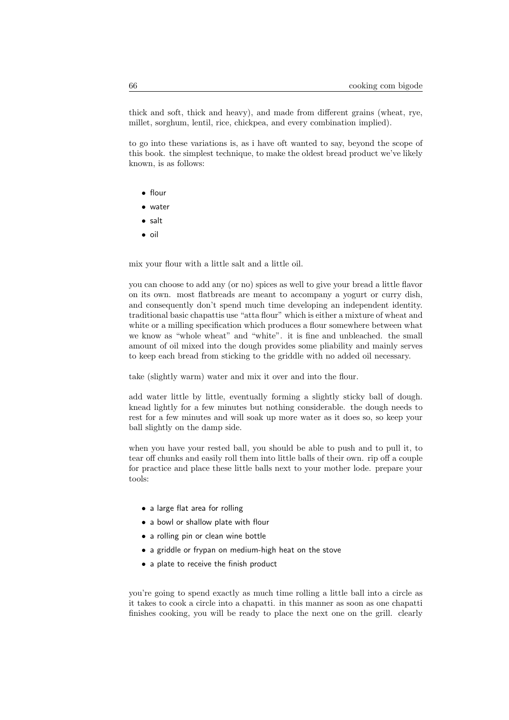thick and soft, thick and heavy), and made from different grains (wheat, rye, millet, sorghum, lentil, rice, chickpea, and every combination implied).

to go into these variations is, as i have oft wanted to say, beyond the scope of this book. the simplest technique, to make the oldest bread product we've likely known, is as follows:

- flour
- water
- salt
- oil

mix your flour with a little salt and a little oil.

you can choose to add any (or no) spices as well to give your bread a little flavor on its own. most flatbreads are meant to accompany a yogurt or curry dish, and consequently don't spend much time developing an independent identity. traditional basic chapattis use "atta flour" which is either a mixture of wheat and white or a milling specification which produces a flour somewhere between what we know as "whole wheat" and "white". it is fine and unbleached. the small amount of oil mixed into the dough provides some pliability and mainly serves to keep each bread from sticking to the griddle with no added oil necessary.

take (slightly warm) water and mix it over and into the flour.

add water little by little, eventually forming a slightly sticky ball of dough. knead lightly for a few minutes but nothing considerable. the dough needs to rest for a few minutes and will soak up more water as it does so, so keep your ball slightly on the damp side.

when you have your rested ball, you should be able to push and to pull it, to tear off chunks and easily roll them into little balls of their own. rip off a couple for practice and place these little balls next to your mother lode. prepare your tools:

- a large flat area for rolling
- a bowl or shallow plate with flour
- a rolling pin or clean wine bottle
- a griddle or frypan on medium-high heat on the stove
- a plate to receive the finish product

you're going to spend exactly as much time rolling a little ball into a circle as it takes to cook a circle into a chapatti. in this manner as soon as one chapatti finishes cooking, you will be ready to place the next one on the grill. clearly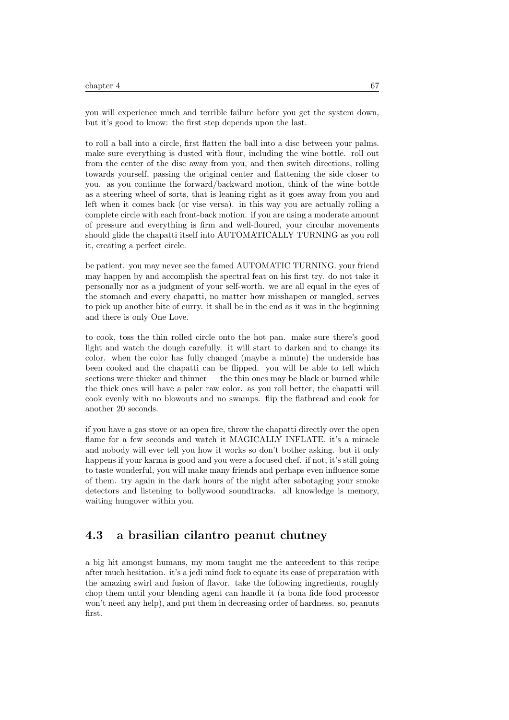you will experience much and terrible failure before you get the system down, but it's good to know: the first step depends upon the last.

to roll a ball into a circle, first flatten the ball into a disc between your palms. make sure everything is dusted with flour, including the wine bottle. roll out from the center of the disc away from you, and then switch directions, rolling towards yourself, passing the original center and flattening the side closer to you. as you continue the forward/backward motion, think of the wine bottle as a steering wheel of sorts, that is leaning right as it goes away from you and left when it comes back (or vise versa). in this way you are actually rolling a complete circle with each front-back motion. if you are using a moderate amount of pressure and everything is firm and well-floured, your circular movements should glide the chapatti itself into AUTOMATICALLY TURNING as you roll it, creating a perfect circle.

be patient. you may never see the famed AUTOMATIC TURNING. your friend may happen by and accomplish the spectral feat on his first try. do not take it personally nor as a judgment of your self-worth. we are all equal in the eyes of the stomach and every chapatti, no matter how misshapen or mangled, serves to pick up another bite of curry. it shall be in the end as it was in the beginning and there is only One Love.

to cook, toss the thin rolled circle onto the hot pan. make sure there's good light and watch the dough carefully. it will start to darken and to change its color. when the color has fully changed (maybe a minute) the underside has been cooked and the chapatti can be flipped. you will be able to tell which sections were thicker and thinner — the thin ones may be black or burned while the thick ones will have a paler raw color. as you roll better, the chapatti will cook evenly with no blowouts and no swamps. flip the flatbread and cook for another 20 seconds.

if you have a gas stove or an open fire, throw the chapatti directly over the open flame for a few seconds and watch it MAGICALLY INFLATE. it's a miracle and nobody will ever tell you how it works so don't bother asking. but it only happens if your karma is good and you were a focused chef. if not, it's still going to taste wonderful, you will make many friends and perhaps even influence some of them. try again in the dark hours of the night after sabotaging your smoke detectors and listening to bollywood soundtracks. all knowledge is memory, waiting hungover within you.

# 4.3 a brasilian cilantro peanut chutney

a big hit amongst humans, my mom taught me the antecedent to this recipe after much hesitation. it's a jedi mind fuck to equate its ease of preparation with the amazing swirl and fusion of flavor. take the following ingredients, roughly chop them until your blending agent can handle it (a bona fide food processor won't need any help), and put them in decreasing order of hardness. so, peanuts first.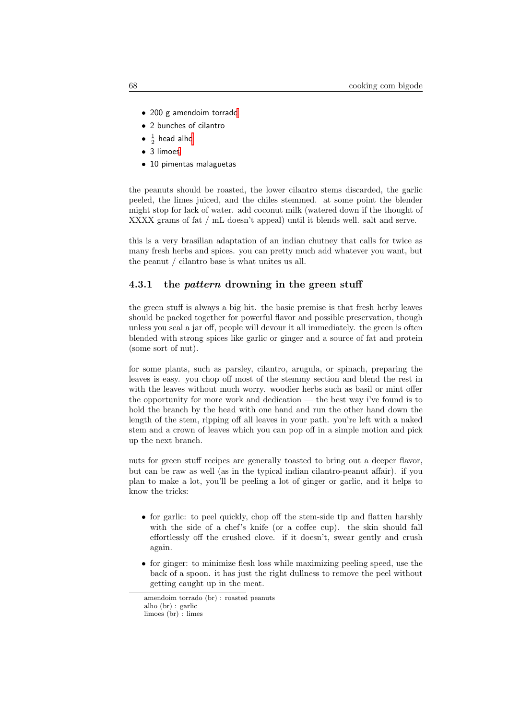- 200 g amendoim torrad[o](#page-73-0)
- 2 bunches of cilantro
- $\bullet$   $\frac{1}{2}$  head alh[o](#page-73-1)
- 3 limoe[s](#page-73-2)
- 10 pimentas malaguetas

the peanuts should be roasted, the lower cilantro stems discarded, the garlic peeled, the limes juiced, and the chiles stemmed. at some point the blender might stop for lack of water. add coconut milk (watered down if the thought of XXXX grams of fat / mL doesn't appeal) until it blends well. salt and serve.

this is a very brasilian adaptation of an indian chutney that calls for twice as many fresh herbs and spices. you can pretty much add whatever you want, but the peanut / cilantro base is what unites us all.

## 4.3.1 the *pattern* drowning in the green stuff

the green stuff is always a big hit. the basic premise is that fresh herby leaves should be packed together for powerful flavor and possible preservation, though unless you seal a jar off, people will devour it all immediately. the green is often blended with strong spices like garlic or ginger and a source of fat and protein (some sort of nut).

for some plants, such as parsley, cilantro, arugula, or spinach, preparing the leaves is easy. you chop off most of the stemmy section and blend the rest in with the leaves without much worry. woodier herbs such as basil or mint offer the opportunity for more work and dedication — the best way i've found is to hold the branch by the head with one hand and run the other hand down the length of the stem, ripping off all leaves in your path. you're left with a naked stem and a crown of leaves which you can pop off in a simple motion and pick up the next branch.

nuts for green stuff recipes are generally toasted to bring out a deeper flavor, but can be raw as well (as in the typical indian cilantro-peanut affair). if you plan to make a lot, you'll be peeling a lot of ginger or garlic, and it helps to know the tricks:

- for garlic: to peel quickly, chop off the stem-side tip and flatten harshly with the side of a chef's knife (or a coffee cup). the skin should fall effortlessly off the crushed clove. if it doesn't, swear gently and crush again.
- for ginger: to minimize flesh loss while maximizing peeling speed, use the back of a spoon. it has just the right dullness to remove the peel without getting caught up in the meat.

<span id="page-73-2"></span><span id="page-73-1"></span><span id="page-73-0"></span>amendoim torrado (br) : roasted peanuts alho (br) : garlic limoes (br) : limes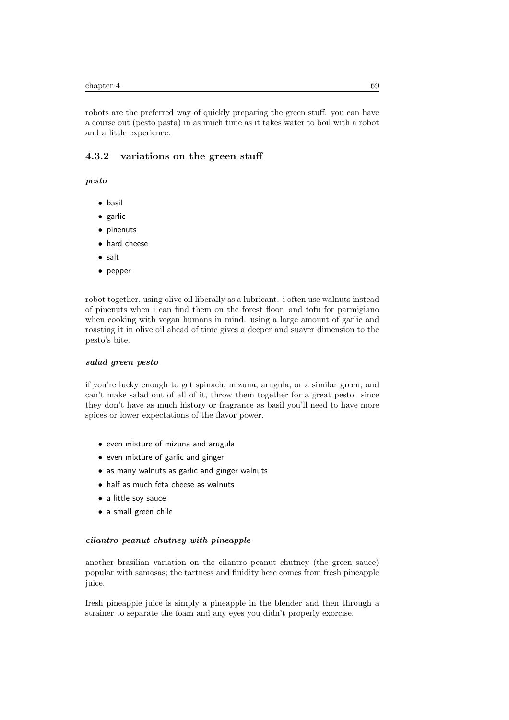robots are the preferred way of quickly preparing the green stuff. you can have a course out (pesto pasta) in as much time as it takes water to boil with a robot and a little experience.

## 4.3.2 variations on the green stuff

pesto

- basil
- garlic
- pinenuts
- hard cheese
- salt
- pepper

robot together, using olive oil liberally as a lubricant. i often use walnuts instead of pinenuts when i can find them on the forest floor, and tofu for parmigiano when cooking with vegan humans in mind. using a large amount of garlic and roasting it in olive oil ahead of time gives a deeper and suaver dimension to the pesto's bite.

#### salad green pesto

if you're lucky enough to get spinach, mizuna, arugula, or a similar green, and can't make salad out of all of it, throw them together for a great pesto. since they don't have as much history or fragrance as basil you'll need to have more spices or lower expectations of the flavor power.

- even mixture of mizuna and arugula
- even mixture of garlic and ginger
- as many walnuts as garlic and ginger walnuts
- half as much feta cheese as walnuts
- a little soy sauce
- a small green chile

#### cilantro peanut chutney with pineapple

another brasilian variation on the cilantro peanut chutney (the green sauce) popular with samosas; the tartness and fluidity here comes from fresh pineapple juice.

fresh pineapple juice is simply a pineapple in the blender and then through a strainer to separate the foam and any eyes you didn't properly exorcise.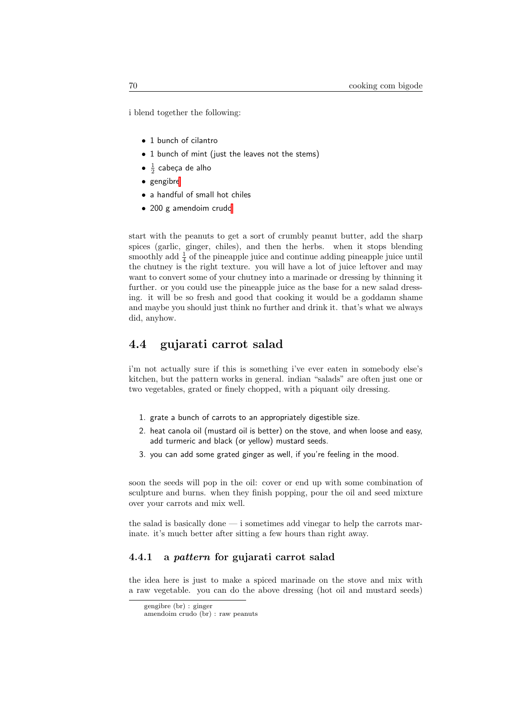i blend together the following:

- 1 bunch of cilantro
- 1 bunch of mint (just the leaves not the stems)
- $\bullet$   $\frac{1}{2}$  cabeça de alho
- gengibr[e](#page-75-0)
- a handful of small hot chiles
- 200 g amendoim crud[o](#page-75-1)

start with the peanuts to get a sort of crumbly peanut butter, add the sharp spices (garlic, ginger, chiles), and then the herbs. when it stops blending smoothly add  $\frac{1}{4}$  of the pineapple juice and continue adding pineapple juice until the chutney is the right texture. you will have a lot of juice leftover and may want to convert some of your chutney into a marinade or dressing by thinning it further. or you could use the pineapple juice as the base for a new salad dressing. it will be so fresh and good that cooking it would be a goddamn shame and maybe you should just think no further and drink it. that's what we always did, anyhow.

# 4.4 gujarati carrot salad

i'm not actually sure if this is something i've ever eaten in somebody else's kitchen, but the pattern works in general. indian "salads" are often just one or two vegetables, grated or finely chopped, with a piquant oily dressing.

- 1. grate a bunch of carrots to an appropriately digestible size.
- 2. heat canola oil (mustard oil is better) on the stove, and when loose and easy, add turmeric and black (or yellow) mustard seeds.
- 3. you can add some grated ginger as well, if you're feeling in the mood.

soon the seeds will pop in the oil: cover or end up with some combination of sculpture and burns. when they finish popping, pour the oil and seed mixture over your carrots and mix well.

the salad is basically done  $-$  i sometimes add vinegar to help the carrots marinate. it's much better after sitting a few hours than right away.

# 4.4.1 a pattern for gujarati carrot salad

the idea here is just to make a spiced marinade on the stove and mix with a raw vegetable. you can do the above dressing (hot oil and mustard seeds)

<span id="page-75-0"></span>gengibre (br) : ginger

<span id="page-75-1"></span>amendoim crudo (br) : raw peanuts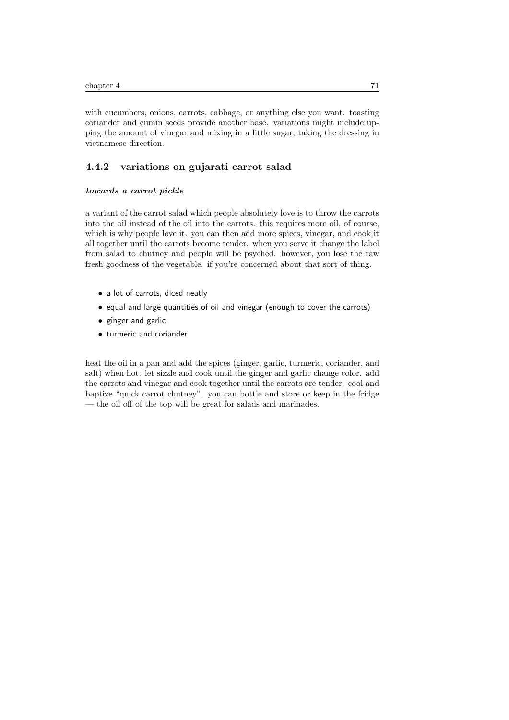with cucumbers, onions, carrots, cabbage, or anything else you want. toasting coriander and cumin seeds provide another base. variations might include upping the amount of vinegar and mixing in a little sugar, taking the dressing in vietnamese direction.

# 4.4.2 variations on gujarati carrot salad

#### towards a carrot pickle

a variant of the carrot salad which people absolutely love is to throw the carrots into the oil instead of the oil into the carrots. this requires more oil, of course, which is why people love it. you can then add more spices, vinegar, and cook it all together until the carrots become tender. when you serve it change the label from salad to chutney and people will be psyched. however, you lose the raw fresh goodness of the vegetable. if you're concerned about that sort of thing.

- a lot of carrots, diced neatly
- equal and large quantities of oil and vinegar (enough to cover the carrots)
- ginger and garlic
- turmeric and coriander

heat the oil in a pan and add the spices (ginger, garlic, turmeric, coriander, and salt) when hot. let sizzle and cook until the ginger and garlic change color. add the carrots and vinegar and cook together until the carrots are tender. cool and baptize "quick carrot chutney". you can bottle and store or keep in the fridge — the oil off of the top will be great for salads and marinades.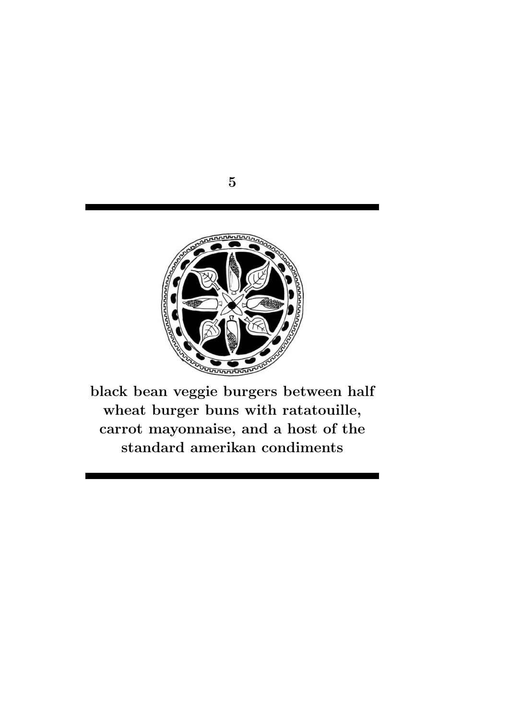

black bean veggie burgers between half wheat burger buns with ratatouille, carrot mayonnaise, and a host of the standard amerikan condiments

5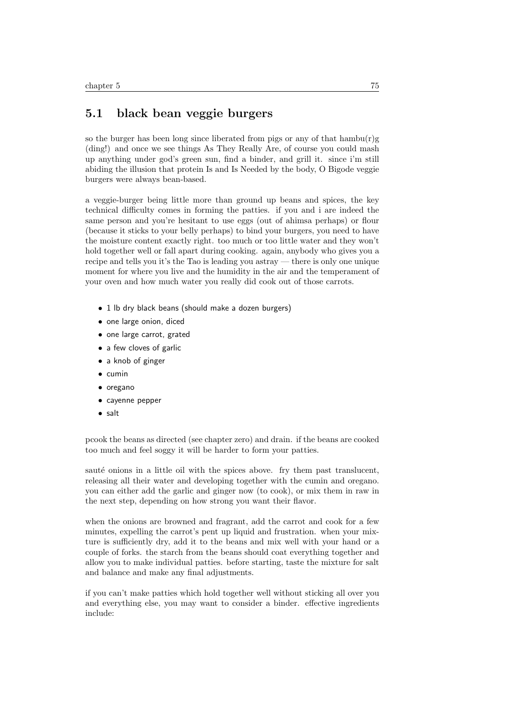# 5.1 black bean veggie burgers

so the burger has been long since liberated from pigs or any of that hambu(r)g (ding!) and once we see things As They Really Are, of course you could mash up anything under god's green sun, find a binder, and grill it. since i'm still abiding the illusion that protein Is and Is Needed by the body, O Bigode veggie burgers were always bean-based.

a veggie-burger being little more than ground up beans and spices, the key technical difficulty comes in forming the patties. if you and i are indeed the same person and you're hesitant to use eggs (out of ahimsa perhaps) or flour (because it sticks to your belly perhaps) to bind your burgers, you need to have the moisture content exactly right. too much or too little water and they won't hold together well or fall apart during cooking. again, anybody who gives you a recipe and tells you it's the Tao is leading you astray — there is only one unique moment for where you live and the humidity in the air and the temperament of your oven and how much water you really did cook out of those carrots.

- 1 lb dry black beans (should make a dozen burgers)
- one large onion, diced
- one large carrot, grated
- a few cloves of garlic
- a knob of ginger
- cumin
- oregano
- cayenne pepper
- salt

pcook the beans as directed (see chapter zero) and drain. if the beans are cooked too much and feel soggy it will be harder to form your patties.

sauté onions in a little oil with the spices above. fry them past translucent, releasing all their water and developing together with the cumin and oregano. you can either add the garlic and ginger now (to cook), or mix them in raw in the next step, depending on how strong you want their flavor.

when the onions are browned and fragrant, add the carrot and cook for a few minutes, expelling the carrot's pent up liquid and frustration. when your mixture is sufficiently dry, add it to the beans and mix well with your hand or a couple of forks. the starch from the beans should coat everything together and allow you to make individual patties. before starting, taste the mixture for salt and balance and make any final adjustments.

if you can't make patties which hold together well without sticking all over you and everything else, you may want to consider a binder. effective ingredients include: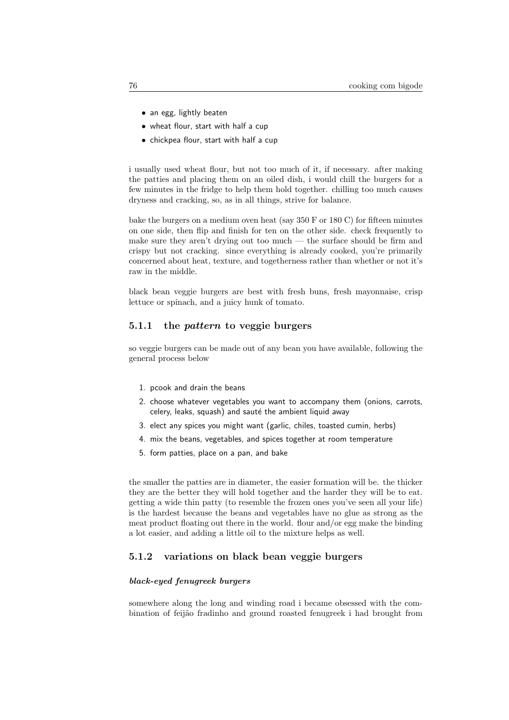- an egg, lightly beaten
- wheat flour, start with half a cup
- chickpea flour, start with half a cup

i usually used wheat flour, but not too much of it, if necessary. after making the patties and placing them on an oiled dish, i would chill the burgers for a few minutes in the fridge to help them hold together. chilling too much causes dryness and cracking, so, as in all things, strive for balance.

bake the burgers on a medium oven heat (say 350 F or 180 C) for fifteen minutes on one side, then flip and finish for ten on the other side. check frequently to make sure they aren't drying out too much — the surface should be firm and crispy but not cracking. since everything is already cooked, you're primarily concerned about heat, texture, and togetherness rather than whether or not it's raw in the middle.

black bean veggie burgers are best with fresh buns, fresh mayonnaise, crisp lettuce or spinach, and a juicy hunk of tomato.

# 5.1.1 the pattern to veggie burgers

so veggie burgers can be made out of any bean you have available, following the general process below

- 1. pcook and drain the beans
- 2. choose whatever vegetables you want to accompany them (onions, carrots, celery, leaks, squash) and sauté the ambient liquid away
- 3. elect any spices you might want (garlic, chiles, toasted cumin, herbs)
- 4. mix the beans, vegetables, and spices together at room temperature
- 5. form patties, place on a pan, and bake

the smaller the patties are in diameter, the easier formation will be. the thicker they are the better they will hold together and the harder they will be to eat. getting a wide thin patty (to resemble the frozen ones you've seen all your life) is the hardest because the beans and vegetables have no glue as strong as the meat product floating out there in the world. flour and/or egg make the binding a lot easier, and adding a little oil to the mixture helps as well.

# 5.1.2 variations on black bean veggie burgers

#### black-eyed fenugreek burgers

somewhere along the long and winding road i became obsessed with the combination of feijão fradinho and ground roasted fenugreek i had brought from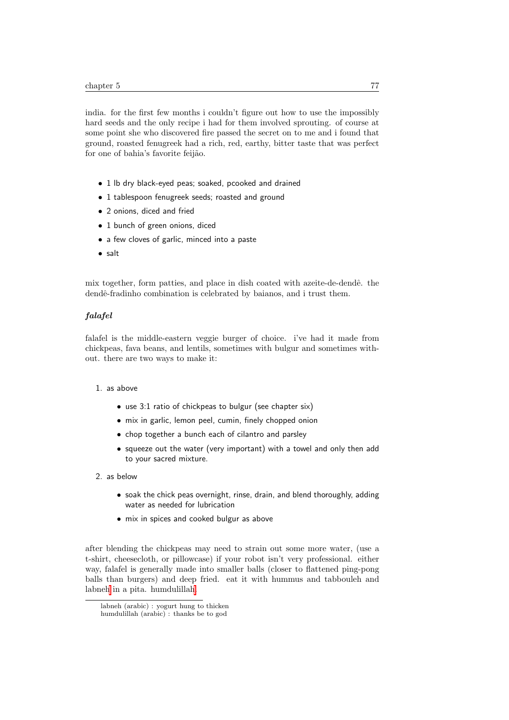india. for the first few months i couldn't figure out how to use the impossibly hard seeds and the only recipe i had for them involved sprouting. of course at some point she who discovered fire passed the secret on to me and i found that ground, roasted fenugreek had a rich, red, earthy, bitter taste that was perfect for one of bahia's favorite feijão.

- 1 lb dry black-eyed peas; soaked, pcooked and drained
- 1 tablespoon fenugreek seeds; roasted and ground
- 2 onions, diced and fried
- 1 bunch of green onions, diced
- a few cloves of garlic, minced into a paste
- salt

mix together, form patties, and place in dish coated with azeite-de-dendê. the dendê-fradinho combination is celebrated by baianos, and i trust them.

### falafel

falafel is the middle-eastern veggie burger of choice. i've had it made from chickpeas, fava beans, and lentils, sometimes with bulgur and sometimes without. there are two ways to make it:

### 1. as above

- use 3:1 ratio of chickpeas to bulgur (see chapter six)
- mix in garlic, lemon peel, cumin, finely chopped onion
- chop together a bunch each of cilantro and parsley
- squeeze out the water (very important) with a towel and only then add to your sacred mixture.
- 2. as below
	- soak the chick peas overnight, rinse, drain, and blend thoroughly, adding water as needed for lubrication
	- mix in spices and cooked bulgur as above

after blending the chickpeas may need to strain out some more water, (use a t-shirt, cheesecloth, or pillowcase) if your robot isn't very professional. either way, falafel is generally made into smaller balls (closer to flattened ping-pong balls than burgers) and deep fried. eat it with hummus and tabbouleh and labne[h](#page-82-0) in a pita. humdulilla[h.](#page-82-1)

<span id="page-82-1"></span><span id="page-82-0"></span>labneh (arabic) : yogurt hung to thicken humdulillah (arabic) : thanks be to god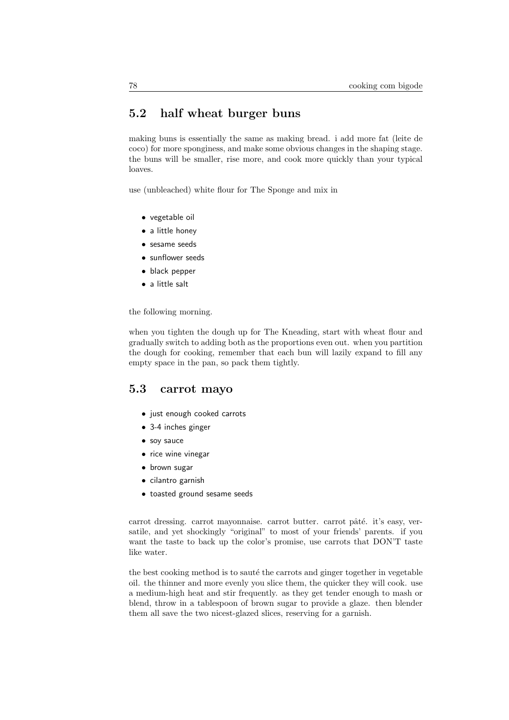# 5.2 half wheat burger buns

making buns is essentially the same as making bread. i add more fat (leite de coco) for more sponginess, and make some obvious changes in the shaping stage. the buns will be smaller, rise more, and cook more quickly than your typical loaves.

use (unbleached) white flour for The Sponge and mix in

- vegetable oil
- a little honey
- sesame seeds
- sunflower seeds
- black pepper
- a little salt

the following morning.

when you tighten the dough up for The Kneading, start with wheat flour and gradually switch to adding both as the proportions even out. when you partition the dough for cooking, remember that each bun will lazily expand to fill any empty space in the pan, so pack them tightly.

# 5.3 carrot mayo

- just enough cooked carrots
- 3-4 inches ginger
- soy sauce
- rice wine vinegar
- brown sugar
- cilantro garnish
- toasted ground sesame seeds

carrot dressing. carrot mayonnaise. carrot butter. carrot pâté. it's easy, versatile, and yet shockingly "original" to most of your friends' parents. if you want the taste to back up the color's promise, use carrots that DON'T taste like water.

the best cooking method is to sauté the carrots and ginger together in vegetable oil. the thinner and more evenly you slice them, the quicker they will cook. use a medium-high heat and stir frequently. as they get tender enough to mash or blend, throw in a tablespoon of brown sugar to provide a glaze. then blender them all save the two nicest-glazed slices, reserving for a garnish.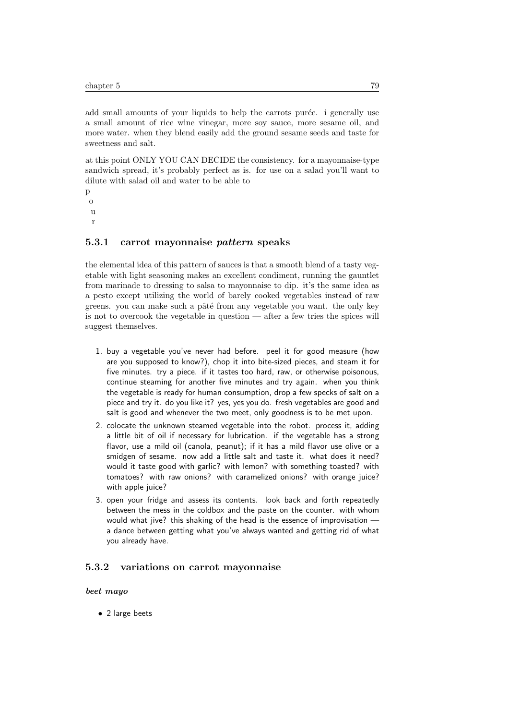add small amounts of your liquids to help the carrots purée. i generally use a small amount of rice wine vinegar, more soy sauce, more sesame oil, and more water. when they blend easily add the ground sesame seeds and taste for sweetness and salt.

at this point ONLY YOU CAN DECIDE the consistency. for a mayonnaise-type sandwich spread, it's probably perfect as is. for use on a salad you'll want to dilute with salad oil and water to be able to

```
p
o
u
```
r

# 5.3.1 carrot mayonnaise pattern speaks

the elemental idea of this pattern of sauces is that a smooth blend of a tasty vegetable with light seasoning makes an excellent condiment, running the gauntlet from marinade to dressing to salsa to mayonnaise to dip. it's the same idea as a pesto except utilizing the world of barely cooked vegetables instead of raw greens. you can make such a pâté from any vegetable you want. the only key is not to overcook the vegetable in question  $-$  after a few tries the spices will suggest themselves.

- 1. buy a vegetable you've never had before. peel it for good measure (how are you supposed to know?), chop it into bite-sized pieces, and steam it for five minutes. try a piece. if it tastes too hard, raw, or otherwise poisonous, continue steaming for another five minutes and try again. when you think the vegetable is ready for human consumption, drop a few specks of salt on a piece and try it. do you like it? yes, yes you do. fresh vegetables are good and salt is good and whenever the two meet, only goodness is to be met upon.
- 2. colocate the unknown steamed vegetable into the robot. process it, adding a little bit of oil if necessary for lubrication. if the vegetable has a strong flavor, use a mild oil (canola, peanut); if it has a mild flavor use olive or a smidgen of sesame. now add a little salt and taste it. what does it need? would it taste good with garlic? with lemon? with something toasted? with tomatoes? with raw onions? with caramelized onions? with orange juice? with apple juice?
- 3. open your fridge and assess its contents. look back and forth repeatedly between the mess in the coldbox and the paste on the counter. with whom would what jive? this shaking of the head is the essence of improvisation a dance between getting what you've always wanted and getting rid of what you already have.

# 5.3.2 variations on carrot mayonnaise

#### beet mayo

• 2 large beets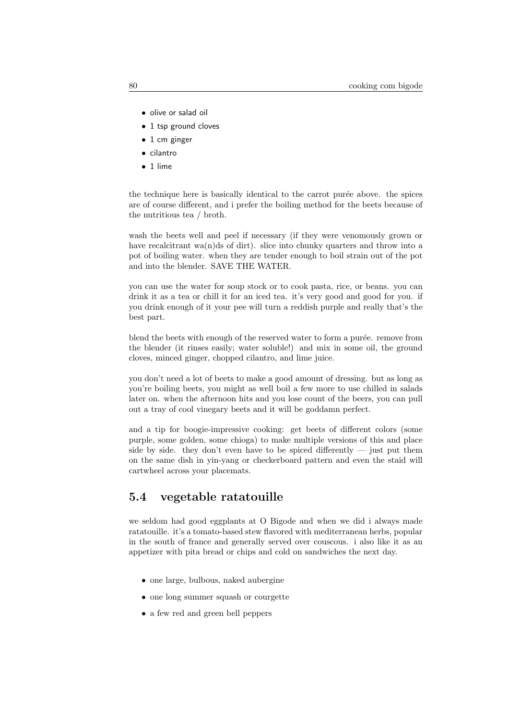- olive or salad oil
- 1 tsp ground cloves
- 1 cm ginger
- cilantro
- 1 lime

the technique here is basically identical to the carrot purée above. the spices are of course different, and i prefer the boiling method for the beets because of the nutritious tea / broth.

wash the beets well and peel if necessary (if they were venomously grown or have recalcitrant wa $(n)$ ds of dirt). slice into chunky quarters and throw into a pot of boiling water. when they are tender enough to boil strain out of the pot and into the blender. SAVE THE WATER.

you can use the water for soup stock or to cook pasta, rice, or beans. you can drink it as a tea or chill it for an iced tea. it's very good and good for you. if you drink enough of it your pee will turn a reddish purple and really that's the best part.

blend the beets with enough of the reserved water to form a purée. remove from the blender (it rinses easily; water soluble!) and mix in some oil, the ground cloves, minced ginger, chopped cilantro, and lime juice.

you don't need a lot of beets to make a good amount of dressing. but as long as you're boiling beets, you might as well boil a few more to use chilled in salads later on. when the afternoon hits and you lose count of the beers, you can pull out a tray of cool vinegary beets and it will be goddamn perfect.

and a tip for boogie-impressive cooking: get beets of different colors (some purple, some golden, some chioga) to make multiple versions of this and place side by side. they don't even have to be spiced differently  $-$  just put them on the same dish in yin-yang or checkerboard pattern and even the staid will cartwheel across your placemats.

# 5.4 vegetable ratatouille

we seldom had good eggplants at O Bigode and when we did i always made ratatouille. it's a tomato-based stew flavored with mediterranean herbs, popular in the south of france and generally served over couscous. i also like it as an appetizer with pita bread or chips and cold on sandwiches the next day.

- one large, bulbous, naked aubergine
- one long summer squash or courgette
- a few red and green bell peppers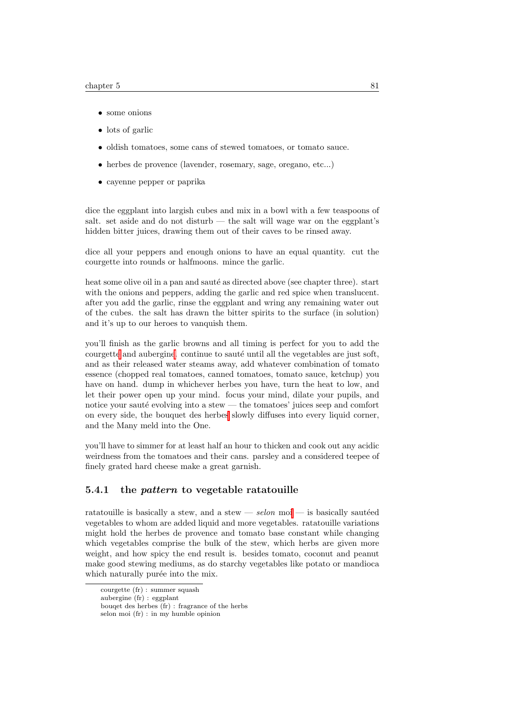- some onions
- lots of garlic
- oldish tomatoes, some cans of stewed tomatoes, or tomato sauce.
- herbes de provence (lavender, rosemary, sage, oregano, etc...)
- cayenne pepper or paprika

dice the eggplant into largish cubes and mix in a bowl with a few teaspoons of salt. set aside and do not disturb — the salt will wage war on the eggplant's hidden bitter juices, drawing them out of their caves to be rinsed away.

dice all your peppers and enough onions to have an equal quantity. cut the courgette into rounds or halfmoons. mince the garlic.

heat some olive oil in a pan and sauté as directed above (see chapter three). start with the onions and peppers, adding the garlic and red spice when translucent. after you add the garlic, rinse the eggplant and wring any remaining water out of the cubes. the salt has drawn the bitter spirits to the surface (in solution) and it's up to our heroes to vanquish them.

you'll finish as the garlic browns and all timing is perfect for you to add the courg[e](#page-86-0)tte and aubergin[e.](#page-86-1) continue to sauté until all the vegetables are just soft, and as their released water steams away, add whatever combination of tomato essence (chopped real tomatoes, canned tomatoes, tomato sauce, ketchup) you have on hand. dump in whichever herbes you have, turn the heat to low, and let their power open up your mind. focus your mind, dilate your pupils, and notice your sauté evolving into a stew — the tomatoes' juices seep and comfort on every side, the bouquet des herbe[s](#page-86-2) slowly diffuses into every liquid corner, and the Many meld into the One.

you'll have to simmer for at least half an hour to thicken and cook out any acidic weirdness from the tomatoes and their cans. parsley and a considered teepee of finely grated hard cheese make a great garnish.

# 5.4.1 the pattern to vegetable ratatouille

ratatou[i](#page-86-3)lle is basically a stew, and a stew — selon moi — is basically sautéed vegetables to whom are added liquid and more vegetables. ratatouille variations might hold the herbes de provence and tomato base constant while changing which vegetables comprise the bulk of the stew, which herbs are given more weight, and how spicy the end result is. besides tomato, coconut and peanut make good stewing mediums, as do starchy vegetables like potato or mandioca which naturally purée into the mix.

<span id="page-86-0"></span>courgette (fr) : summer squash

<span id="page-86-1"></span>aubergine (fr) : eggplant

<span id="page-86-3"></span><span id="page-86-2"></span>bouqet des herbes (fr) : fragrance of the herbs selon moi (fr) : in my humble opinion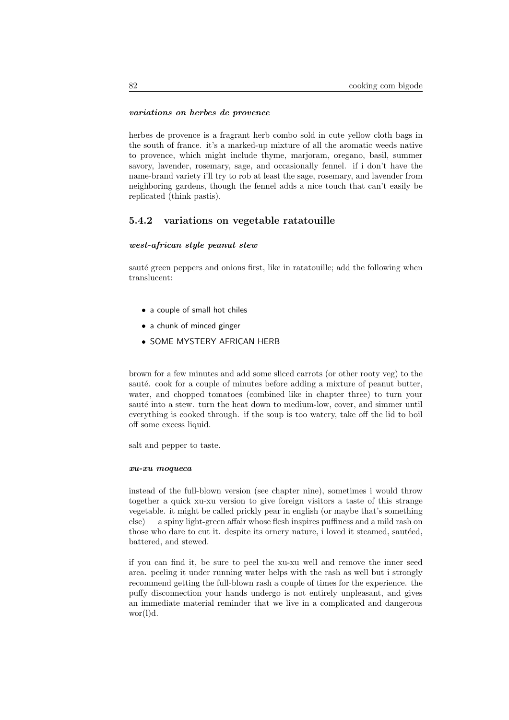#### variations on herbes de provence

herbes de provence is a fragrant herb combo sold in cute yellow cloth bags in the south of france. it's a marked-up mixture of all the aromatic weeds native to provence, which might include thyme, marjoram, oregano, basil, summer savory, lavender, rosemary, sage, and occasionally fennel. if i don't have the name-brand variety i'll try to rob at least the sage, rosemary, and lavender from neighboring gardens, though the fennel adds a nice touch that can't easily be replicated (think pastis).

### 5.4.2 variations on vegetable ratatouille

#### west-african style peanut stew

sauté green peppers and onions first, like in ratatouille; add the following when translucent:

- a couple of small hot chiles
- a chunk of minced ginger
- SOME MYSTERY AFRICAN HERB

brown for a few minutes and add some sliced carrots (or other rooty veg) to the sauté, cook for a couple of minutes before adding a mixture of peanut butter, water, and chopped tomatoes (combined like in chapter three) to turn your sauté into a stew. turn the heat down to medium-low, cover, and simmer until everything is cooked through. if the soup is too watery, take off the lid to boil off some excess liquid.

salt and pepper to taste.

#### xu-xu moqueca

instead of the full-blown version (see chapter nine), sometimes i would throw together a quick xu-xu version to give foreign visitors a taste of this strange vegetable. it might be called prickly pear in english (or maybe that's something else) — a spiny light-green affair whose flesh inspires puffiness and a mild rash on those who dare to cut it. despite its ornery nature, i loved it steamed, sautéed, battered, and stewed.

if you can find it, be sure to peel the xu-xu well and remove the inner seed area. peeling it under running water helps with the rash as well but i strongly recommend getting the full-blown rash a couple of times for the experience. the puffy disconnection your hands undergo is not entirely unpleasant, and gives an immediate material reminder that we live in a complicated and dangerous wor(l)d.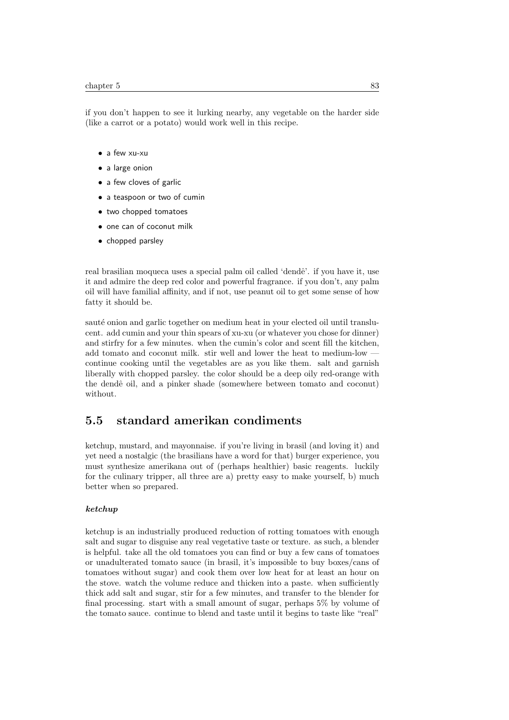if you don't happen to see it lurking nearby, any vegetable on the harder side (like a carrot or a potato) would work well in this recipe.

- a few xu-xu
- a large onion
- a few cloves of garlic
- a teaspoon or two of cumin
- two chopped tomatoes
- one can of coconut milk
- chopped parsley

real brasilian moqueca uses a special palm oil called 'dendê'. if you have it, use it and admire the deep red color and powerful fragrance. if you don't, any palm oil will have familial affinity, and if not, use peanut oil to get some sense of how fatty it should be.

sauté onion and garlic together on medium heat in your elected oil until translucent. add cumin and your thin spears of xu-xu (or whatever you chose for dinner) and stirfry for a few minutes. when the cumin's color and scent fill the kitchen, add tomato and coconut milk. stir well and lower the heat to medium-low continue cooking until the vegetables are as you like them. salt and garnish liberally with chopped parsley. the color should be a deep oily red-orange with the dendê oil, and a pinker shade (somewhere between tomato and coconut) without.

# 5.5 standard amerikan condiments

ketchup, mustard, and mayonnaise. if you're living in brasil (and loving it) and yet need a nostalgic (the brasilians have a word for that) burger experience, you must synthesize amerikana out of (perhaps healthier) basic reagents. luckily for the culinary tripper, all three are a) pretty easy to make yourself, b) much better when so prepared.

### ketchup

ketchup is an industrially produced reduction of rotting tomatoes with enough salt and sugar to disguise any real vegetative taste or texture. as such, a blender is helpful. take all the old tomatoes you can find or buy a few cans of tomatoes or unadulterated tomato sauce (in brasil, it's impossible to buy boxes/cans of tomatoes without sugar) and cook them over low heat for at least an hour on the stove. watch the volume reduce and thicken into a paste. when sufficiently thick add salt and sugar, stir for a few minutes, and transfer to the blender for final processing. start with a small amount of sugar, perhaps 5% by volume of the tomato sauce. continue to blend and taste until it begins to taste like "real"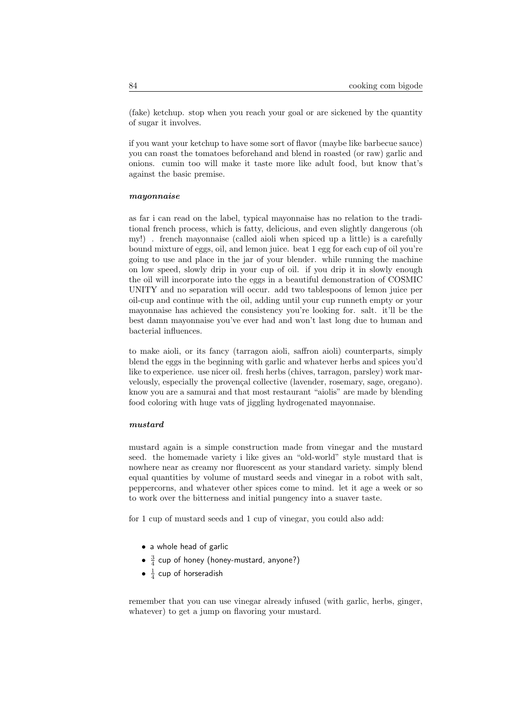(fake) ketchup. stop when you reach your goal or are sickened by the quantity of sugar it involves.

if you want your ketchup to have some sort of flavor (maybe like barbecue sauce) you can roast the tomatoes beforehand and blend in roasted (or raw) garlic and onions. cumin too will make it taste more like adult food, but know that's against the basic premise.

#### mayonnaise

as far i can read on the label, typical mayonnaise has no relation to the traditional french process, which is fatty, delicious, and even slightly dangerous (oh my!) . french mayonnaise (called aioli when spiced up a little) is a carefully bound mixture of eggs, oil, and lemon juice. beat 1 egg for each cup of oil you're going to use and place in the jar of your blender. while running the machine on low speed, slowly drip in your cup of oil. if you drip it in slowly enough the oil will incorporate into the eggs in a beautiful demonstration of COSMIC UNITY and no separation will occur. add two tablespoons of lemon juice per oil-cup and continue with the oil, adding until your cup runneth empty or your mayonnaise has achieved the consistency you're looking for. salt. it'll be the best damn mayonnaise you've ever had and won't last long due to human and bacterial influences.

to make aioli, or its fancy (tarragon aioli, saffron aioli) counterparts, simply blend the eggs in the beginning with garlic and whatever herbs and spices you'd like to experience. use nicer oil. fresh herbs (chives, tarragon, parsley) work marvelously, especially the provençal collective (lavender, rosemary, sage, oregano). know you are a samurai and that most restaurant "aiolis" are made by blending food coloring with huge vats of jiggling hydrogenated mayonnaise.

#### mustard

mustard again is a simple construction made from vinegar and the mustard seed. the homemade variety i like gives an "old-world" style mustard that is nowhere near as creamy nor fluorescent as your standard variety. simply blend equal quantities by volume of mustard seeds and vinegar in a robot with salt, peppercorns, and whatever other spices come to mind. let it age a week or so to work over the bitterness and initial pungency into a suaver taste.

for 1 cup of mustard seeds and 1 cup of vinegar, you could also add:

- a whole head of garlic
- $\bullet$   $\frac{3}{4}$  cup of honey (honey-mustard, anyone?)
- $\frac{1}{4}$  cup of horseradish

remember that you can use vinegar already infused (with garlic, herbs, ginger, whatever) to get a jump on flavoring your mustard.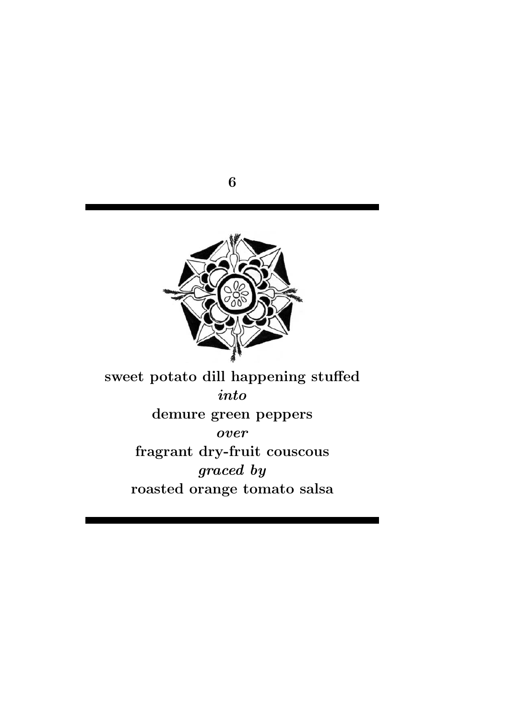



# sweet potato dill happening stuffed into demure green peppers over fragrant dry-fruit couscous graced by roasted orange tomato salsa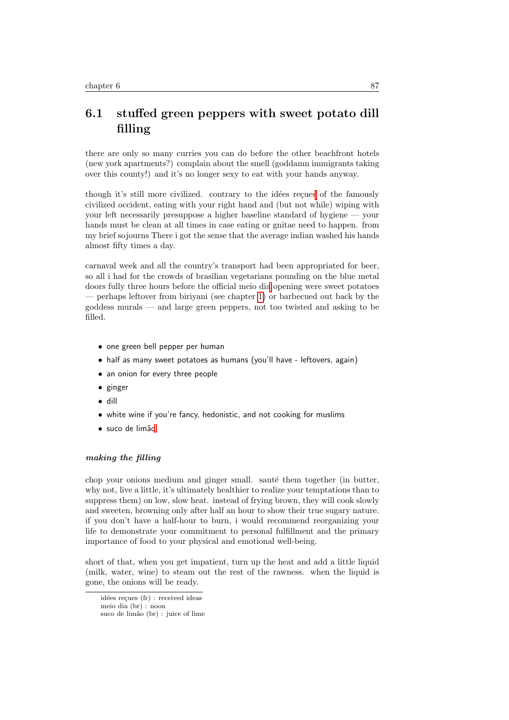# 6.1 stuffed green peppers with sweet potato dill filling

there are only so many curries you can do before the other beachfront hotels (new york apartments?) complain about the smell (goddamn immigrants taking over this county!) and it's no longer sexy to eat with your hands anyway.

though it'[s](#page-92-0) still more civilized. contrary to the idées reçues of the famously civilized occident, eating with your right hand and (but not while) wiping with your left necessarily presuppose a higher baseline standard of hygiene — your hands must be clean at all times in case eating or gnitae need to happen. from my brief sojourns There i got the sense that the average indian washed his hands almost fifty times a day.

carnaval week and all the country's transport had been appropriated for beer, so all i had for the crowds of brasilian vegetarians pounding on the blue metal doors fully three hours before the official meio di[a](#page-92-1) opening were sweet potatoes — perhaps leftover from biriyani (see chapter [1\)](#page-12-0) or barbecued out back by the goddess murals — and large green peppers, not too twisted and asking to be filled.

- one green bell pepper per human
- half as many sweet potatoes as humans (you'll have leftovers, again)
- an onion for every three people
- ginger
- dill
- white wine if you're fancy, hedonistic, and not cooking for muslims
- suco de lim˜a[o](#page-92-2)

### making the filling

chop your onions medium and ginger small. sauté them together (in butter, why not, live a little, it's ultimately healthier to realize your temptations than to suppress them) on low, slow heat. instead of frying brown, they will cook slowly and sweeten, browning only after half an hour to show their true sugary nature. if you don't have a half-hour to burn, i would recommend reorganizing your life to demonstrate your commitment to personal fulfillment and the primary importance of food to your physical and emotional well-being.

short of that, when you get impatient, turn up the heat and add a little liquid (milk, water, wine) to steam out the rest of the rawness. when the liquid is gone, the onions will be ready.

<span id="page-92-1"></span><span id="page-92-0"></span>idées reçues (fr) : received ideas meio dia (br) : noon

<span id="page-92-2"></span>suco de limão (br) : juice of lime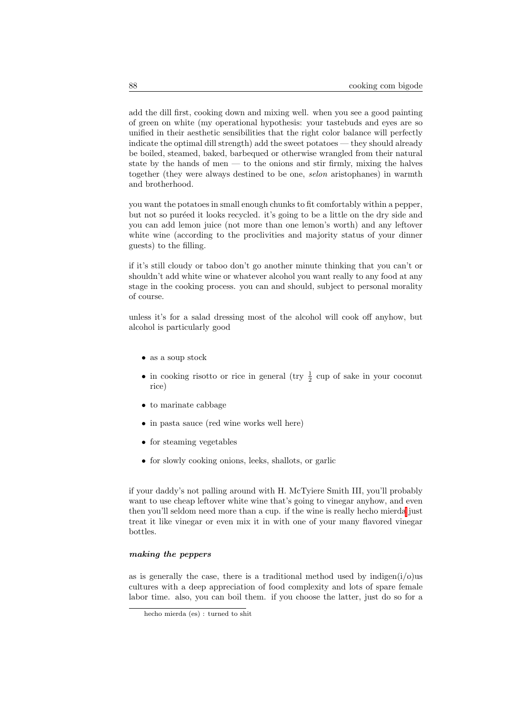add the dill first, cooking down and mixing well. when you see a good painting of green on white (my operational hypothesis: your tastebuds and eyes are so unified in their aesthetic sensibilities that the right color balance will perfectly indicate the optimal dill strength) add the sweet potatoes — they should already be boiled, steamed, baked, barbequed or otherwise wrangled from their natural state by the hands of men — to the onions and stir firmly, mixing the halves together (they were always destined to be one, selon aristophanes) in warmth and brotherhood.

you want the potatoes in small enough chunks to fit comfortably within a pepper, but not so puréed it looks recycled. it's going to be a little on the dry side and you can add lemon juice (not more than one lemon's worth) and any leftover white wine (according to the proclivities and majority status of your dinner guests) to the filling.

if it's still cloudy or taboo don't go another minute thinking that you can't or shouldn't add white wine or whatever alcohol you want really to any food at any stage in the cooking process. you can and should, subject to personal morality of course.

unless it's for a salad dressing most of the alcohol will cook off anyhow, but alcohol is particularly good

- as a soup stock
- in cooking risotto or rice in general (try  $\frac{1}{2}$  cup of sake in your coconut rice)
- to marinate cabbage
- in pasta sauce (red wine works well here)
- for steaming vegetables
- for slowly cooking onions, leeks, shallots, or garlic

if your daddy's not palling around with H. McTyiere Smith III, you'll probably want to use cheap leftover white wine that's going to vinegar anyhow, and even then you'll seldom need more than a cup. if the wine is really hecho mierd[a](#page-93-0) just treat it like vinegar or even mix it in with one of your many flavored vinegar bottles.

#### making the peppers

as is generally the case, there is a traditional method used by indigen $(i/o)$ us cultures with a deep appreciation of food complexity and lots of spare female labor time. also, you can boil them. if you choose the latter, just do so for a

<span id="page-93-0"></span>hecho mierda (es) : turned to shit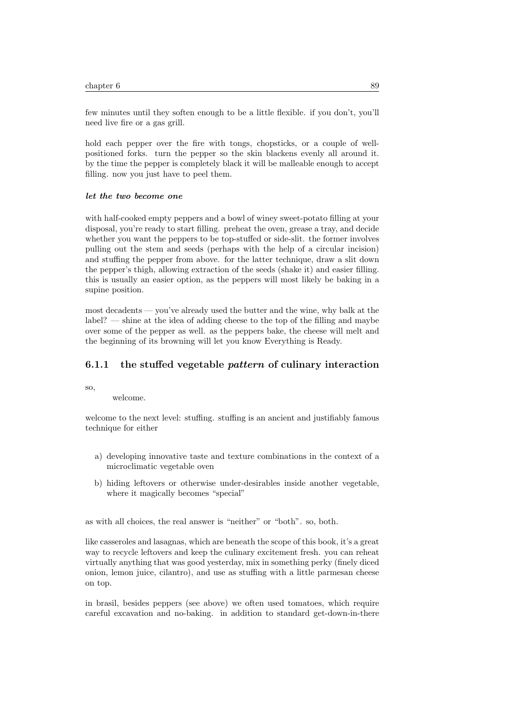few minutes until they soften enough to be a little flexible. if you don't, you'll need live fire or a gas grill.

hold each pepper over the fire with tongs, chopsticks, or a couple of wellpositioned forks. turn the pepper so the skin blackens evenly all around it. by the time the pepper is completely black it will be malleable enough to accept filling. now you just have to peel them.

#### let the two become one

with half-cooked empty peppers and a bowl of winey sweet-potato filling at your disposal, you're ready to start filling. preheat the oven, grease a tray, and decide whether you want the peppers to be top-stuffed or side-slit. the former involves pulling out the stem and seeds (perhaps with the help of a circular incision) and stuffing the pepper from above. for the latter technique, draw a slit down the pepper's thigh, allowing extraction of the seeds (shake it) and easier filling. this is usually an easier option, as the peppers will most likely be baking in a supine position.

most decadents — you've already used the butter and the wine, why balk at the label? — shine at the idea of adding cheese to the top of the filling and maybe over some of the pepper as well. as the peppers bake, the cheese will melt and the beginning of its browning will let you know Everything is Ready.

# 6.1.1 the stuffed vegetable pattern of culinary interaction

so,

welcome.

welcome to the next level: stuffing, stuffing is an ancient and justifiably famous technique for either

- a) developing innovative taste and texture combinations in the context of a microclimatic vegetable oven
- b) hiding leftovers or otherwise under-desirables inside another vegetable, where it magically becomes "special"

as with all choices, the real answer is "neither" or "both". so, both.

like casseroles and lasagnas, which are beneath the scope of this book, it's a great way to recycle leftovers and keep the culinary excitement fresh. you can reheat virtually anything that was good yesterday, mix in something perky (finely diced onion, lemon juice, cilantro), and use as stuffing with a little parmesan cheese on top.

in brasil, besides peppers (see above) we often used tomatoes, which require careful excavation and no-baking. in addition to standard get-down-in-there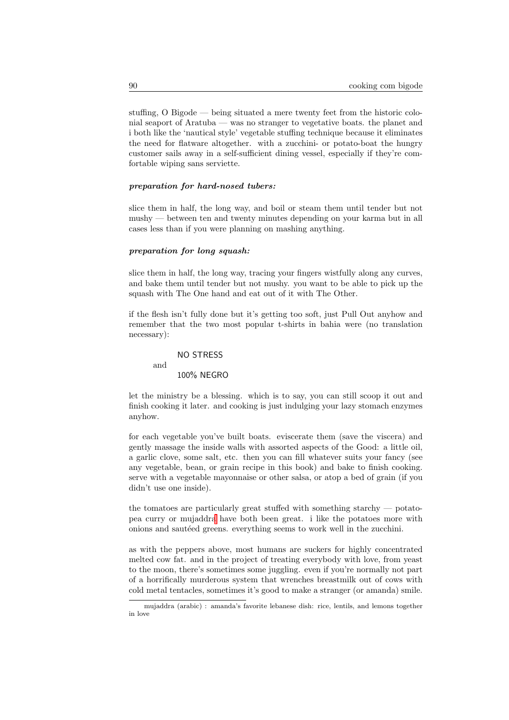stuffing, O Bigode — being situated a mere twenty feet from the historic colonial seaport of Aratuba — was no stranger to vegetative boats. the planet and i both like the 'nautical style' vegetable stuffing technique because it eliminates the need for flatware altogether. with a zucchini- or potato-boat the hungry customer sails away in a self-sufficient dining vessel, especially if they're comfortable wiping sans serviette.

#### preparation for hard-nosed tubers:

slice them in half, the long way, and boil or steam them until tender but not mushy — between ten and twenty minutes depending on your karma but in all cases less than if you were planning on mashing anything.

#### preparation for long squash:

slice them in half, the long way, tracing your fingers wistfully along any curves, and bake them until tender but not mushy. you want to be able to pick up the squash with The One hand and eat out of it with The Other.

if the flesh isn't fully done but it's getting too soft, just Pull Out anyhow and remember that the two most popular t-shirts in bahia were (no translation necessary):

# NO STRESS and 100% NEGRO

let the ministry be a blessing. which is to say, you can still scoop it out and finish cooking it later. and cooking is just indulging your lazy stomach enzymes anyhow.

for each vegetable you've built boats. eviscerate them (save the viscera) and gently massage the inside walls with assorted aspects of the Good: a little oil, a garlic clove, some salt, etc. then you can fill whatever suits your fancy (see any vegetable, bean, or grain recipe in this book) and bake to finish cooking. serve with a vegetable mayonnaise or other salsa, or atop a bed of grain (if you didn't use one inside).

the tomatoes are particularly great stuffed with something starchy — potatopea curry or mujaddr[a](#page-95-0) have both been great. i like the potatoes more with onions and sautéed greens. everything seems to work well in the zucchini.

as with the peppers above, most humans are suckers for highly concentrated melted cow fat. and in the project of treating everybody with love, from yeast to the moon, there's sometimes some juggling. even if you're normally not part of a horrifically murderous system that wrenches breastmilk out of cows with cold metal tentacles, sometimes it's good to make a stranger (or amanda) smile.

<span id="page-95-0"></span>mujaddra (arabic) : amanda's favorite lebanese dish: rice, lentils, and lemons together in love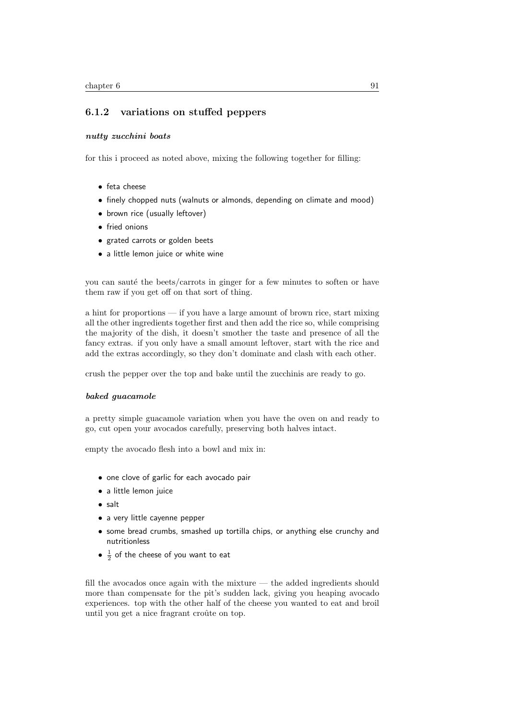# 6.1.2 variations on stuffed peppers

#### nutty zucchini boats

for this i proceed as noted above, mixing the following together for filling:

- feta cheese
- finely chopped nuts (walnuts or almonds, depending on climate and mood)
- brown rice (usually leftover)
- fried onions
- grated carrots or golden beets
- a little lemon juice or white wine

you can sauté the beets/carrots in ginger for a few minutes to soften or have them raw if you get off on that sort of thing.

a hint for proportions — if you have a large amount of brown rice, start mixing all the other ingredients together first and then add the rice so, while comprising the majority of the dish, it doesn't smother the taste and presence of all the fancy extras. if you only have a small amount leftover, start with the rice and add the extras accordingly, so they don't dominate and clash with each other.

crush the pepper over the top and bake until the zucchinis are ready to go.

#### baked guacamole

a pretty simple guacamole variation when you have the oven on and ready to go, cut open your avocados carefully, preserving both halves intact.

empty the avocado flesh into a bowl and mix in:

- one clove of garlic for each avocado pair
- a little lemon juice
- salt
- a very little cayenne pepper
- some bread crumbs, smashed up tortilla chips, or anything else crunchy and nutritionless
- $\bullet$   $\frac{1}{2}$  of the cheese of you want to eat

fill the avocados once again with the mixture — the added ingredients should more than compensate for the pit's sudden lack, giving you heaping avocado experiences. top with the other half of the cheese you wanted to eat and broil until you get a nice fragrant croûte on top.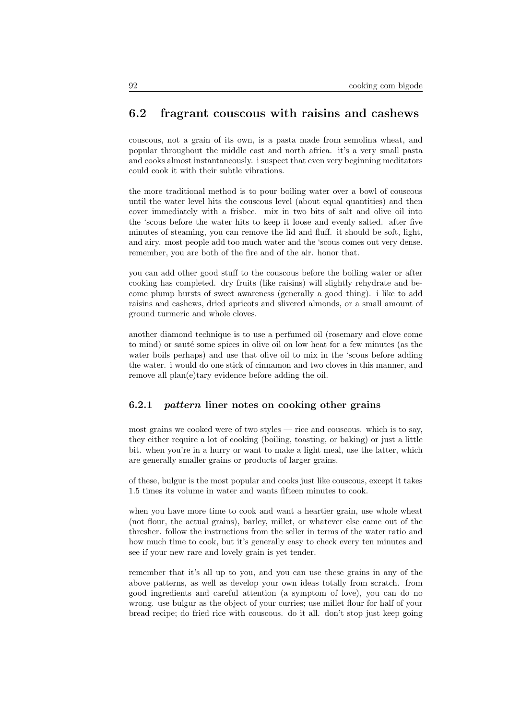# 6.2 fragrant couscous with raisins and cashews

couscous, not a grain of its own, is a pasta made from semolina wheat, and popular throughout the middle east and north africa. it's a very small pasta and cooks almost instantaneously. i suspect that even very beginning meditators could cook it with their subtle vibrations.

the more traditional method is to pour boiling water over a bowl of couscous until the water level hits the couscous level (about equal quantities) and then cover immediately with a frisbee. mix in two bits of salt and olive oil into the 'scous before the water hits to keep it loose and evenly salted. after five minutes of steaming, you can remove the lid and fluff. it should be soft, light, and airy. most people add too much water and the 'scous comes out very dense. remember, you are both of the fire and of the air. honor that.

you can add other good stuff to the couscous before the boiling water or after cooking has completed. dry fruits (like raisins) will slightly rehydrate and become plump bursts of sweet awareness (generally a good thing). i like to add raisins and cashews, dried apricots and slivered almonds, or a small amount of ground turmeric and whole cloves.

another diamond technique is to use a perfumed oil (rosemary and clove come to mind) or sauté some spices in olive oil on low heat for a few minutes (as the water boils perhaps) and use that olive oil to mix in the 'scous before adding the water. i would do one stick of cinnamon and two cloves in this manner, and remove all plan(e)tary evidence before adding the oil.

#### 6.2.1 pattern liner notes on cooking other grains

most grains we cooked were of two styles — rice and couscous. which is to say, they either require a lot of cooking (boiling, toasting, or baking) or just a little bit. when you're in a hurry or want to make a light meal, use the latter, which are generally smaller grains or products of larger grains.

of these, bulgur is the most popular and cooks just like couscous, except it takes 1.5 times its volume in water and wants fifteen minutes to cook.

when you have more time to cook and want a heartier grain, use whole wheat (not flour, the actual grains), barley, millet, or whatever else came out of the thresher. follow the instructions from the seller in terms of the water ratio and how much time to cook, but it's generally easy to check every ten minutes and see if your new rare and lovely grain is yet tender.

remember that it's all up to you, and you can use these grains in any of the above patterns, as well as develop your own ideas totally from scratch. from good ingredients and careful attention (a symptom of love), you can do no wrong. use bulgur as the object of your curries; use millet flour for half of your bread recipe; do fried rice with couscous. do it all. don't stop just keep going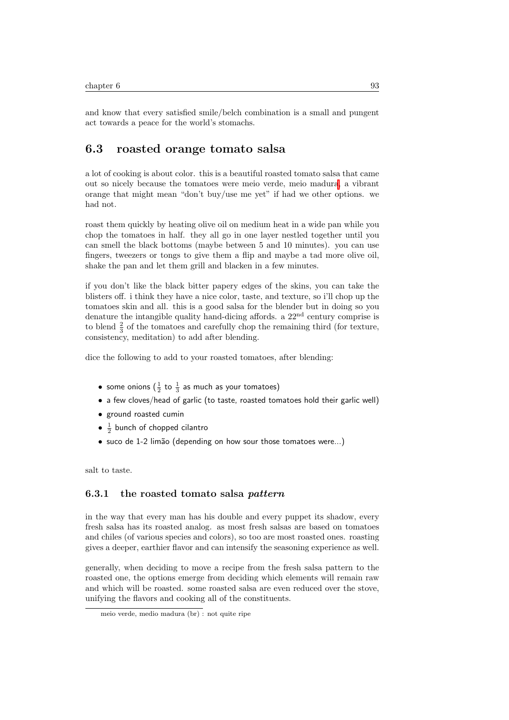and know that every satisfied smile/belch combination is a small and pungent act towards a peace for the world's stomachs.

# 6.3 roasted orange tomato salsa

a lot of cooking is about color. this is a beautiful roasted tomato salsa that came out so nicely because the tomatoes were meio verde, meio madur[a,](#page-98-0) a vibrant orange that might mean "don't buy/use me yet" if had we other options. we had not.

roast them quickly by heating olive oil on medium heat in a wide pan while you chop the tomatoes in half. they all go in one layer nestled together until you can smell the black bottoms (maybe between 5 and 10 minutes). you can use fingers, tweezers or tongs to give them a flip and maybe a tad more olive oil, shake the pan and let them grill and blacken in a few minutes.

if you don't like the black bitter papery edges of the skins, you can take the blisters off. i think they have a nice color, taste, and texture, so i'll chop up the tomatoes skin and all. this is a good salsa for the blender but in doing so you denature the intangible quality hand-dicing affords. a 22nd century comprise is to blend  $\frac{2}{3}$  of the tomatoes and carefully chop the remaining third (for texture, consistency, meditation) to add after blending.

dice the following to add to your roasted tomatoes, after blending:

- some onions  $(\frac{1}{2}$  to  $\frac{1}{3}$  as much as your tomatoes)
- a few cloves/head of garlic (to taste, roasted tomatoes hold their garlic well)
- ground roasted cumin
- $\frac{1}{2}$  bunch of chopped cilantro
- suco de 1-2 limão (depending on how sour those tomatoes were...)

salt to taste.

### 6.3.1 the roasted tomato salsa pattern

in the way that every man has his double and every puppet its shadow, every fresh salsa has its roasted analog. as most fresh salsas are based on tomatoes and chiles (of various species and colors), so too are most roasted ones. roasting gives a deeper, earthier flavor and can intensify the seasoning experience as well.

generally, when deciding to move a recipe from the fresh salsa pattern to the roasted one, the options emerge from deciding which elements will remain raw and which will be roasted. some roasted salsa are even reduced over the stove, unifying the flavors and cooking all of the constituents.

<span id="page-98-0"></span>meio verde, medio madura (br) : not quite ripe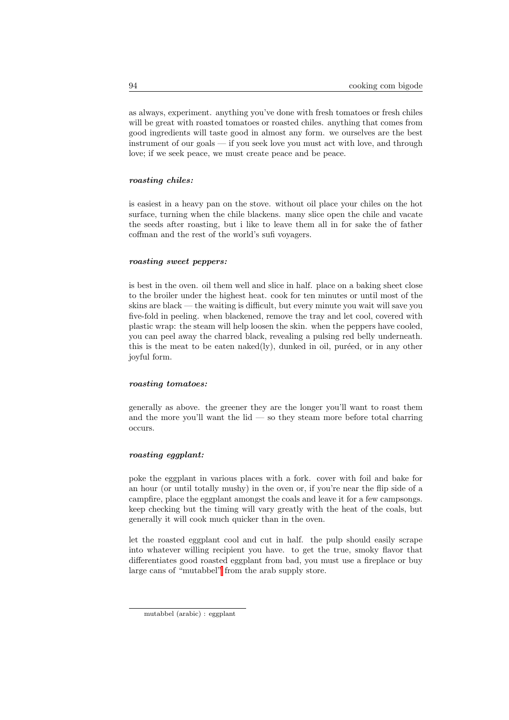as always, experiment. anything you've done with fresh tomatoes or fresh chiles will be great with roasted tomatoes or roasted chiles. anything that comes from good ingredients will taste good in almost any form. we ourselves are the best instrument of our goals — if you seek love you must act with love, and through love; if we seek peace, we must create peace and be peace.

# roasting chiles:

is easiest in a heavy pan on the stove. without oil place your chiles on the hot surface, turning when the chile blackens. many slice open the chile and vacate the seeds after roasting, but i like to leave them all in for sake the of father coffman and the rest of the world's sufi voyagers.

#### roasting sweet peppers:

is best in the oven. oil them well and slice in half. place on a baking sheet close to the broiler under the highest heat. cook for ten minutes or until most of the skins are black — the waiting is difficult, but every minute you wait will save you five-fold in peeling. when blackened, remove the tray and let cool, covered with plastic wrap: the steam will help loosen the skin. when the peppers have cooled, you can peel away the charred black, revealing a pulsing red belly underneath. this is the meat to be eaten naked $(ly)$ , dunked in oil, puréed, or in any other joyful form.

#### roasting tomatoes:

generally as above. the greener they are the longer you'll want to roast them and the more you'll want the lid — so they steam more before total charring occurs.

### roasting eggplant:

poke the eggplant in various places with a fork. cover with foil and bake for an hour (or until totally mushy) in the oven or, if you're near the flip side of a campfire, place the eggplant amongst the coals and leave it for a few campsongs. keep checking but the timing will vary greatly with the heat of the coals, but generally it will cook much quicker than in the oven.

let the roasted eggplant cool and cut in half. the pulp should easily scrape into whatever willing recipient you have. to get the true, smoky flavor that differentiates good roasted eggplant from bad, you must use a fireplace or buy large cans of "mutabbel["](#page-99-0) from the arab supply store.

<span id="page-99-0"></span>mutabbel (arabic) : eggplant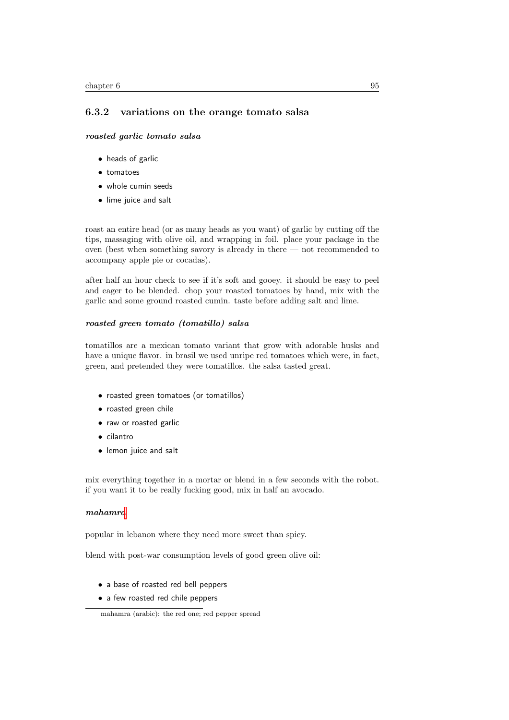## 6.3.2 variations on the orange tomato salsa

#### roasted garlic tomato salsa

- heads of garlic
- tomatoes
- whole cumin seeds
- lime juice and salt

roast an entire head (or as many heads as you want) of garlic by cutting off the tips, massaging with olive oil, and wrapping in foil. place your package in the oven (best when something savory is already in there — not recommended to accompany apple pie or cocadas).

after half an hour check to see if it's soft and gooey. it should be easy to peel and eager to be blended. chop your roasted tomatoes by hand, mix with the garlic and some ground roasted cumin. taste before adding salt and lime.

### roasted green tomato (tomatillo) salsa

tomatillos are a mexican tomato variant that grow with adorable husks and have a unique flavor. in brasil we used unripe red tomatoes which were, in fact, green, and pretended they were tomatillos. the salsa tasted great.

- roasted green tomatoes (or tomatillos)
- roasted green chile
- raw or roasted garlic
- cilantro
- lemon juice and salt

mix everything together in a mortar or blend in a few seconds with the robot. if you want it to be really fucking good, mix in half an avocado.

#### mahamr[a](#page-100-0)

popular in lebanon where they need more sweet than spicy.

blend with post-war consumption levels of good green olive oil:

- a base of roasted red bell peppers
- a few roasted red chile peppers

<span id="page-100-0"></span>mahamra (arabic): the red one; red pepper spread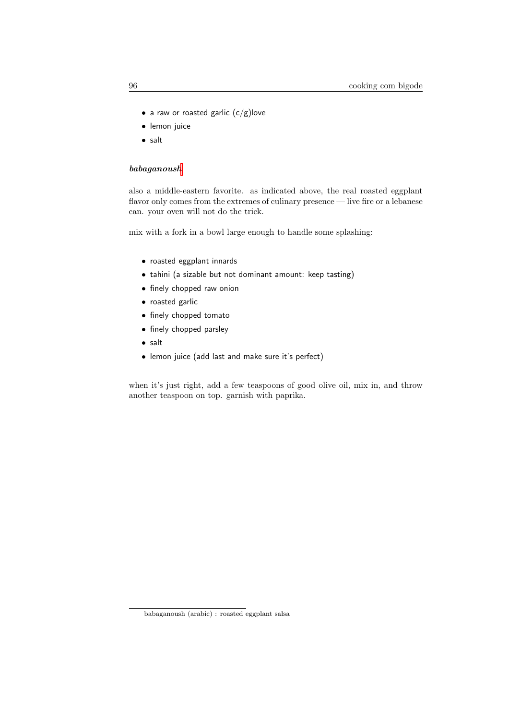- a raw or roasted garlic  $(c/g)$ love
- lemon juice
- salt

### babaganous[h](#page-101-0)

also a middle-eastern favorite. as indicated above, the real roasted eggplant flavor only comes from the extremes of culinary presence — live fire or a lebanese can. your oven will not do the trick.

mix with a fork in a bowl large enough to handle some splashing:

- roasted eggplant innards
- tahini (a sizable but not dominant amount: keep tasting)
- finely chopped raw onion
- roasted garlic
- finely chopped tomato
- finely chopped parsley
- salt
- lemon juice (add last and make sure it's perfect)

when it's just right, add a few teaspoons of good olive oil, mix in, and throw another teaspoon on top. garnish with paprika.

<span id="page-101-0"></span>babaganoush (arabic) : roasted eggplant salsa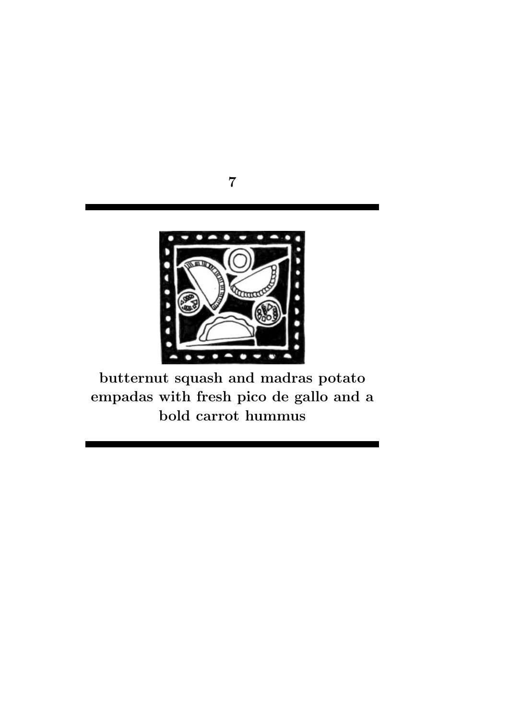

7

# butternut squash and madras potato empadas with fresh pico de gallo and a bold carrot hummus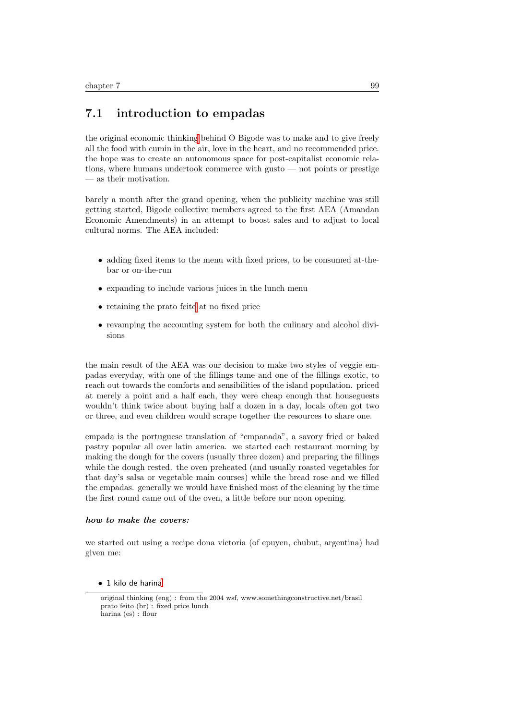# 7.1 introduction to empadas

the original economic thinkin[g](#page-104-0) behind O Bigode was to make and to give freely all the food with cumin in the air, love in the heart, and no recommended price. the hope was to create an autonomous space for post-capitalist economic relations, where humans undertook commerce with gusto — not points or prestige — as their motivation.

barely a month after the grand opening, when the publicity machine was still getting started, Bigode collective members agreed to the first AEA (Amandan Economic Amendments) in an attempt to boost sales and to adjust to local cultural norms. The AEA included:

- adding fixed items to the menu with fixed prices, to be consumed at-thebar or on-the-run
- expanding to include various juices in the lunch menu
- retaining the prato feit[o](#page-104-1) at no fixed price
- revamping the accounting system for both the culinary and alcohol divisions

the main result of the AEA was our decision to make two styles of veggie empadas everyday, with one of the fillings tame and one of the fillings exotic, to reach out towards the comforts and sensibilities of the island population. priced at merely a point and a half each, they were cheap enough that houseguests wouldn't think twice about buying half a dozen in a day, locals often got two or three, and even children would scrape together the resources to share one.

empada is the portuguese translation of "empanada", a savory fried or baked pastry popular all over latin america. we started each restaurant morning by making the dough for the covers (usually three dozen) and preparing the fillings while the dough rested. the oven preheated (and usually roasted vegetables for that day's salsa or vegetable main courses) while the bread rose and we filled the empadas. generally we would have finished most of the cleaning by the time the first round came out of the oven, a little before our noon opening.

#### how to make the covers:

we started out using a recipe dona victoria (of epuyen, chubut, argentina) had given me:

#### • 1 kilo de harin[a](#page-104-2)

<span id="page-104-2"></span><span id="page-104-1"></span><span id="page-104-0"></span>original thinking (eng) : from the 2004 wsf, www.somethingconstructive.net/brasil prato feito (br) : fixed price lunch harina (es) : flour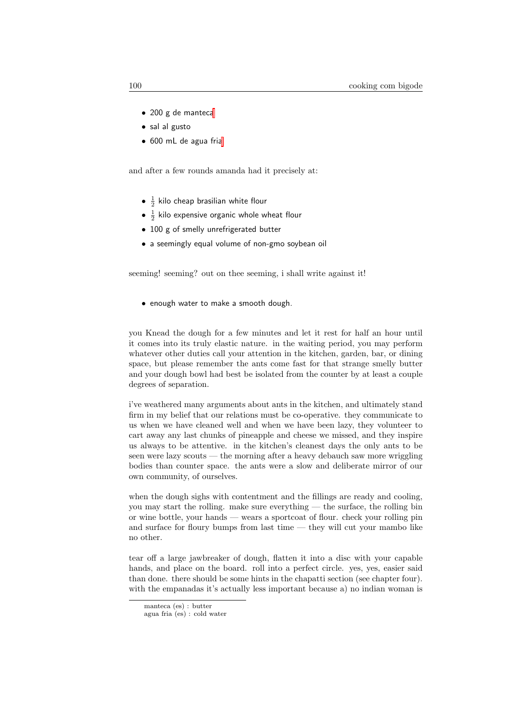- 200 g de mantec[a](#page-105-0)
- sal al gusto
- 600 mL de agua fri[a](#page-105-1)

and after a few rounds amanda had it precisely at:

- $\bullet$   $\frac{1}{2}$  kilo cheap brasilian white flour
- $\bullet$   $\frac{1}{2}$  kilo expensive organic whole wheat flour
- 100 g of smelly unrefrigerated butter
- a seemingly equal volume of non-gmo soybean oil

seeming! seeming? out on thee seeming, i shall write against it!

• enough water to make a smooth dough.

you Knead the dough for a few minutes and let it rest for half an hour until it comes into its truly elastic nature. in the waiting period, you may perform whatever other duties call your attention in the kitchen, garden, bar, or dining space, but please remember the ants come fast for that strange smelly butter and your dough bowl had best be isolated from the counter by at least a couple degrees of separation.

i've weathered many arguments about ants in the kitchen, and ultimately stand firm in my belief that our relations must be co-operative. they communicate to us when we have cleaned well and when we have been lazy, they volunteer to cart away any last chunks of pineapple and cheese we missed, and they inspire us always to be attentive. in the kitchen's cleanest days the only ants to be seen were lazy scouts — the morning after a heavy debauch saw more wriggling bodies than counter space. the ants were a slow and deliberate mirror of our own community, of ourselves.

when the dough sighs with contentment and the fillings are ready and cooling, you may start the rolling. make sure everything — the surface, the rolling bin or wine bottle, your hands — wears a sportcoat of flour. check your rolling pin and surface for floury bumps from last time — they will cut your mambo like no other.

tear off a large jawbreaker of dough, flatten it into a disc with your capable hands, and place on the board. roll into a perfect circle. yes, yes, easier said than done. there should be some hints in the chapatti section (see chapter four). with the empanadas it's actually less important because a) no indian woman is

<span id="page-105-0"></span>manteca (es) : butter

<span id="page-105-1"></span>agua fria (es) : cold water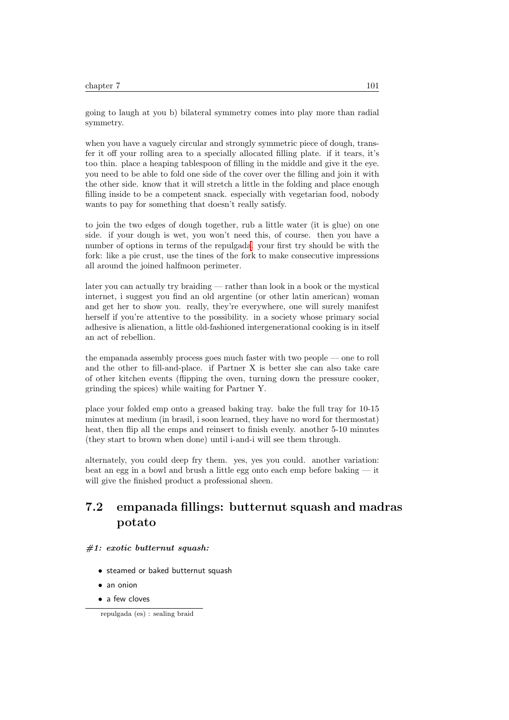going to laugh at you b) bilateral symmetry comes into play more than radial symmetry.

when you have a vaguely circular and strongly symmetric piece of dough, transfer it off your rolling area to a specially allocated filling plate. if it tears, it's too thin. place a heaping tablespoon of filling in the middle and give it the eye. you need to be able to fold one side of the cover over the filling and join it with the other side. know that it will stretch a little in the folding and place enough filling inside to be a competent snack. especially with vegetarian food, nobody wants to pay for something that doesn't really satisfy.

to join the two edges of dough together, rub a little water (it is glue) on one side. if your dough is wet, you won't need this, of course. then you have a number of options in terms of the repulgad[a.](#page-106-0) your first try should be with the fork: like a pie crust, use the tines of the fork to make consecutive impressions all around the joined halfmoon perimeter.

later you can actually try braiding — rather than look in a book or the mystical internet, i suggest you find an old argentine (or other latin american) woman and get her to show you. really, they're everywhere, one will surely manifest herself if you're attentive to the possibility. in a society whose primary social adhesive is alienation, a little old-fashioned intergenerational cooking is in itself an act of rebellion.

the empanada assembly process goes much faster with two people — one to roll and the other to fill-and-place. if Partner X is better she can also take care of other kitchen events (flipping the oven, turning down the pressure cooker, grinding the spices) while waiting for Partner Y.

place your folded emp onto a greased baking tray. bake the full tray for 10-15 minutes at medium (in brasil, i soon learned, they have no word for thermostat) heat, then flip all the emps and reinsert to finish evenly. another 5-10 minutes (they start to brown when done) until i-and-i will see them through.

alternately, you could deep fry them. yes, yes you could. another variation: beat an egg in a bowl and brush a little egg onto each emp before baking — it will give the finished product a professional sheen.

# 7.2 empanada fillings: butternut squash and madras potato

# $#1: exotic\ butternut\ squash:$

- steamed or baked butternut squash
- an onion
- a few cloves

<span id="page-106-0"></span>repulgada (es) : sealing braid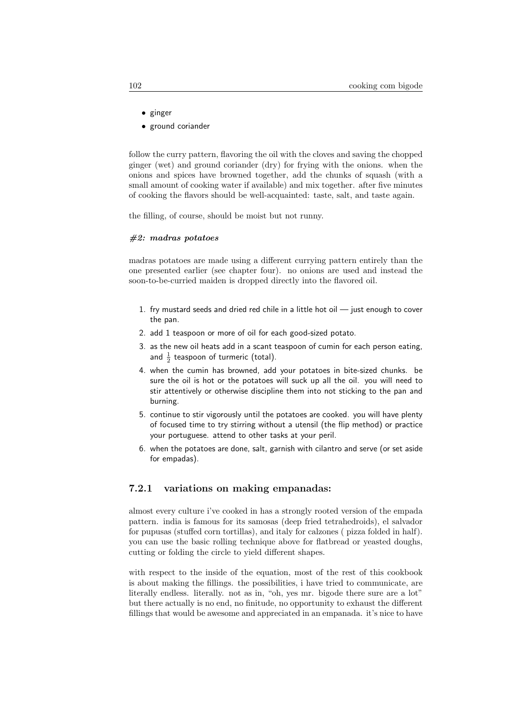- ginger
- ground coriander

follow the curry pattern, flavoring the oil with the cloves and saving the chopped ginger (wet) and ground coriander (dry) for frying with the onions. when the onions and spices have browned together, add the chunks of squash (with a small amount of cooking water if available) and mix together. after five minutes of cooking the flavors should be well-acquainted: taste, salt, and taste again.

the filling, of course, should be moist but not runny.

#### #2: madras potatoes

madras potatoes are made using a different currying pattern entirely than the one presented earlier (see chapter four). no onions are used and instead the soon-to-be-curried maiden is dropped directly into the flavored oil.

- 1. fry mustard seeds and dried red chile in a little hot oil just enough to cover the pan.
- 2. add 1 teaspoon or more of oil for each good-sized potato.
- 3. as the new oil heats add in a scant teaspoon of cumin for each person eating, and  $\frac{1}{2}$  teaspoon of turmeric (total).
- 4. when the cumin has browned, add your potatoes in bite-sized chunks. be sure the oil is hot or the potatoes will suck up all the oil. you will need to stir attentively or otherwise discipline them into not sticking to the pan and burning.
- 5. continue to stir vigorously until the potatoes are cooked. you will have plenty of focused time to try stirring without a utensil (the flip method) or practice your portuguese. attend to other tasks at your peril.
- 6. when the potatoes are done, salt, garnish with cilantro and serve (or set aside for empadas).

# 7.2.1 variations on making empanadas:

almost every culture i've cooked in has a strongly rooted version of the empada pattern. india is famous for its samosas (deep fried tetrahedroids), el salvador for pupusas (stuffed corn tortillas), and italy for calzones ( pizza folded in half). you can use the basic rolling technique above for flatbread or yeasted doughs, cutting or folding the circle to yield different shapes.

with respect to the inside of the equation, most of the rest of this cookbook is about making the fillings. the possibilities, i have tried to communicate, are literally endless. literally. not as in, "oh, yes mr. bigode there sure are a lot" but there actually is no end, no finitude, no opportunity to exhaust the different fillings that would be awesome and appreciated in an empanada. it's nice to have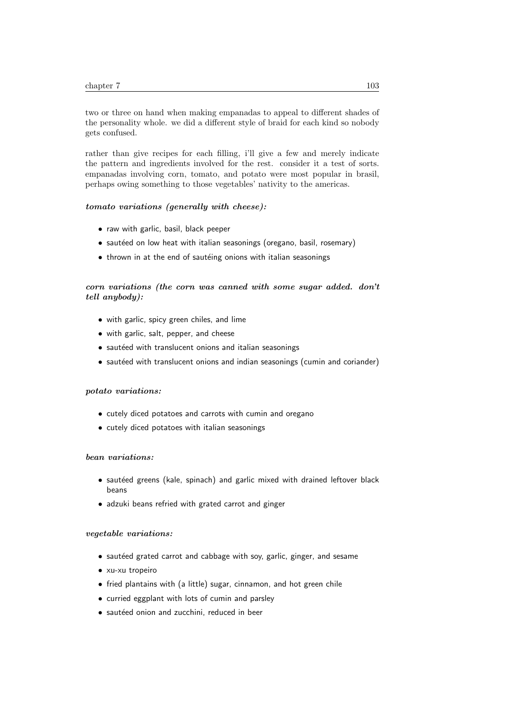two or three on hand when making empanadas to appeal to different shades of the personality whole. we did a different style of braid for each kind so nobody gets confused.

rather than give recipes for each filling, i'll give a few and merely indicate the pattern and ingredients involved for the rest. consider it a test of sorts. empanadas involving corn, tomato, and potato were most popular in brasil, perhaps owing something to those vegetables' nativity to the americas.

## tomato variations (generally with cheese):

- raw with garlic, basil, black peeper
- sautéed on low heat with italian seasonings (oregano, basil, rosemary)
- thrown in at the end of sautéing onions with italian seasonings

## corn variations (the corn was canned with some sugar added. don't tell anybody):

- with garlic, spicy green chiles, and lime
- with garlic, salt, pepper, and cheese
- sautéed with translucent onions and italian seasonings
- sautéed with translucent onions and indian seasonings (cumin and coriander)

### potato variations:

- cutely diced potatoes and carrots with cumin and oregano
- cutely diced potatoes with italian seasonings

## bean variations:

- sautéed greens (kale, spinach) and garlic mixed with drained leftover black beans
- adzuki beans refried with grated carrot and ginger

## vegetable variations:

- sautéed grated carrot and cabbage with soy, garlic, ginger, and sesame
- xu-xu tropeiro
- fried plantains with (a little) sugar, cinnamon, and hot green chile
- curried eggplant with lots of cumin and parsley
- sautéed onion and zucchini, reduced in beer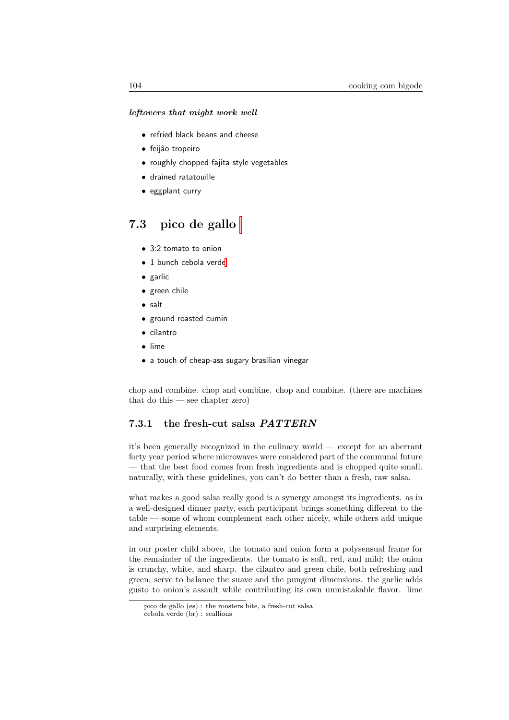#### leftovers that might work well

- refried black beans and cheese
- feijão tropeiro
- roughly chopped fajita style vegetables
- drained ratatouille
- eggplant curry

# 7.3 pico de gallo

- 3:2 tomato to onion
- 1 bunch c[e](#page-109-0)bola verde
- garlic
- green chile
- salt
- ground roasted cumin
- cilantro
- lime
- a touch of cheap-ass sugary brasilian vinegar

chop and combine. chop and combine. chop and combine. (there are machines that do this — see chapter zero)

## 7.3.1 the fresh-cut salsa *PATTERN*

it's been generally recognized in the culinary world — except for an aberrant forty year period where microwaves were considered part of the communal future — that the best food comes from fresh ingredients and is chopped quite small. naturally, with these guidelines, you can't do better than a fresh, raw salsa.

what makes a good salsa really good is a synergy amongst its ingredients. as in a well-designed dinner party, each participant brings something different to the table — some of whom complement each other nicely, while others add unique and surprising elements.

in our poster child above, the tomato and onion form a polysensual frame for the remainder of the ingredients. the tomato is soft, red, and mild; the onion is crunchy, white, and sharp. the cilantro and green chile, both refreshing and green, serve to balance the suave and the pungent dimensions. the garlic adds gusto to onion's assault while contributing its own unmistakable flavor. lime

<span id="page-109-0"></span>pico de gallo (es) : the roosters bite, a fresh-cut salsa cebola verde (br) : scallions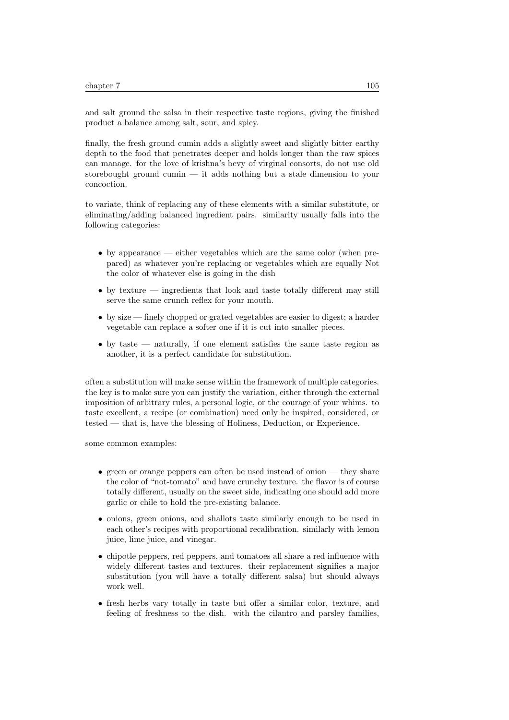and salt ground the salsa in their respective taste regions, giving the finished product a balance among salt, sour, and spicy.

finally, the fresh ground cumin adds a slightly sweet and slightly bitter earthy depth to the food that penetrates deeper and holds longer than the raw spices can manage. for the love of krishna's bevy of virginal consorts, do not use old storebought ground cumin — it adds nothing but a stale dimension to your concoction.

to variate, think of replacing any of these elements with a similar substitute, or eliminating/adding balanced ingredient pairs. similarity usually falls into the following categories:

- by appearance either vegetables which are the same color (when prepared) as whatever you're replacing or vegetables which are equally Not the color of whatever else is going in the dish
- by texture ingredients that look and taste totally different may still serve the same crunch reflex for your mouth.
- by size finely chopped or grated vegetables are easier to digest; a harder vegetable can replace a softer one if it is cut into smaller pieces.
- by taste naturally, if one element satisfies the same taste region as another, it is a perfect candidate for substitution.

often a substitution will make sense within the framework of multiple categories. the key is to make sure you can justify the variation, either through the external imposition of arbitrary rules, a personal logic, or the courage of your whims. to taste excellent, a recipe (or combination) need only be inspired, considered, or tested — that is, have the blessing of Holiness, Deduction, or Experience.

some common examples:

- green or orange peppers can often be used instead of onion they share the color of "not-tomato" and have crunchy texture. the flavor is of course totally different, usually on the sweet side, indicating one should add more garlic or chile to hold the pre-existing balance.
- onions, green onions, and shallots taste similarly enough to be used in each other's recipes with proportional recalibration. similarly with lemon juice, lime juice, and vinegar.
- chipotle peppers, red peppers, and tomatoes all share a red influence with widely different tastes and textures. their replacement signifies a major substitution (you will have a totally different salsa) but should always work well.
- fresh herbs vary totally in taste but offer a similar color, texture, and feeling of freshness to the dish. with the cilantro and parsley families,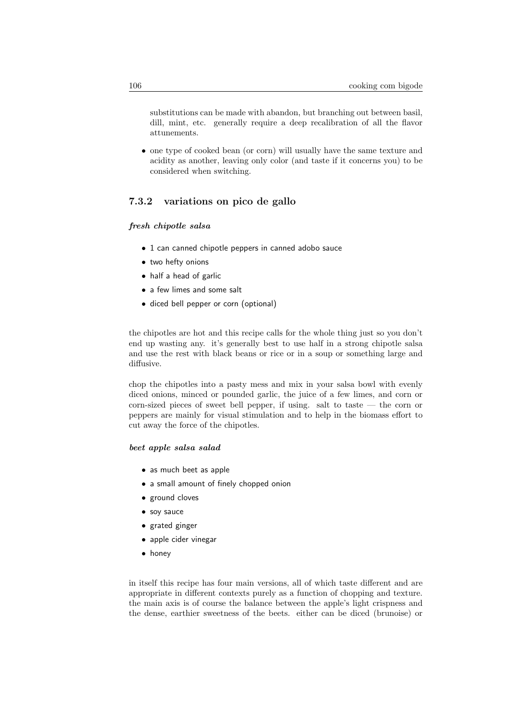substitutions can be made with abandon, but branching out between basil, dill, mint, etc. generally require a deep recalibration of all the flavor attunements.

• one type of cooked bean (or corn) will usually have the same texture and acidity as another, leaving only color (and taste if it concerns you) to be considered when switching.

## 7.3.2 variations on pico de gallo

### fresh chipotle salsa

- 1 can canned chipotle peppers in canned adobo sauce
- two hefty onions
- half a head of garlic
- a few limes and some salt
- diced bell pepper or corn (optional)

the chipotles are hot and this recipe calls for the whole thing just so you don't end up wasting any. it's generally best to use half in a strong chipotle salsa and use the rest with black beans or rice or in a soup or something large and diffusive.

chop the chipotles into a pasty mess and mix in your salsa bowl with evenly diced onions, minced or pounded garlic, the juice of a few limes, and corn or corn-sized pieces of sweet bell pepper, if using. salt to taste — the corn or peppers are mainly for visual stimulation and to help in the biomass effort to cut away the force of the chipotles.

## beet apple salsa salad

- as much beet as apple
- a small amount of finely chopped onion
- ground cloves
- sov sauce
- grated ginger
- apple cider vinegar
- honey

in itself this recipe has four main versions, all of which taste different and are appropriate in different contexts purely as a function of chopping and texture. the main axis is of course the balance between the apple's light crispness and the dense, earthier sweetness of the beets. either can be diced (brunoise) or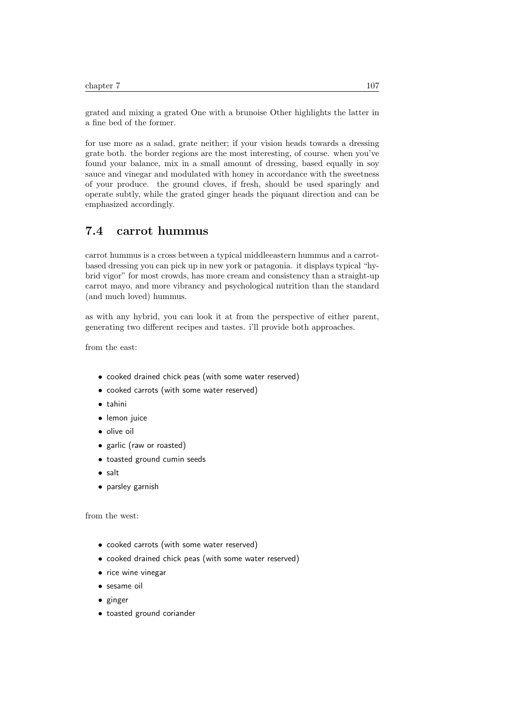grated and mixing a grated One with a brunoise Other highlights the latter in a fine bed of the former.

for use more as a salad, grate neither; if your vision heads towards a dressing grate both. the border regions are the most interesting, of course. when you've found your balance, mix in a small amount of dressing, based equally in soy sauce and vinegar and modulated with honey in accordance with the sweetness of your produce. the ground cloves, if fresh, should be used sparingly and operate subtly, while the grated ginger heads the piquant direction and can be emphasized accordingly.

# 7.4 carrot hummus

carrot hummus is a cross between a typical middleeastern hummus and a carrotbased dressing you can pick up in new york or patagonia. it displays typical "hybrid vigor" for most crowds, has more cream and consistency than a straight-up carrot mayo, and more vibrancy and psychological nutrition than the standard (and much loved) hummus.

as with any hybrid, you can look it at from the perspective of either parent, generating two different recipes and tastes. i'll provide both approaches.

from the east:

- cooked drained chick peas (with some water reserved)
- cooked carrots (with some water reserved)
- tahini
- lemon juice
- olive oil
- garlic (raw or roasted)
- toasted ground cumin seeds
- salt
- parsley garnish

from the west:

- cooked carrots (with some water reserved)
- cooked drained chick peas (with some water reserved)
- rice wine vinegar
- sesame oil
- ginger
- toasted ground coriander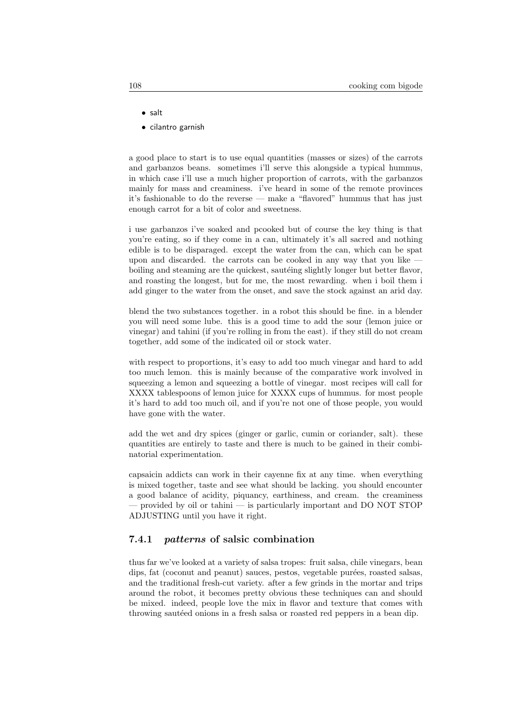- salt
- cilantro garnish

a good place to start is to use equal quantities (masses or sizes) of the carrots and garbanzos beans. sometimes i'll serve this alongside a typical hummus, in which case i'll use a much higher proportion of carrots, with the garbanzos mainly for mass and creaminess. i've heard in some of the remote provinces it's fashionable to do the reverse — make a "flavored" hummus that has just enough carrot for a bit of color and sweetness.

i use garbanzos i've soaked and pcooked but of course the key thing is that you're eating, so if they come in a can, ultimately it's all sacred and nothing edible is to be disparaged. except the water from the can, which can be spat upon and discarded. the carrots can be cooked in any way that you like  $$ boiling and steaming are the quickest, sauteing slightly longer but better flavor, and roasting the longest, but for me, the most rewarding. when i boil them i add ginger to the water from the onset, and save the stock against an arid day.

blend the two substances together. in a robot this should be fine. in a blender you will need some lube. this is a good time to add the sour (lemon juice or vinegar) and tahini (if you're rolling in from the east). if they still do not cream together, add some of the indicated oil or stock water.

with respect to proportions, it's easy to add too much vinegar and hard to add too much lemon. this is mainly because of the comparative work involved in squeezing a lemon and squeezing a bottle of vinegar. most recipes will call for XXXX tablespoons of lemon juice for XXXX cups of hummus. for most people it's hard to add too much oil, and if you're not one of those people, you would have gone with the water.

add the wet and dry spices (ginger or garlic, cumin or coriander, salt). these quantities are entirely to taste and there is much to be gained in their combinatorial experimentation.

capsaicin addicts can work in their cayenne fix at any time. when everything is mixed together, taste and see what should be lacking. you should encounter a good balance of acidity, piquancy, earthiness, and cream. the creaminess — provided by oil or tahini — is particularly important and DO NOT STOP ADJUSTING until you have it right.

## 7.4.1 patterns of salsic combination

thus far we've looked at a variety of salsa tropes: fruit salsa, chile vinegars, bean dips, fat (coconut and peanut) sauces, pestos, vegetable purées, roasted salsas, and the traditional fresh-cut variety. after a few grinds in the mortar and trips around the robot, it becomes pretty obvious these techniques can and should be mixed. indeed, people love the mix in flavor and texture that comes with throwing sautéed onions in a fresh salsa or roasted red peppers in a bean dip.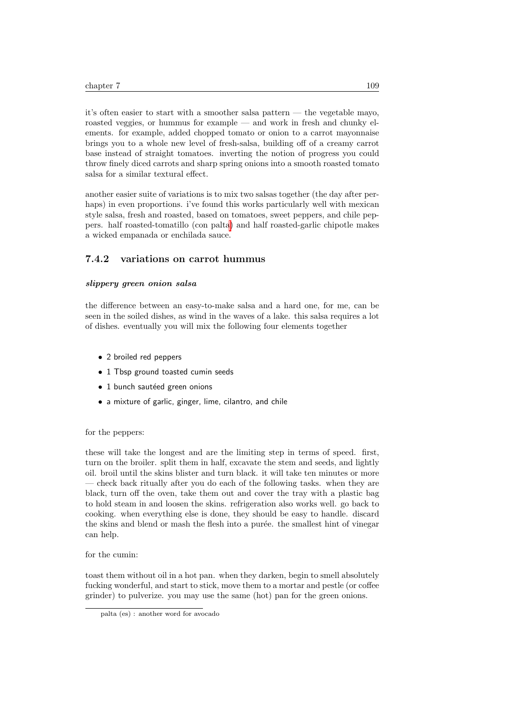it's often easier to start with a smoother salsa pattern — the vegetable mayo, roasted veggies, or hummus for example — and work in fresh and chunky elements. for example, added chopped tomato or onion to a carrot mayonnaise brings you to a whole new level of fresh-salsa, building off of a creamy carrot base instead of straight tomatoes. inverting the notion of progress you could throw finely diced carrots and sharp spring onions into a smooth roasted tomato salsa for a similar textural effect.

another easier suite of variations is to mix two salsas together (the day after perhaps) in even proportions. i've found this works particularly well with mexican style salsa, fresh and roasted, based on tomatoes, sweet peppers, and chile peppers. half roasted-tomatillo (con palt[a\)](#page-114-0) and half roasted-garlic chipotle makes a wicked empanada or enchilada sauce.

## 7.4.2 variations on carrot hummus

## slippery green onion salsa

the difference between an easy-to-make salsa and a hard one, for me, can be seen in the soiled dishes, as wind in the waves of a lake. this salsa requires a lot of dishes. eventually you will mix the following four elements together

- 2 broiled red peppers
- 1 Tbsp ground toasted cumin seeds
- 1 bunch sautéed green onions
- a mixture of garlic, ginger, lime, cilantro, and chile

#### for the peppers:

these will take the longest and are the limiting step in terms of speed. first, turn on the broiler. split them in half, excavate the stem and seeds, and lightly oil. broil until the skins blister and turn black. it will take ten minutes or more — check back ritually after you do each of the following tasks. when they are black, turn off the oven, take them out and cover the tray with a plastic bag to hold steam in and loosen the skins. refrigeration also works well. go back to cooking. when everything else is done, they should be easy to handle. discard the skins and blend or mash the flesh into a purée. the smallest hint of vinegar can help.

## for the cumin:

toast them without oil in a hot pan. when they darken, begin to smell absolutely fucking wonderful, and start to stick, move them to a mortar and pestle (or coffee grinder) to pulverize. you may use the same (hot) pan for the green onions.

<span id="page-114-0"></span>palta (es) : another word for avocado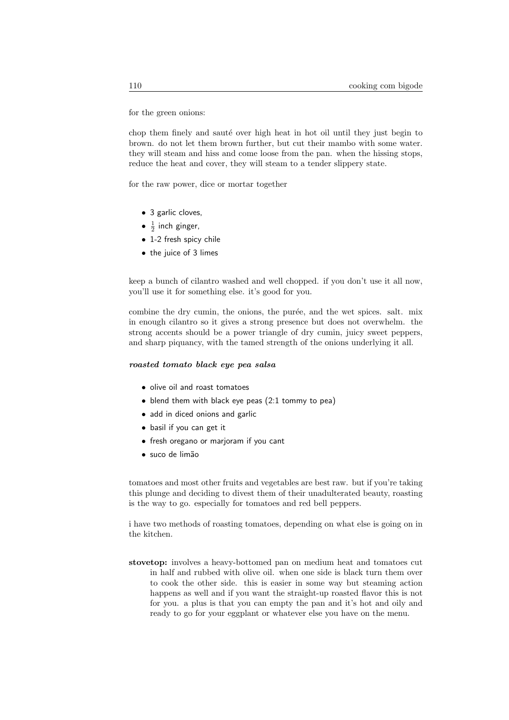for the green onions:

chop them finely and sauté over high heat in hot oil until they just begin to brown. do not let them brown further, but cut their mambo with some water. they will steam and hiss and come loose from the pan. when the hissing stops, reduce the heat and cover, they will steam to a tender slippery state.

for the raw power, dice or mortar together

- 3 garlic cloves,
- $\frac{1}{2}$  inch ginger,
- 1-2 fresh spicy chile
- the juice of 3 limes

keep a bunch of cilantro washed and well chopped. if you don't use it all now, you'll use it for something else. it's good for you.

combine the dry cumin, the onions, the purée, and the wet spices. salt. mix in enough cilantro so it gives a strong presence but does not overwhelm. the strong accents should be a power triangle of dry cumin, juicy sweet peppers, and sharp piquancy, with the tamed strength of the onions underlying it all.

## roasted tomato black eye pea salsa

- olive oil and roast tomatoes
- blend them with black eye peas (2:1 tommy to pea)
- add in diced onions and garlic
- basil if you can get it
- fresh oregano or marjoram if you cant
- suco de lim˜ao

tomatoes and most other fruits and vegetables are best raw. but if you're taking this plunge and deciding to divest them of their unadulterated beauty, roasting is the way to go. especially for tomatoes and red bell peppers.

i have two methods of roasting tomatoes, depending on what else is going on in the kitchen.

stovetop: involves a heavy-bottomed pan on medium heat and tomatoes cut in half and rubbed with olive oil. when one side is black turn them over to cook the other side. this is easier in some way but steaming action happens as well and if you want the straight-up roasted flavor this is not for you. a plus is that you can empty the pan and it's hot and oily and ready to go for your eggplant or whatever else you have on the menu.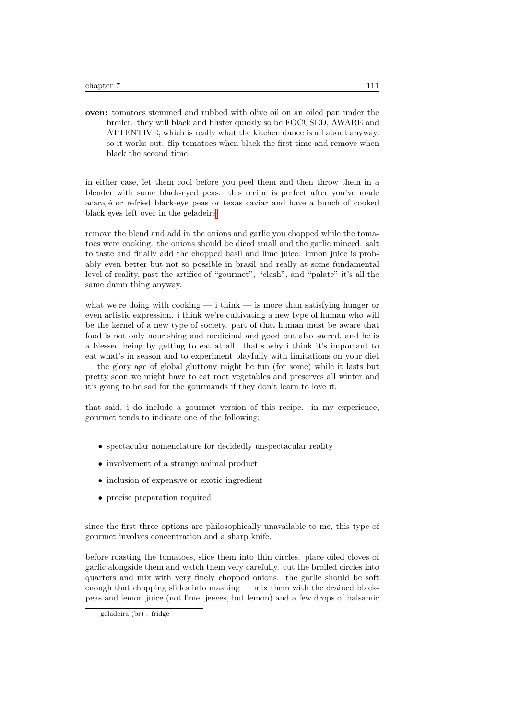oven: tomatoes stemmed and rubbed with olive oil on an oiled pan under the broiler. they will black and blister quickly so be FOCUSED, AWARE and ATTENTIVE, which is really what the kitchen dance is all about anyway. so it works out. flip tomatoes when black the first time and remove when black the second time.

in either case, let them cool before you peel them and then throw them in a blender with some black-eyed peas. this recipe is perfect after you've made acarajé or refried black-eye peas or texas caviar and have a bunch of cooked black eyes left over in the geladeir[a.](#page-116-0)

remove the blend and add in the onions and garlic you chopped while the tomatoes were cooking. the onions should be diced small and the garlic minced. salt to taste and finally add the chopped basil and lime juice. lemon juice is probably even better but not so possible in brasil and really at some fundamental level of reality, past the artifice of "gourmet", "clash", and "palate" it's all the same damn thing anyway.

what we're doing with cooking  $-$  i think  $-$  is more than satisfying hunger or even artistic expression. i think we're cultivating a new type of human who will be the kernel of a new type of society. part of that human must be aware that food is not only nourishing and medicinal and good but also sacred, and he is a blessed being by getting to eat at all. that's why i think it's important to eat what's in season and to experiment playfully with limitations on your diet — the glory age of global gluttony might be fun (for some) while it lasts but pretty soon we might have to eat root vegetables and preserves all winter and it's going to be sad for the gourmands if they don't learn to love it.

that said, i do include a gourmet version of this recipe. in my experience, gourmet tends to indicate one of the following:

- spectacular nomenclature for decidedly unspectacular reality
- involvement of a strange animal product
- inclusion of expensive or exotic ingredient
- precise preparation required

since the first three options are philosophically unavailable to me, this type of gourmet involves concentration and a sharp knife.

before roasting the tomatoes, slice them into thin circles. place oiled cloves of garlic alongside them and watch them very carefully. cut the broiled circles into quarters and mix with very finely chopped onions. the garlic should be soft enough that chopping slides into mashing — mix them with the drained blackpeas and lemon juice (not lime, jeeves, but lemon) and a few drops of balsamic

<span id="page-116-0"></span>geladeira (br) : fridge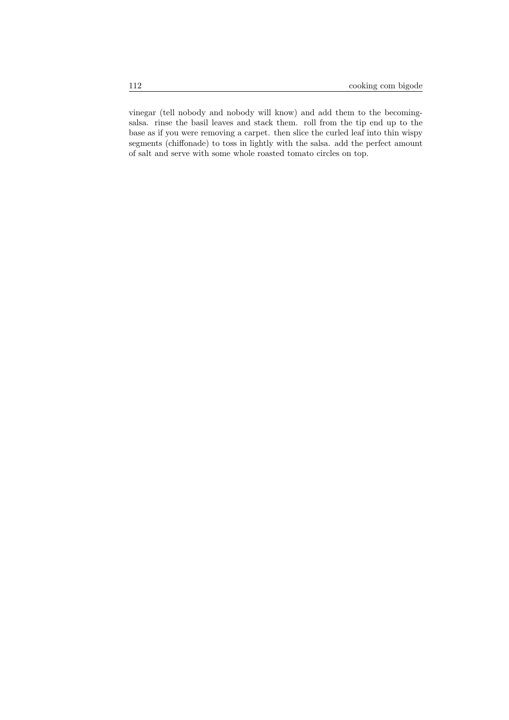vinegar (tell nobody and nobody will know) and add them to the becomingsalsa. rinse the basil leaves and stack them. roll from the tip end up to the base as if you were removing a carpet. then slice the curled leaf into thin wispy segments (chiffonade) to toss in lightly with the salsa. add the perfect amount of salt and serve with some whole roasted tomato circles on top.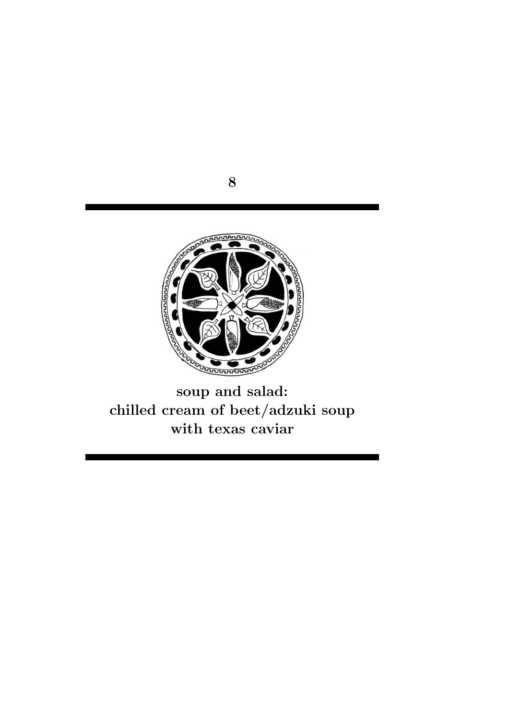

soup and salad: chilled cream of beet/adzuki soup with texas caviar

8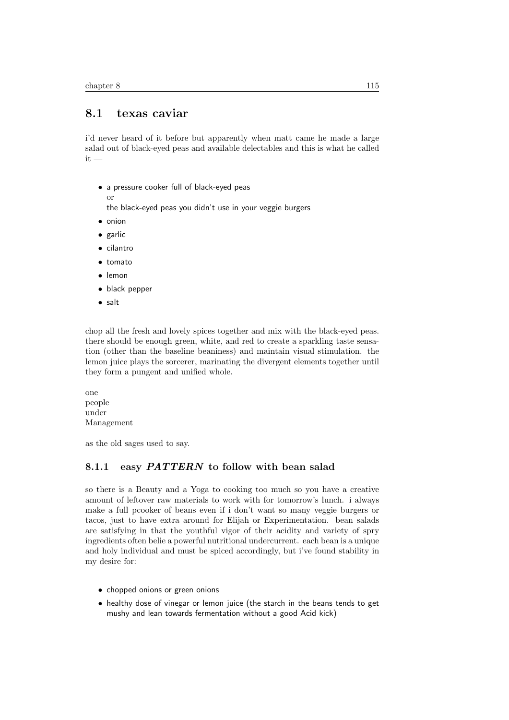## 8.1 texas caviar

i'd never heard of it before but apparently when matt came he made a large salad out of black-eyed peas and available delectables and this is what he called  $it -$ 

• a pressure cooker full of black-eyed peas

or

the black-eyed peas you didn't use in your veggie burgers

- onion
- garlic
- cilantro
- tomato
- lemon
- black pepper
- salt

chop all the fresh and lovely spices together and mix with the black-eyed peas. there should be enough green, white, and red to create a sparkling taste sensation (other than the baseline beaniness) and maintain visual stimulation. the lemon juice plays the sorcerer, marinating the divergent elements together until they form a pungent and unified whole.

one people under Management

as the old sages used to say.

## 8.1.1 easy PATTERN to follow with bean salad

so there is a Beauty and a Yoga to cooking too much so you have a creative amount of leftover raw materials to work with for tomorrow's lunch. i always make a full pcooker of beans even if i don't want so many veggie burgers or tacos, just to have extra around for Elijah or Experimentation. bean salads are satisfying in that the youthful vigor of their acidity and variety of spry ingredients often belie a powerful nutritional undercurrent. each bean is a unique and holy individual and must be spiced accordingly, but i've found stability in my desire for:

- chopped onions or green onions
- healthy dose of vinegar or lemon juice (the starch in the beans tends to get mushy and lean towards fermentation without a good Acid kick)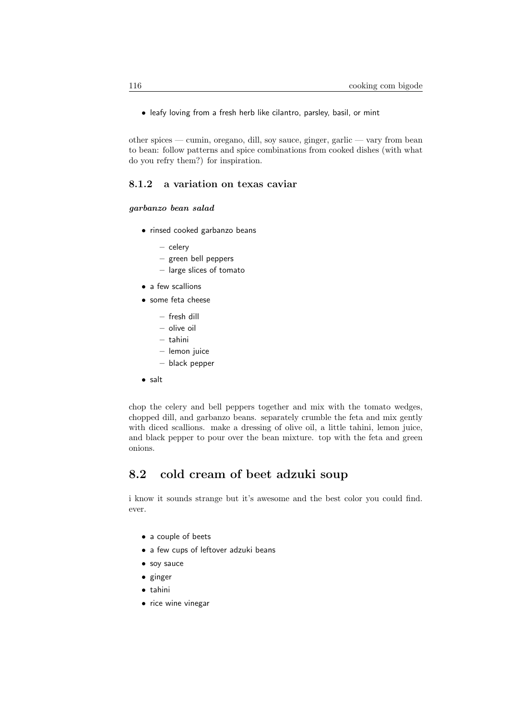• leafy loving from a fresh herb like cilantro, parsley, basil, or mint

other spices — cumin, oregano, dill, soy sauce, ginger, garlic — vary from bean to bean: follow patterns and spice combinations from cooked dishes (with what do you refry them?) for inspiration.

## 8.1.2 a variation on texas caviar

#### garbanzo bean salad

- rinsed cooked garbanzo beans
	- celery
	- green bell peppers
	- large slices of tomato
- a few scallions
- some feta cheese
	- fresh dill
	- olive oil
	- tahini
	- lemon juice
	- black pepper
- salt

chop the celery and bell peppers together and mix with the tomato wedges, chopped dill, and garbanzo beans. separately crumble the feta and mix gently with diced scallions. make a dressing of olive oil, a little tahini, lemon juice, and black pepper to pour over the bean mixture. top with the feta and green onions.

# 8.2 cold cream of beet adzuki soup

i know it sounds strange but it's awesome and the best color you could find. ever.

- a couple of beets
- a few cups of leftover adzuki beans
- soy sauce
- ginger
- tahini
- rice wine vinegar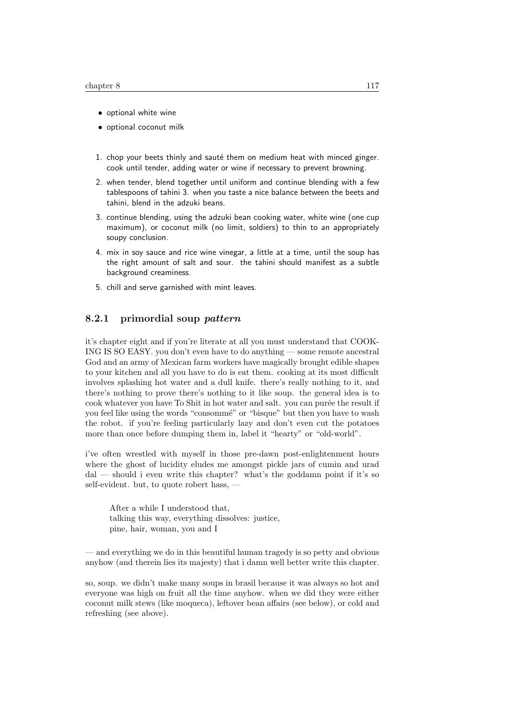- optional white wine
- optional coconut milk
- 1. chop your beets thinly and sauté them on medium heat with minced ginger. cook until tender, adding water or wine if necessary to prevent browning.
- 2. when tender, blend together until uniform and continue blending with a few tablespoons of tahini 3. when you taste a nice balance between the beets and tahini, blend in the adzuki beans.
- 3. continue blending, using the adzuki bean cooking water, white wine (one cup maximum), or coconut milk (no limit, soldiers) to thin to an appropriately soupy conclusion.
- 4. mix in soy sauce and rice wine vinegar, a little at a time, until the soup has the right amount of salt and sour. the tahini should manifest as a subtle background creaminess.
- 5. chill and serve garnished with mint leaves.

## 8.2.1 primordial soup pattern

it's chapter eight and if you're literate at all you must understand that COOK-ING IS SO EASY. you don't even have to do anything — some remote ancestral God and an army of Mexican farm workers have magically brought edible shapes to your kitchen and all you have to do is eat them. cooking at its most difficult involves splashing hot water and a dull knife. there's really nothing to it, and there's nothing to prove there's nothing to it like soup. the general idea is to cook whatever you have To Shit in hot water and salt. you can purée the result if you feel like using the words "consommé" or "bisque" but then you have to wash the robot. if you're feeling particularly lazy and don't even cut the potatoes more than once before dumping them in, label it "hearty" or "old-world".

i've often wrestled with myself in those pre-dawn post-enlightenment hours where the ghost of lucidity eludes me amongst pickle jars of cumin and urad dal — should i even write this chapter? what's the goddamn point if it's so self-evident. but, to quote robert hass, —

After a while I understood that, talking this way, everything dissolves: justice, pine, hair, woman, you and I

— and everything we do in this beautiful human tragedy is so petty and obvious anyhow (and therein lies its majesty) that i damn well better write this chapter.

so, soup. we didn't make many soups in brasil because it was always so hot and everyone was high on fruit all the time anyhow. when we did they were either coconut milk stews (like moqueca), leftover bean affairs (see below), or cold and refreshing (see above).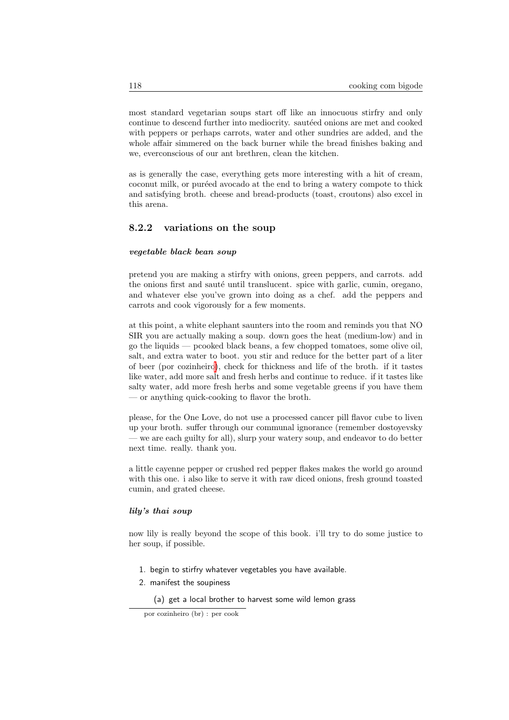most standard vegetarian soups start off like an innocuous stirfry and only continue to descend further into mediocrity. sautéed onions are met and cooked with peppers or perhaps carrots, water and other sundries are added, and the whole affair simmered on the back burner while the bread finishes baking and we, everconscious of our ant brethren, clean the kitchen.

as is generally the case, everything gets more interesting with a hit of cream, coconut milk, or puréed avocado at the end to bring a watery compote to thick and satisfying broth. cheese and bread-products (toast, croutons) also excel in this arena.

## 8.2.2 variations on the soup

## vegetable black bean soup

pretend you are making a stirfry with onions, green peppers, and carrots. add the onions first and sauté until translucent. spice with garlic, cumin, oregano, and whatever else you've grown into doing as a chef. add the peppers and carrots and cook vigorously for a few moments.

at this point, a white elephant saunters into the room and reminds you that NO SIR you are actually making a soup. down goes the heat (medium-low) and in go the liquids — pcooked black beans, a few chopped tomatoes, some olive oil, salt, and extra water to boot. you stir and reduce for the better part of a liter of beer (por cozinheir[o\)](#page-123-0), check for thickness and life of the broth. if it tastes like water, add more salt and fresh herbs and continue to reduce. if it tastes like salty water, add more fresh herbs and some vegetable greens if you have them — or anything quick-cooking to flavor the broth.

please, for the One Love, do not use a processed cancer pill flavor cube to liven up your broth. suffer through our communal ignorance (remember dostoyevsky — we are each guilty for all), slurp your watery soup, and endeavor to do better next time. really. thank you.

a little cayenne pepper or crushed red pepper flakes makes the world go around with this one. i also like to serve it with raw diced onions, fresh ground toasted cumin, and grated cheese.

#### lily's thai soup

now lily is really beyond the scope of this book. i'll try to do some justice to her soup, if possible.

- 1. begin to stirfry whatever vegetables you have available.
- 2. manifest the soupiness
	- (a) get a local brother to harvest some wild lemon grass

<span id="page-123-0"></span>por cozinheiro (br) : per cook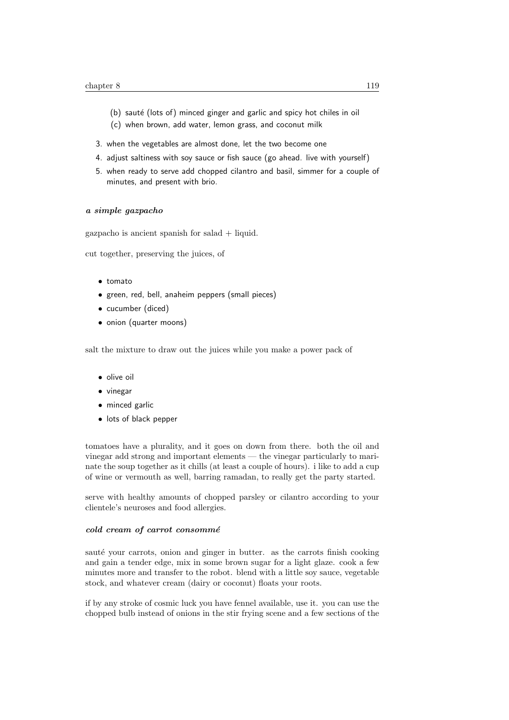- (b) sauté (lots of) minced ginger and garlic and spicy hot chiles in oil
- (c) when brown, add water, lemon grass, and coconut milk
- 3. when the vegetables are almost done, let the two become one
- 4. adjust saltiness with soy sauce or fish sauce (go ahead. live with yourself)
- 5. when ready to serve add chopped cilantro and basil, simmer for a couple of minutes, and present with brio.

## a simple gazpacho

 $gazpacho$  is ancient spanish for salad  $+$  liquid.

cut together, preserving the juices, of

- tomato
- green, red, bell, anaheim peppers (small pieces)
- cucumber (diced)
- onion (quarter moons)

salt the mixture to draw out the juices while you make a power pack of

- olive oil
- vinegar
- minced garlic
- lots of black pepper

tomatoes have a plurality, and it goes on down from there. both the oil and vinegar add strong and important elements — the vinegar particularly to marinate the soup together as it chills (at least a couple of hours). i like to add a cup of wine or vermouth as well, barring ramadan, to really get the party started.

serve with healthy amounts of chopped parsley or cilantro according to your clientele's neuroses and food allergies.

#### cold cream of carrot consommé

sauté your carrots, onion and ginger in butter. as the carrots finish cooking and gain a tender edge, mix in some brown sugar for a light glaze. cook a few minutes more and transfer to the robot. blend with a little soy sauce, vegetable stock, and whatever cream (dairy or coconut) floats your roots.

if by any stroke of cosmic luck you have fennel available, use it. you can use the chopped bulb instead of onions in the stir frying scene and a few sections of the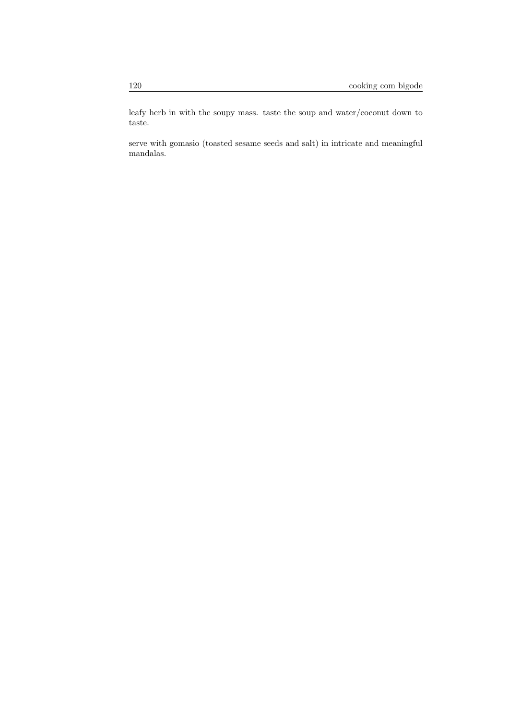leafy herb in with the soupy mass. taste the soup and water/coconut down to taste.

serve with gomasio (toasted sesame seeds and salt) in intricate and meaningful mandalas.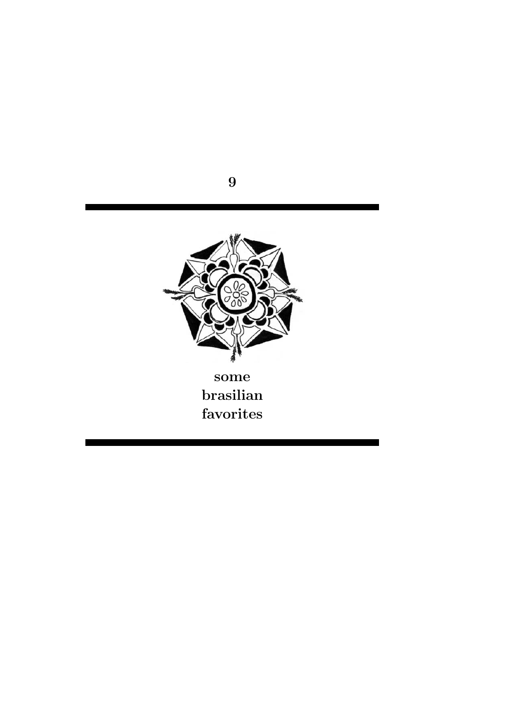

 $\boldsymbol{9}$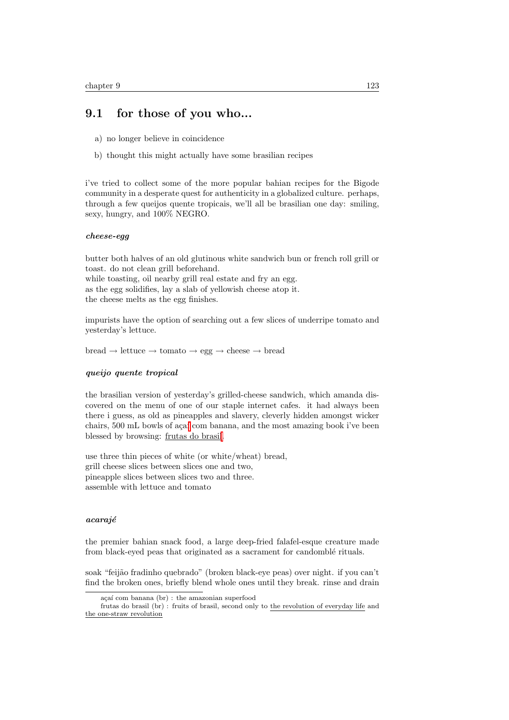# 9.1 for those of you who...

- a) no longer believe in coincidence
- b) thought this might actually have some brasilian recipes

i've tried to collect some of the more popular bahian recipes for the Bigode community in a desperate quest for authenticity in a globalized culture. perhaps, through a few queijos quente tropicais, we'll all be brasilian one day: smiling, sexy, hungry, and 100% NEGRO.

### cheese-egg

butter both halves of an old glutinous white sandwich bun or french roll grill or toast. do not clean grill beforehand. while toasting, oil nearby grill real estate and fry an egg. as the egg solidifies, lay a slab of yellowish cheese atop it. the cheese melts as the egg finishes.

impurists have the option of searching out a few slices of underripe tomato and yesterday's lettuce.

bread  $\rightarrow$  lettuce  $\rightarrow$  tomato  $\rightarrow$  egg  $\rightarrow$  cheese  $\rightarrow$  bread

## queijo quente tropical

the brasilian version of yesterday's grilled-cheese sandwich, which amanda discovered on the menu of one of our staple internet cafes. it had always been there i guess, as old as pineapples and slavery, cleverly hidden amongst wicker chairs, 500 mL bowls of açaí com banana, and the most amazing book i've been blessed by browsing: frutas do brasi[l.](#page-128-1)

use three thin pieces of white (or white/wheat) bread, grill cheese slices between slices one and two, pineapple slices between slices two and three. assemble with lettuce and tomato

#### acarajé

the premier bahian snack food, a large deep-fried falafel-esque creature made from black-eyed peas that originated as a sacrament for candomblé rituals.

soak "feijão fradinho quebrado" (broken black-eye peas) over night. if you can't find the broken ones, briefly blend whole ones until they break. rinse and drain

<span id="page-128-1"></span><span id="page-128-0"></span> $acai$  com banana (br) : the amazonian superfood

frutas do brasil (br) : fruits of brasil, second only to the revolution of everyday life and the one-straw revolution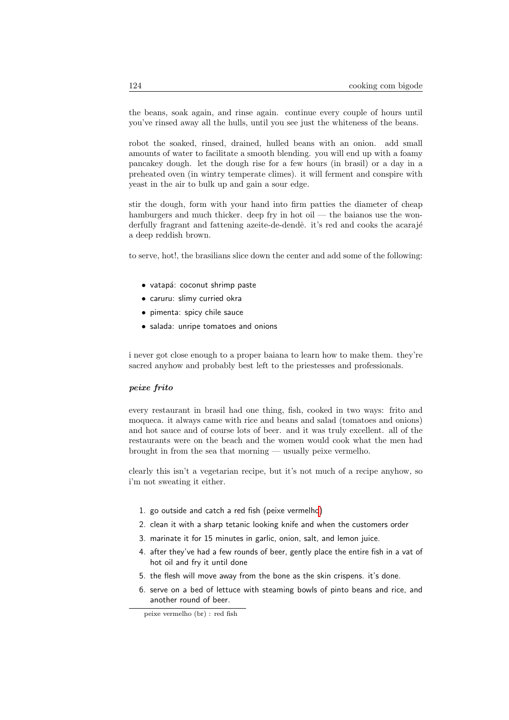the beans, soak again, and rinse again. continue every couple of hours until you've rinsed away all the hulls, until you see just the whiteness of the beans.

robot the soaked, rinsed, drained, hulled beans with an onion. add small amounts of water to facilitate a smooth blending. you will end up with a foamy pancakey dough. let the dough rise for a few hours (in brasil) or a day in a preheated oven (in wintry temperate climes). it will ferment and conspire with yeast in the air to bulk up and gain a sour edge.

stir the dough, form with your hand into firm patties the diameter of cheap hamburgers and much thicker. deep fry in hot oil — the baianos use the wonderfully fragrant and fattening azeite-de-dendê. it's red and cooks the acarajé a deep reddish brown.

to serve, hot!, the brasilians slice down the center and add some of the following:

- · vatapá: coconut shrimp paste
- caruru: slimy curried okra
- pimenta: spicy chile sauce
- salada: unripe tomatoes and onions

i never got close enough to a proper baiana to learn how to make them. they're sacred anyhow and probably best left to the priestesses and professionals.

## peixe frito

every restaurant in brasil had one thing, fish, cooked in two ways: frito and moqueca. it always came with rice and beans and salad (tomatoes and onions) and hot sauce and of course lots of beer. and it was truly excellent. all of the restaurants were on the beach and the women would cook what the men had brought in from the sea that morning — usually peixe vermelho.

clearly this isn't a vegetarian recipe, but it's not much of a recipe anyhow, so i'm not sweating it either.

- 1. go outside and catch a red fish (peixe vermelh[o\)](#page-129-0)
- 2. clean it with a sharp tetanic looking knife and when the customers order
- 3. marinate it for 15 minutes in garlic, onion, salt, and lemon juice.
- 4. after they've had a few rounds of beer, gently place the entire fish in a vat of hot oil and fry it until done
- 5. the flesh will move away from the bone as the skin crispens. it's done.
- 6. serve on a bed of lettuce with steaming bowls of pinto beans and rice, and another round of beer.

<span id="page-129-0"></span>peixe vermelho (br) : red fish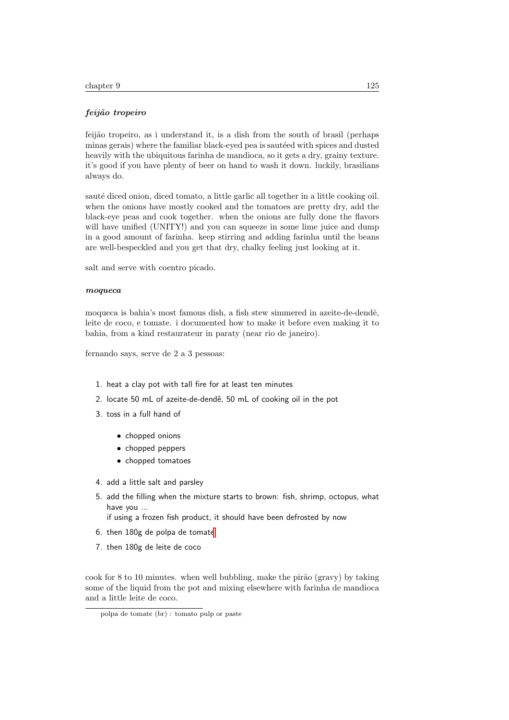## feijão tropeiro

feijão tropeiro, as i understand it, is a dish from the south of brasil (perhaps minas gerais) where the familiar black-eyed pea is sauteed with spices and dusted heavily with the ubiquitous farinha de mandioca, so it gets a dry, grainy texture. it's good if you have plenty of beer on hand to wash it down. luckily, brasilians always do.

sauté diced onion, diced tomato, a little garlic all together in a little cooking oil. when the onions have mostly cooked and the tomatoes are pretty dry, add the black-eye peas and cook together. when the onions are fully done the flavors will have unified (UNITY!) and you can squeeze in some lime juice and dump in a good amount of farinha. keep stirring and adding farinha until the beans are well-bespeckled and you get that dry, chalky feeling just looking at it.

salt and serve with coentro picado.

#### moqueca

moqueca is bahia's most famous dish, a fish stew simmered in azeite-de-dendê, leite de coco, e tomate. i documented how to make it before even making it to bahia, from a kind restaurateur in paraty (near rio de janeiro).

fernando says, serve de 2 a 3 pessoas:

- 1. heat a clay pot with tall fire for at least ten minutes
- 2. locate 50 mL of azeite-de-dendê, 50 mL of cooking oil in the pot
- 3. toss in a full hand of
	- chopped onions
	- chopped peppers
	- chopped tomatoes
- 4. add a little salt and parsley
- 5. add the filling when the mixture starts to brown: fish, shrimp, octopus, what have you ...

if using a frozen fish product, it should have been defrosted by now

- 6. then 180g de polpa de tomat[e](#page-130-0)
- 7. then 180g de leite de coco

 $\cosh$  for 8 to 10 minutes. when well bubbling, make the pir $\tilde{a}$  (gravy) by taking some of the liquid from the pot and mixing elsewhere with farinha de mandioca and a little leite de coco.

<span id="page-130-0"></span>polpa de tomate (br) : tomato pulp or paste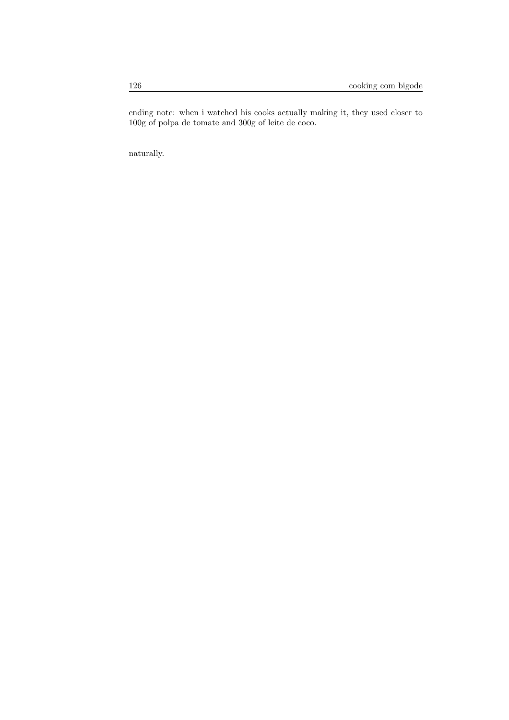ending note: when i watched his cooks actually making it, they used closer to 100g of polpa de tomate and 300g of leite de coco.

naturally.